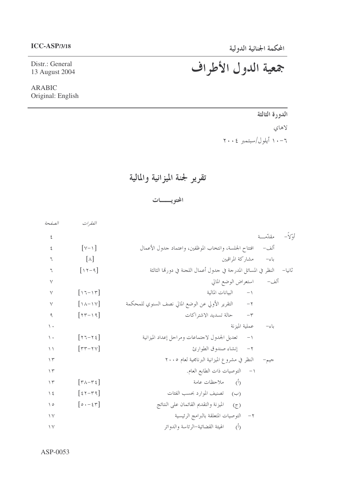Distr.: General 13 August 2004

**ARABIC** Original: English

# المحكمة الجنائية الدولية<br>جمعية الدول الأطراف

الدورة الثالثة لاهاي ٦-١٠ أيلول/سبتمبر ٢٠٠٤

تقرير لجنة الميزانية والمالية

المحتويـــــات

| الصفحة          | الفقيرات                                  |                                                                 |        |
|-----------------|-------------------------------------------|-----------------------------------------------------------------|--------|
| ٤               |                                           | مقدّمـــة                                                       | أوكأ—  |
| ٤               | $[\vee - \vee]$                           | افتتاح الجلسة، وانتخاب الموظفين، واعتماد حدول الأعمال<br>ألف–   |        |
| ٦               | $[\wedge]$                                | مشاركة المراقبين<br>باءِ–                                       |        |
| ٦               | $\lceil \gamma - q \rceil$                | النظر في المسائل المدرجة في حدول أعمال اللحنة في دورهّا الثالثة | ثانيا– |
| $\vee$          |                                           | ألف–        استعراض الوضع المالي                                |        |
| $\vee$          | $\lceil 17-17 \rceil$                     | البيانات المالية<br>$-1$                                        |        |
| $\vee$          | $[\lambda-\lambda \vee]$                  | التقرير الأولي عن الوضع المالي نصف السنوي للمحكمة<br>$-\tau$    |        |
| ٩               | $[\gamma\gamma-\gamma\gamma]$             | حالة تسديد الاشتراكات<br>$-\tau$                                |        |
| $\backslash$ .  |                                           | عملية الميزنة<br>باءِ–                                          |        |
| $\langle \cdot$ | $[77 - 72]$                               | تعديل الجدول لاحتماعات ومراحل إعداد الميزانية<br>$-1$           |        |
| $\setminus$     | $[\tau\tau-\tau\vee]$                     | إنشاء صندوق الطوارئ<br>$-\tau$                                  |        |
| $\gamma$        |                                           | النظر في مشروع الميزانية البرنامجية لعام ٢٠٠٥<br>جيم–           |        |
| $\gamma$        |                                           | التوصيات ذات الطابع العام.<br>$-1$                              |        |
| $\gamma$        | $\lceil \tau_{\Lambda}-\tau_{\xi} \rceil$ | (أ) ملاحظات <i>ع</i> امة                                        |        |
| $\frac{1}{2}$   | $\lceil 27 - 49 \rceil$                   | (ب) تصنيف الموارد بحسب الفئات                                   |        |
| $\setminus$ 0   | $\lceil o \cdot - \xi \tau \rceil$        | الميزنة والتقديم القائمان على النتائج<br>$(\tau)$               |        |
| $\vee$          |                                           | التوصيات المتعلقة بالبرامج الرئيسية<br>$-7$                     |        |
| $\vee$          |                                           | $\dot{(\mathfrak{h})}$<br>الهيئة القضائية–الرئاسة والدوائر      |        |
|                 |                                           |                                                                 |        |

ASP-0053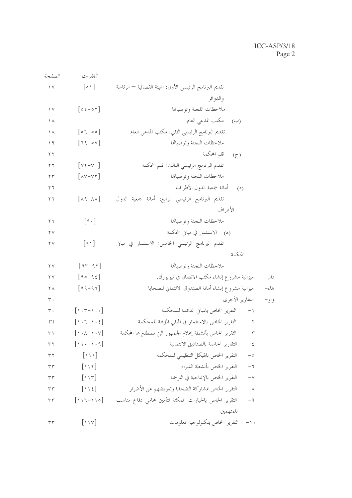$-$ دال  $-\varepsilon$ ها

واو–

| الصفحة              | الفقرات                                       |                                                                            |
|---------------------|-----------------------------------------------|----------------------------------------------------------------------------|
| $\backslash$ $\lor$ | $\lceil \circ \setminus \rceil$               | تقديم البرنامج الرئيسي الأول: الهيئة القضائية — الرئاسة                    |
|                     |                                               | و الدو ائر                                                                 |
| $\vee$              | $\lceil 0 \xi - 0 \eta \rceil$                | ملاحظات اللجنة وتوصياقما                                                   |
| ١٨                  |                                               | (ب) مكتب المدعى العام                                                      |
| ١٨                  | $\lceil 0 - 0 0 \rceil$                       | تقديم البرنامج الرئيسي الثاني: مكتب المدعي العام                           |
| $\setminus$ 9       | $\lceil 79 - 0 \sqrt{ } \rceil$               | ملاحظات اللجنة وتوصياتما                                                   |
| ۲ ۲                 |                                               | قلم المحكمة<br>$(\zeta)$                                                   |
| $\Upsilon$          | $[\forall \tau - \forall \cdot]$              | تقديم البرنامج الرئيسي الثالث: قلم المحكمة                                 |
| ۲۳                  | $[\lambda V - VT]$                            | ملاحظات اللجنة وتوصياقما                                                   |
| ۲٦                  |                                               | أمانة جمعية الدول الأطراف<br>$\mathbf{C}^{(2)}$                            |
| ۲٦                  | $\lceil \wedge \wedge - \wedge \wedge \rceil$ | تقديم البرنامج الرئيسي الرابع: أمانة جمعية الدول                           |
|                     |                                               | الأطراف                                                                    |
| ۲٦                  | $\lceil \cdot \cdot \rceil$                   | ملاحظات اللجنة وتوصياتما                                                   |
| ۲۷                  |                                               | (ه) الاستثمار في مباني المحكمة                                             |
| ۲۷                  | $\lceil 9 \setminus \rceil$                   | تقديم البرنامج الرئيسي الخامس: الاستثمار في مباني                          |
|                     |                                               | المحكمة                                                                    |
| $\mathbf{Y}$        | $\lceil 9r - 9r \rceil$                       | ملاحظات اللجنة وتوصياتما                                                   |
| ۲۷                  | $\lceil 90 - 95 \rceil$                       | ميزانية مشروع إنشاء مكتب الاتصال في نيويورك.                               |
| ۲۸                  | $[99 - 97]$                                   | ميزانية مشروع إنشاء أمانة الصندوق الائتماني للضحايا                        |
| ٣٠                  |                                               | التقارير الأخرى                                                            |
| ٣.                  | $\lceil \cdot \tau - \cdot \cdot \rceil$      | التقرير الخاص بالمبايي الدائمة للمحكمة<br>$-1$                             |
| $r$ )               | $[\cdot \cdot \tau - \cdot \xi]$              | التقرير الخاص بالاستثمار في المباين المؤقتة للمحكمة<br>$-\tau$             |
| ۳١                  | $[\cdot \cdot \lambda - \cdot \cdot \vee]$    | التقرير الخاص بأنشطة إعلام الجمهور التى تضطلع بما المحكمة<br>$-\tau$       |
| ٣٢                  | $[11 - 1.9]$                                  | التقارير الخاصة بالصناديق الائتمانية<br>$-\,\xi$                           |
| ٣٢                  | $\lceil \cdot \cdot \cdot \rceil$             | التقرير الخاص بالهيكل التنظيمي للمحكمة<br>$-\circ$                         |
| ٣٣                  | $[\rangle$                                    | التقرير الخاص بأنشطة الشراء<br>$-$ 7                                       |
| $\tau\tau$          | [117]                                         | التقرير الخاص بالإنتاجية في الترجمة<br>$-\,\mathrm{\vee}$                  |
| ٣٣                  |                                               | التقرير الخاص بمشاركة الضحايا وتعويضهم عن الأضرار<br>$-\wedge$             |
| ٣٣                  | $[117-110]$                                   | التقرير الخاص يالخيارات الممكنة لتأمين محامى دفاع مناسب<br>$-\mathfrak{q}$ |
|                     |                                               | للمتهمين                                                                   |
| ٣٣                  | $[\vee \vee \vee]$                            | التقرير الخاص بتكنولوجيا المعلومات<br>$ \backslash\,$ .                    |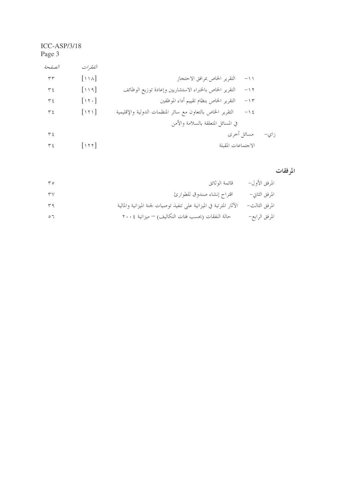| الصفحة     | الفقيرات                             |                                                                             |      |
|------------|--------------------------------------|-----------------------------------------------------------------------------|------|
| $\tau\tau$ | $[\lambda \lambda]$                  | التقرير الخاص بمرافق الاحتجاز<br>$-$ \ \                                    |      |
| ع ۳        | $[\cdot \cdot \cdot \cdot]$          | التقرير الخاص بالخبراء الاستشاريين وإعادة توزيع الوظائف<br>$-$ \ $\Upsilon$ |      |
| ۳٤         | $[\cdot \tau \cdot]$                 | التقرير الحاص بنظام تقييم أداء الموظفين<br>$-$ \ $\Upsilon$                 |      |
| ع ۳        | $[\rangle$ $\uparrow$ $\uparrow$ $]$ | التقرير الخاص بالتعاون مع سائر المنظمات الدولية والإقليمية<br>$- \wedge 2$  |      |
|            |                                      | في المسائل المتعلقة بالسلامة والأمن                                         |      |
| ع ۳        |                                      | مسائل أخرى                                                                  | زاي– |
| ۳٤         | [11]                                 | الاجتماعات المقبلة                                                          |      |

#### المرفقات

| $r \circ$  | قائمة الوثائق                                                         | المرفق الأول–  |
|------------|-----------------------------------------------------------------------|----------------|
| $\tau\vee$ | اقتراح إنشاء صندوق للطوارئ                                            | المرفق الثاني− |
| $\tau$ ٩   | الآثار المترتبة في الميزانية على تنفيذ توصيات لجنة الميزانية والمالية | المرفق الثالث– |
| $\circ$ 7  | حالة النفقات (بحسب فئات التكاليف) – ميزانية ٢٠٠٤                      | المرفق الرابع– |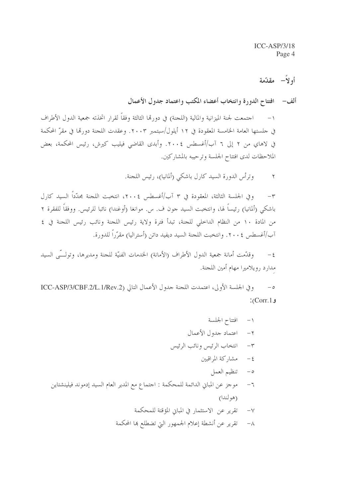#### أولاً— مقدّمة

ألف – افتتاح الدورة وانتخاب أعضاء المكتب واعتماد جدول الأعمال

١ – اجتمعت لجنة الميزانية والمالية (اللجنة) في دورها الثالثة وفقاً لقرار اتخذته جمعية الدول الأطراف في جلستها العامة الخامسة المعقودة في ١٢ أيلول/سبتمبر ٢٠٠٣. وعقدت اللجنة دورتما في مقرّ المحكمة في لاهاي من ٢ إلى ٦ آب/أغسطس ٢٠٠٤. وأبدى القاضي فيليب كيرش، رئيس المحكمة، بعض الملاحظات لدى افتتاح الجلسة وترحيبه بالمشاركين.

> وترأس الدورة السيد كارل باشكي (ألمانيا)، رئيس اللجنة.  $\mathbf{r}$

وفي الجلسة الثالثة، المعقودة في ٣ آب/أغسطس ٢٠٠٤، انتخبت اللجنة مجدَّداً السيد كارل  $-\tau$ باشكي (ألمانيا) رئيساً لها، وانتخبت السيد جون ف. س. موانغا (أوغندا) نائبا للرئيس. ووفقاً للفقرة ٢ من المادة ١٠ من النظام الداحلي للجنة، تبدأ فترة ولاية رئيس اللجنة ونائب رئيس اللجنة في ٤ آب/أغسطس ٢٠٠٤. وانتخبت اللجنة السيد ديفيد داتن (أستراليا) مقرّراً للدورة.

وقدَّمت أمانة جمعية الدول الأطراف (الأمانة) الخدمات الفنيَّة للجنة ومديرها، وتولَّـــّي السيد  $-\xi$ مدارد رويلاميرا مهام أمين اللجنة.

وفي الجلسة الأولى، اعتمدت اللجنة جدول الأعمال التالي ICC-ASP/3/CBF.2/L.1/Rev.2)  $-\circ$  $: (Corr.1)$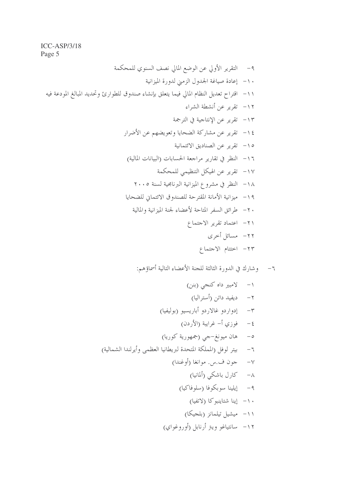٦– وشارك في الدورة الثالثة للجنة الأعضاء التالية أسماؤهم: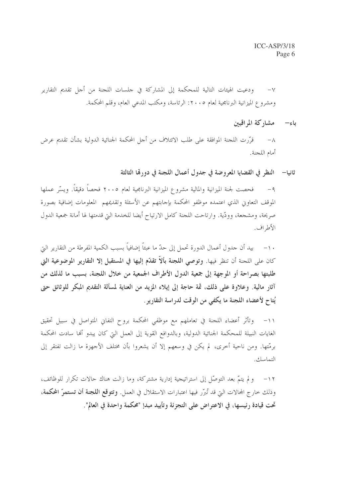ودعيت الهيئات التالية للمحكمة إلى المشاركة في حلسات اللحنة من أحل تقديم التقارير  $-\gamma$ ومشروع الميزانية البرنامجية لعام ٢٠٠٥: الرئاسة، ومكتب المدعى العام، وقلم المحكمة.

باء– مشاركة المراقبين

قرَّرت اللجنة الموافقة على طلب الائتلاف من أجل المحكمة الجنائية الدولية بشأن تقديم عرض  $-\lambda$ أمام اللجنة.

ثانيا— النظر في القضايا المعروضة في جدول أعمال اللجنة في دورهّا الثالثة

فحصت لجنة الميزانية والمالية مشروع الميزانية البرنامجية لعام ٢٠٠٥ فحصاً دقيقاً. ويسّر عملها  $-9$ الموقف التعاوني الذي اعتمده موظفو المحكمة بإجابتهم عن الأسئلة وتقديمهم المعلومات إضافية بصورة صريحة، ومشجعة، وودِّية. وارتاحت اللجنة كامل الارتياح أيضا للخدمة التي قدمتها لها أمانة جمعية الدول الأطراف.

بيد أن جدول أعمال الدورة تحمل إلى حدّ ما عبئاً إضافياً بسبب الكمية المفرطة من التقارير التي  $- \wedge$ كان على اللجنة أن تنظر فيها. وتوصى اللجنة بألاّ تقدّم إليها في المستقبل إلا التقارير الموضوعية التي طلبتها بصراحة أو الموجهة إلى جمعية الدول الأطراف الجمعية من خلال اللجنة، بسبب ما لذلك من آثار مالية. وعلاوة على ذلك، ثمة حاجة إلى إيلاء المزيد من العناية لمسألة التقديم المبكر للوثائق حتى يُتاح لأعضاء اللجنة ما يكفي من الوقت لدراسة التقارير .

وتأثر أعضاء اللجنة في تعاملهم مع موظفى المحكمة بروح التفاني المتواصل في سبيل تحقيق  $-11$ الغايات النبيلة للمحكمة الجنائية الدولية، وبالدوافع القوية إلى العمل التي كان يبدو أفما سادت المحكمة برمّتها. ومن ناحية أخرى، لم يكن في وسعهم إلا أن يشعروا بأن مختلف الأجهزة ما زالت تفتقر إلى التماسك.

١٢– ولم يتمَّ بعد التوصَّل إلى استراتيجية إدارية مشتركة، وما زالت هناك حالات تكرار للوظائف، وذلك خارج المحالات التي قد تُبرّر فيها اعتبارات الاستقلال في العمل. **وتتوقع اللجنة أن تستمرّ المحكمة**، تحت قيادة رئيسها، في الاعتراض على التجزئة وتأييد مبدإ "محكمة واحدة في العالم".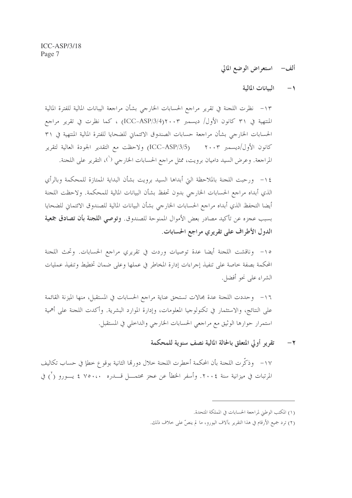#### ألف – استعراض الوضع المالي

#### السانات المالية  $-1$

١٣- نظرت اللجنة في تقرير مراجع الحسابات الخارجي بشأن مراجعة اليبانات المالية للفترة المالية المنتهية في ٣١ كانون الأول/ ديسمبر ٢٠٠٣(ICC-ASP/3/4) ، كما نظرت في تقرير مراجع الحسابات الخارجي بشأن مراجعة حسابات الصندوق الائتماني للضحايا للفترة المالية المنتهية في ٣١ كانون الأول/ديسمبر ٢٠٠٣ (ICC-ASP/3/5) ولاحظت مع التقدير الجودة العالية لتقرير المراجعة. وعرض السيد داميان برويت، ممثل مراجع الحسابات الخارجي (`)، التقرير على اللجنة.

١٤ - ورحبت اللجنة بالملاحظة التي أبداها السيد برويت بشأن البداية الممتازة للمحكمة وبالرأي الذي أبداه مراجع الحسابات الخارجي بدون تحفظ بشأن البيانات المالية للمحكمة. ولاحظت اللجنة أيضا التحفظ الذي أبداه مراجع الحسابات الخارجي بشأن البيانات المالية للصندوق الائتماني للضحايا بسبب عجزه عن تأكيد مصادر بعض الأموال الممنوحة للصندوق. **وتوصي اللجنة بأن تصادق جمعية** الدول الأطراف على تقريري مراجع الحسابات.

١٥- وناقشت اللجنة أيضا عدة توصيات وردت في تقريري مراجع الحسابات. وتحث اللجنة المحكمة بصفة حاصة على تنفيذ إجراءات إدارة المخاطر في عملها وعلى ضمان تخطيط وتنفيذ عمليات الشراء على نحو أفضل.

١٦- وحددت اللجنة عدة مجالات تستحق عناية مراجع الحسابات في المستقبل، منها الميزنة القائمة على النتائج، والاستثمار في تكنولوجيا المعلومات، وإدارة الموارد البشرية. وأكدت اللجنة على أهمية استمرار حوارها الوثيق مع مراجعي الحسابات الخارجي والداخلي في المستقبل.

> تقرير أولى المتعلق بالحالة المالية نصف سنوية للمحكمة  $-7$

١٧– وذكَّرت اللجنة بأن المحكمة أخطرت اللجنة خلال دورقما الثانية بوقوع خطإ في حساب تكاليف المرتبات في ميزانية سنة ٢٠٠٤. وأسفر الخطأ عن عجز محتمـــل قــــدره ٧٥٠،٠ ٤ يـــورو ( ٌ) في

<sup>(</sup>١) المكتب الوطني لمراجعة الحسابات في المملكة المتحدة.

<sup>(</sup>٢) ترد جميع الأرقام في هذا التقرير بآلاف اليورو، ما لم ينصِّ على خلاف ذلك.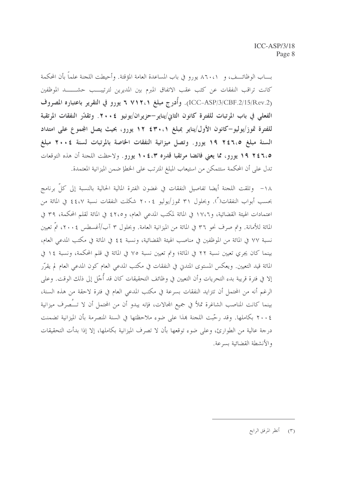بــــاب الوظائــــف، و ١، ٨٦٠ يورو في باب المساعدة العامة المؤقتة. وأحيطت اللجنة علماً بأن المحكمة كانت تراقب النفقات عن كثب عقب الاتفاق المبرم بين المديرين لترتيبــب حشـــــــد الموظفين (ICC-ASP/3/CBF.2/15/Rev.2). وأُدرج مبلغ ٧١٢،١ يورو في التقرير باعتباره المصروف الفعلي في باب المرتبات للفترة كانون الثاني/يناير –حزيران/يونيو ٢٠٠٤. وتقدّر النفقات المرتقبة للفترة تموز/يوليو–كانون الأول/يناير بمبلغ ٤٣٠،١ د يورو، بحيث يصل المجموع على امتداد السنة مبلغ ٢٤٦،٥ 1٩ يورو. وتصل ميزانية النفقات الخاصة بالمرتبات لسنة ٢٠٠٤ مبلغ ٢٤٦،٥ ٢٩ يورو، مما يعني فائضا مرتقبا قدره ٢،٤،٣ يورو. ولاحظت اللجنة أن هذه التوقعات تدل على أن المحكمة ستتمكن من استيعاب المبلغ المترتب على الخطإ ضمن الميزانية المعتمدة.

١٨- وتلقت اللجنة أيضا تفاصيل النفقات في غضون الفترة المالية الحالية بالنسبة إلى كلِّ برنامج بحسب أبواب النفقات("). وبحلول ٣١ تموز/يوليو ٢٠٠٤ شكلت النفقات نسبة ٤٤،٧ في المائة من اعتمادات الهيئة القضائية، و١٧،٦ في المائة لمكتب المدعى العام، و٢،٥٤ في المائة لقلم المحكمة، ٣٩ في المائة للأمانة. وتم صرف نحو ٣٦ في المائة من الميزانية العامة. وبحلول ٣ آب/أغسطس ٢٠٠٤، تمَّ تعيين نسبة ٧٧ في المائة من الموظفين في مناصب الهيئة القضائية، ونسبة ٤٤ في المائة في مكتب المدعى العام، بينما كان يجري تعيين نسبة ٢٢ في المائة؛ وتم تعيين نسبة ٧٥ في المائة في قلم المحكمة، ونسبة ١٤ في المائة قيد التعيين. ويعكس المستوى المتدىٰ في النفقات في مكتب المدعى العام كون المدعى العام لم يقرَّر إلا في فترة قريبة بدء التحريات وأن التعيين في وظائف التحقيقات كان قد أُجَّل إلى ذلك الوقت. وعلى الرغم أنه من المحتمل أن تتزايد النفقات بسرعة في مكتب المدعى العام في فترة لاحقة من هذه السنة، بينما كانت المناصب الشاغرة تملأ في جميع المحالات، فإنه يبدو أن من المحتمل أن لا تـــُصرف ميزانية ٢٠٠٤ بكاملها. وقد رحَّبت اللجنة بهذا على ضوء ملاحظتها في السنة المنصرمة بأن الميزانية تضمنت درجة عالية من الطوارئ، وعلى ضوء توقعها بأن لا تصرف الميزانية بكاملها، إلا إذا بدأت التحقيقات والأنشطة القضائية بسرعة.

(٣) أنظر المرفق الرابع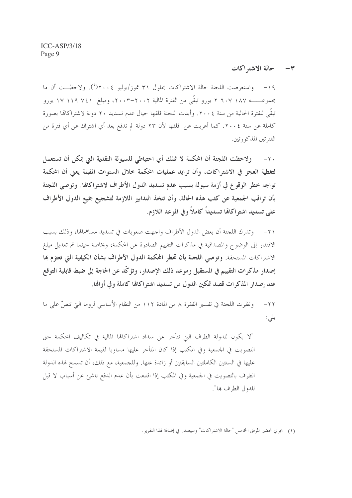حالة الاشتراكات  $-1$ 

واستعرضت اللجنة حالة الاشتراكات بحلول ٣١ تموز/يوليو ٢٠٠٤أ). ولاحظــت أن ما  $-19$ مجموعــــــه ١٨٧ ٦٠٧ ٢ يورو تبقَّى من الفترة المالية ٢٠٠٢-٢٠٠٣، ومبلغ ٧٤١ ١٧ ١١٩ يورو تبقَّى للفترة الحالية من سنة ٢٠٠٤. وأبدت اللجنة قلقها حيال عدم تسديد ٢٠ دولة لاشتراكاتما بصورة كاملة عن سنة ٢٠٠٤. كما أعربت عن قلقها لأن ٢٣ دولة لم تدفع بعد أي اشتراك عن أي فترة من الفترتين المذكورتين.

٢٠ - ولاحظت اللجنة أن المحكمة لا تملك أي احتياطي للسيولة النقدية التي يمكن أن تستعمل لتغطية العجز في الاشتراكات، وأن تزايد عمليات المحكمة خلال السنوات المقبلة يعني أن المحكمة تواجه خطر الوقوع في أزمة سيولة بسبب عدم تسديد الدول الأطراف لاشتراكاڤا. وتوصى اللجنة بأن تراقب الجمعية عن كثب هذه الحالة، وأن تتخذ التدابير اللازمة لتشجيع جميع الدول الأطراف على تسديد اشتراكالها تسديداً كاملاً وفي الموعد اللازم.

٢١ – وتدرك اللجنة أن بعض الدول الأطراف واجهت صعوبات في تسديد مساهماهّا، وذلك بسبب الافتقار إلى الوضوح والمصداقية في مذكرات التقييم الصادرة عن المحكمة، وبخاصة حيثما تم تعديل مبلغ الاشتراكات المستحقة. وتوصى اللجنة بأن تخطر المحكمة الدول الأطراف بشأن الكيفية التي تعتزم بما إصدار مذكرات التقييم في المستقبل وموعد ذلك الإصدار ، وتؤكَّد عن الحاجة إلى ضبط قابلية التوقع عند إصدار المذكرات قصد تمكين الدول من تسديد اشتراكالها كاملة وفي أوالها.

ونظرت اللجنة في تفسير الفقرة ٨ من المادة ١١٢ من النظام الأساسي لروما التي تنصَّ على ما  $-77$ يلى:

"لا يكون للدولة الطرف التي تتأخر عن سداد اشتراكاتما المالية في تكاليف المحكمة حق التصويت في الجمعية وفي المكتب إذا كان المتأخر عليها مساويا لقيمة الاشتراكات المستحقة عليها في السنتين الكاملتين السابقتين أو زائدة عنها. وللجمعية، مع ذلك، أن تسمح لهذه الدولة الطرف بالتصويت في الجمعية وفي المكتب إذا اقتنعت بأن عدم الدفع ناشئ عن أسباب لا قبل للدول الطرف ها".

<sup>(</sup>٤) يجري تحضير المرفق الخامس "حالة الاشتراكات" وسيصدر في إضافة لهذا التقرير .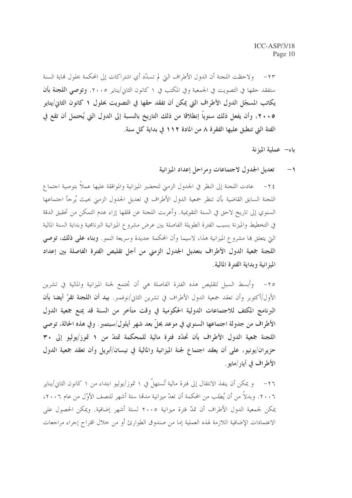٢٣– ولاحظت اللجنة أن الدول الأطراف التي لم تسدَّد أي اشتراكات إلى المحكمة بحلول نماية السنة ستفقد حقها في التصويت في الجمعية وفي المكتب في ١ كانون الثاني/يناير ٢٠٠٥. وتوصى ا**للجنة بأن** يكاتب المسجّل الدول الأطراف التي يمكن أن تفقد حقها في التصويت بحلول ١ كانون الثاني/يناير ٢٠٠٥، وأن يفعل ذلك سنوياً إنطلاقًا من ذلك التاريخ بالنسبة إلى الدول التي يُحتمل أن تقع في الفئة التي تنطبق عليها الفقرة ٨ من المادة ١١٢ في بداية كل سنة.

باء– عملية الميزنة

تعديل الجدول لاجتماعات ومراحل إعداد الميزانية  $\rightarrow$ 

٢٤ – عادت اللجنة إلى النظر في الجدول الزمين لتحضير الميزانية والموافقة عليها عملاً بتوصية اجتماع اللحنة السابق القاضية بأن تنظر جمعية الدول الأطراف في تعديل الجدول الزمني بحيث يُرحأ احتماعها السنوي إلى تاريخ لاحق في السنة التقويمية. وأعربت اللحنة عن قلقها إزاء عدم التمكن من تحقيق الدقة في التخطيط والميزنة بسبب الفترة الطويلة الفاصلة بين عرض مشروع الميزانية البرنامجية وبداية السنة المالية التي يتعلق ها مشروع الميزانية هذا، لاسيما وأن المحكمة جديدة وسريعة النمو . **وبناء علمي ذلك، توصي** اللجنة جمعية الدول الأطراف بتعديل الجدول الزمني من أجل تقليص الفترة الفاصلة بين إعداد الميز انية وبداية الفترة المالية.

وأبسط السبل لتقليص هذه الفترة الفاصلة هي أن تجتمع لجنة الميزانية والمالية في تشرين  $-\tau$ الأول/أكتوبر وأن تعقد جمعية الدول الأطراف في تشرين الثاني/نوفمبر . **بيد أن اللجنة تقرّ أيضا بأن** البرنامج المكثف للاجتماعات الدولية الحكومية في وقت متأخر من السنة قد يمنع جمعية الدول الأطراف من جدولة اجتماعها السنوي في موعد يحلُّ بعد شهرٍ أيلول/سبتمبرٍ . وفي هذه الحالة، توصى اللجنة جمعية الدول الأطراف بأن تحدَّد فترة مالية للمحكمة تمتدَّ من ١ تموز/يوليو إلى ٣٠ حزيران/يونيو، على أن يعقد اجتماع لجنة الميزانية والمالية في نيسان/أبريل وأن تعقد جمعية الدول الأطراف في أيار/مايو .

٢٦– و يمكن أن ينفذ الانتقال إلى فترة مالية تُستهلُّ في ١ تموز/يوليو ابتداء من ١ كانون الثاني/يناير ٢٠٠٦. وبدلاً من أن يُطلب من المحكمة أن تعدّ ميزانية مدمّا ستة أشهر للنصف الأوّل من عام ٢٠٠٦، يمكن لجمعية الدول الأطراف أن تمدّ فترة ميزانية ٢٠٠٥ لستة أشهر إضافية. ويمكن الحصول على الاعتمادات الإضافية اللازمة لهذه العملية إما من صندوق الطوارئ أو من خلال اقتراح إجراء مراجعات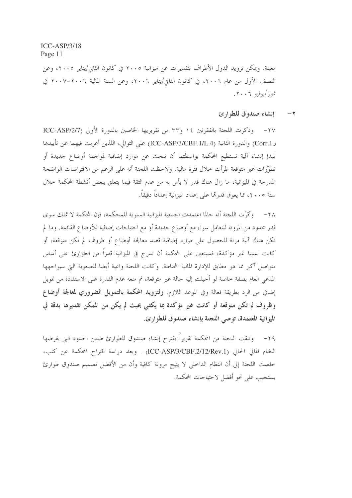معينة. ويمكن تزويد الدول الأطراف بتقديرات عن ميزانية ٢٠٠٥ في كانون الثاني/يناير ٢٠٠٥، وعن النصف الأول من عام ٢٠٠٦، في كانون الثاني/يناير ٢٠٠٦، وعن السنة المالية ٢٠٠٦-٢٠٠٧ في تمو ز/يوليو ٢٠٠٦.

> إنشاء صندوق للطوارئ  $-7$

٢٧- وذكرت اللجنة بالفقرتين ١٤ و٣٣ من تقريريها الخاصين بالدورة الأولى (ICC-ASP/2/7 و Corr.1) والدورة الثانية (ICC-ASP/3/CBF.1/L.4) على التوالي، اللذين أعربت فيهما عن تأييدها لمبدإ إنشاء آلية تستطيع المحكمة بواسطتها أن تبحث عن موارد إضافية لمواجهة أوضاع جديدة أو تطوَّرات غير متوقعة طرأت خلال فترة مالية. ولاحظت اللجنة أنه على الرغم من الافتراضات الواضحة المدرجة في الميزانية، ما زال هناك قدر لا بأس به من عدم الثقة فيما يتعلق ببعض أنشطة المحكمة خلال سنة ٢٠٠٥، مما يعوق قدرهًا على إعداد الميزانية إعداداً دقيقاً.

٢٨ – وأقرَّت اللجنة أنه حالما اعتمدت الجمعية الميزانية السنوية للمحكمة، فإن المحكمة لا تملك سوى قدر محدود من المرونة للتعامل سواء مع أوضاع جديدة أو مع احتياحات إضافية للأوضاع القائمة. وما لم تكن هناك آلية مرنة للحصول على موارد إضافية قصد معالجة أوضاع أو ظروف لم تكن متوقعة، أو كانت نسبيا غير مؤكدة، فسيتعين على المحكمة أن تدرج في الميزانية قدراً من الطوارئ على أساس متواصل أكبر مما هو مطابق للإدارة المالية المحتاطة. وكانت اللجنة واعية أيضا للصعوبة التي سيواجهها المدعى العام بصفة خاصة لو أحيلت إليه حالة غير متوقعة، ثم منعه عدم القدرة على الاستفادة من تمويل إضافي من الرد بطريقة فعالة وفي الموعد اللازم. ولتزويد المحكمة بالتمويل الضروري لمعالجة أوضاع وظروف لم تكن متوقعة أو كانت غيرٍ مؤكدة بما يكفي بحيث لم يكن من الممكن تقديرها بدقة في الميزانية المعتمدة، توصي اللجنة بإنشاء صندوق للطوارئ.

وتلقت اللجنة من المحكمة تقريراً يقترح إنشاء صندوق للطوارئ ضمن الحدود التي يفرضها  $-\tau$ 9 النظام المالي الحالي (ICC-ASP/3/CBF.2/12/Rev.1) . وبعد دراسة اقتراح المحكمة عن كثب، خلصت اللجنة إلى أن النظام الداخلي لا يتيح مرونة كافية وأن من الأفضل تصميم صندوق طوارئ يستجيب على نحو أفضل لاحتياجات المحكمة.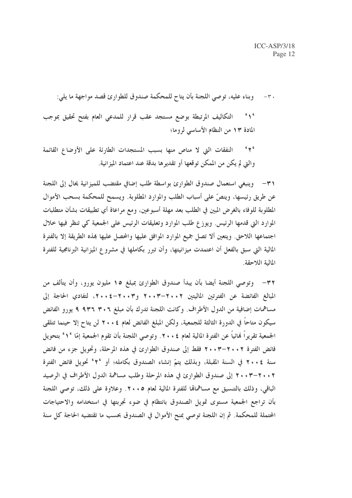٣٠ - وبناء عليه، توصى اللجنة بأن يتاح للمحكمة صندوق للطوارئ قصد مواجهة ما يلي: التكاليف المرتبطة بوضع مستجد عقب قرار للمدعى العام بفتح تحقيق بموجب  $6 \wedge 6$ المادة ١٣ من النظام الأساسي لروما؛

 $6 + 6$ النفقات التي لا مناص منها بسبب المستجدات الطارئة على الأوضاع القائمة والتي لم يكن من الممكن توقعها أو تقديرها بدقة عند اعتماد الميزانية.

٣١ - وينبغي استعمال صندوق الطوارئ بواسطة طلب إضافي مقتضب للميزانية يحال إلى اللجنة عن طريق رئيسها، وينصِّ على أسباب الطلب والموارد المطلوبة. ويسمح للمحكمة بسحب الأموال المطلوبة للوفاء بالغرض المبين في الطلب بعد مهلة أسبوعين، ومع مراعاة أي تطبيقات بشأن متطلبات الموارد التي قدمها الرئيس ويوزع طلب الموارد وتعليقات الرئيس على الجمعية كي تنظر فيها خلال اجتماعها اللاحق. ويتعين ألا تصل جميع الموارد الموافق عليها والمحصل عليها بمذه الطريقة إلا بالفترة المالية التي سبق بالفعل أن اعتمدت ميزانيتها، وأن تبرر بكاملها في مشروع الميزانية البرنامجية للفترة المالية اللاحقة.

٣٢- وتوصى اللجنة أيضا بأن يبدأ صندوق الطوارئ بمبلغ ١٥ مليون يورو، وأن يتألف من المبالغ الفائضة عن الفترتين الماليتين ٢٠٠٢-٢٠٠٣ و٢٠٠٣-٤٠٠٤، لتفادي الحاجة إلى مساهمات إضافية من الدول الأطراف. وكانت اللجنة تدرك بأن مبلغ ٣٠٦ ٩٣٦ ٩ يورو الفائض سيكون متاحًا في الدورة الثالثة للجمعية، ولكن المبلغ الفائض لعام ٢٠٠٤ لن يتاح إلا حينما تتلقى الجمعية تقريراً فمائياً عن الفترة المالية لعام ٢٠٠٤. وتوصى اللجنة بأن تقوم الجمعية إمّا ٢٠° بتحويل فائض الفترة ٢٠٠٢-٢٠٠٣ فقط إلى صندوق الطوارئ في هذه المرحلة، وتحويل جزء من فائض سنة ٢٠٠٤ في السنة المقبلة، وبذلك يتمّ إنشاء الصندوق بكامله؛ أو ٢٠° تحويل فائض الفترة ٢٠٠٣-٢٠٠٣ إلى صندوق الطوارئ في هذه المرحلة وطلب مساهمة الدول الأطراف في الرصيد الباقي، وذلك بالتنسيق مع مساهماهّا للفترة المالية لعام ٢٠٠٥. وعلاوة على ذلك، توصى اللجنة بأن تراجع الجمعية مستوى تمويل الصندوق بانتظام في ضوء تجربتها في استخدامه والاحتياجات المحتملة للمحكمة. ثم إن اللجنة توصى بمنح الأموال في الصندوق بحسب ما تقتضيه الحاجة كل سنة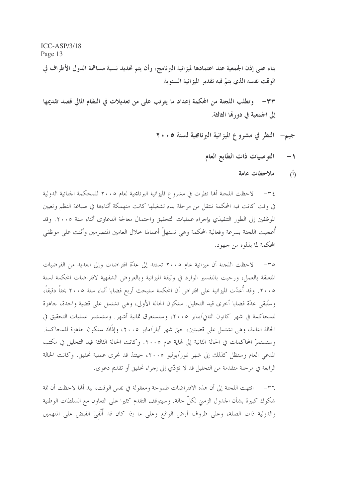بناء على إذن الجمعية عند اعتمادها لميزانية البرنامج، وأن يتم تحديد نسبة مساهمة الدول الأطراف في الوقت نفسه الذي يتمّ فيه تقدير الميزانية السنوية.

٣٣– وتطلب اللجنة من المحكمة إعداد ما يترتب على من تعديلات في النظام المالي قصد تقديمها إلى الجمعية في دورقما الثالثة.

جيم— النظر في مشروع الميزانية البرنامجية لسنة ٢٠٠٥

- التوصيات ذات الطابع العام  $\rightarrow$ 
	- ملاحظات عامة  $\langle \dot{h} \rangle$

لاحظت اللجنة ألها نظرت في مشروع الميزانية البرنامجية لعام ٢٠٠٥ للمحكمة الجنائية الدولية  $-\tau$  { في وقت كانت فيه المحكمة تنتقل من مرحلة بدء تشغيلها كانت منهمكة أثناءها في صياغة النظم وتعيين الموظفين إلى الطور التنفيذي بإجراء عمليات التحقيق واحتمال معالجة الدعاوى أثناء سنة ٢٠٠٥. وقد أعجبت اللجنة بسرعة وفعالية المحكمة وهي تستهلّ أعمالها خلال العامين المنصرمين وأثنت على موظفى المحكمة لما بذلوه من جهود.

٣٥ – لاحظت اللجنة أن ميزانية عام ٢٠٠٥ تستند إلى عدّة اقتراضات وإلى العديد من الفرضيات المتعلقة بالعمل، ورحبت بالتفسير الوارد في وثيقة الميزانية وبالعروض الشفهية لافتراضات المحكمة لسنة ٢٠٠٥. وقد أُعدّت الميزانية على افتراض أن المحكمة ستبحث أربع قضايا أثناء سنة ٢٠٠٥ بحثاً دقيقاً، وستُبقى عدَّة قضايا أحرى قيد التحليل. ستكون الحالة الأولى، وهي تشتمل على قضية واحدة، حاهزة للمحاكمة في شهر كانون الثاني/يناير ٢٠٠٥، وستستغرق ثمانية أشهر. وستستمر عمليات التحقيق في الحالة الثانية، وهي تشتمل على قضيتين، حيّ شهر أيار/مايو ٢٠٠٥، وإذَّاك ستكون جاهزة للمحاكمة. وستستمرَّ المحاكمات في الحالة الثانية إلى هاية عام ٢٠٠٥. وكانت الحالة الثالثة قيد التحليل في مكتب المدعى العام وستظل كذلك إلى شهر تموز/يوليو ٢٠٠٥، حينئذ قد تجرى عملية تحقيق. وكانت الحالة الرابعة في مرحلة متقدمة من التحليل قد لا تؤدّي إلى إجراء تحقيق أو تقديم دعوى.

٣٦- انتهت اللحنة إلى أن هذه الافتراضات طموحة ومعقولة في نفس الوقت، بيد ألها لاحظت أن ثمة شكوك كبيرة بشأن الجدول الزمين لكلِّ حالة. وسيتوقف التقدم كثيرا على التعاون مع السلطات الوطنية والدولية ذات الصلة، وعلى ظروف أرض الواقع وعلى ما إذا كان قد أُلْقِيَ القبض على المتهمين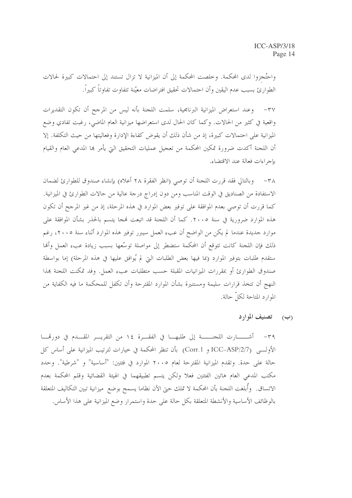واحتُجزوا لدى المحكمة. وحلصت المحكمة إلى أن الميزانية لا تزال تستند إلى احتمالات كبيرة لحالات الطوارئ بسبب عدم اليقين وأن احتمالات تحقيق افتراضات معيّنة تتفاوت تفاوتاً كبيراً.

وعند استعراض الميزانية البرنامجية، سلمت اللجنة بأنه ليس من المرجح أن تكون التقديرات  $-\mathbf{r} \vee$ واقعية في كثيرٍ من الحالات. وكما كان الحال لدى استعراضها ميزانية العام الماضي، رغبت تفادي وضع الميزانية على احتمالات كبيرة، إذ من شأن ذلك أن يقوض كفاءة الإدارة وفعاليتها من حيث التكلفة. إلا أن اللجنة أكدت ضرورة تمكين المحكمة من تعجيل عمليات التحقيق التي يأمر بما المدعي العام والقيام بإجراءات فعالة عند الاقتضاء.

وبالتالي فقد قررت اللحنة أن توصى (انظر الفقرة ٢٨ أعلاه) بإنشاء صندوق للطوارئ لضمان  $-\tau \wedge$ الاستفادة من الصناديق في الوقت المناسب ومن دون إدراج درجة عالية من حالات الطوارئ في الميزانية. كما قررت أن توصى بعدم الموافقة على توفير بعض الموارد في هذه المرحلة، إذ من غير المرجح أن تكون هذه الموارد ضرورية في سنة ٢٠٠٥. كما أن اللجنة قد اتبعت فمجا يتسم بالحذر بشأن الموافقة على موارد جديدة عندما لم يكن من الواضح أن عبء العمل سيبرر توفير هذه الموارد أثناء سنة ٢٠٠٥، رغم ذلك فإن اللجنة كانت تتوقع أن المحكمة ستضطر إلى مواصلة توسَّعها بسبب زيادة عبء العمل وألها ستقدم طلبات بتوفير الموارد (بما فيها بعض الطلبات التي لم يُوافق عليها في هذه المرحلة) إما بواسطة صندوق الطوارئ أو بمقررات الميزانيات المقبلة حسب متطلبات عبء العمل. وفد تمكنت اللجنة بمذا النهج أن تتخذ قرارات سليمة ومستنيرة بشأن الموارد المقترحة وأن تكفل للمحكمة ما فيه الكفاية من الموارد المتاحة لكلِّ حالة.

(ب) تصنيف الموارد

٣٩- أشـــــــارت اللجنــــــــة إلى طلبهــــا في الفقـــرة ١٤ من التقريـــر المقـــدم في دورقمـــا الأولـــي ICC-ASP/2/7 و Corr.1) بأن تنظر المحكمة في حيارات لترتيب الميزانية على أساس كل حالة على حدة. وتقدم الميزانية المقترحة لعام ٢٠٠٥ الموارد في فئتين: "أساسية" و "شرطية". وحدد مكتب المدعى العام هاتين الفئتين فعلا ولكن يتسم تطبيقهما في الهيئة القضائية وقلم المحكمة بعدم الاتساق. وأُبلغت اللجنة بأن المحكمة لا تملك حتى الآن نظاما يسمح بوضع ميزانية تبين التكاليف المتعلقة بالوظائف الأساسية والأنشطة المتعلقة بكل حالة على حدة واستمرار وضع الميزانية على هذا الأساس.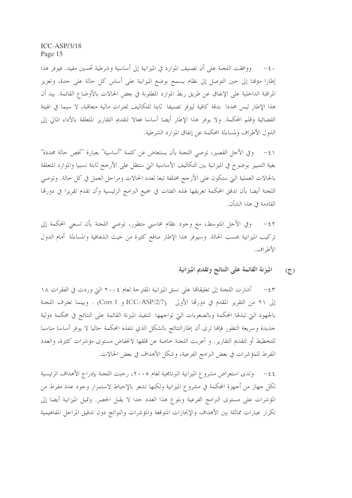· ٤- ووافقت اللحنة على أن تصنيف الموارد في الميزانية إلى أساسية وشرطية تحسين مفيد. فيوفر هذا إطارا مؤقتا إلى حين التوصل إلى نظام يسمح بوضع الميزانية على أساس كل حالة على حدة، وتعزيز المراقبة الداخلية على الإنفاق عن طريق ربط الموارد المطلوبة في بعض الحالات بالأوضاع القائمة. بيد أن هذا الإطار ليس محددا بدقة كافية ليوفر تصنيفا ثابتا للتكاليف لفترات مالية متعاقبة، لا سيما في الهيئة القضائية وقلم المحكمة. ولا يوفر هذا الإطار أيضا أساسا فعالا لتقديم التقارير المتعلقة بالأداء المالي إلى الدول الأطراف ولمساءلة المحكمة عن إنفاق الموارد الشرطية.

وفي الأجل القصير، توصى اللجنة بأن يستعاض عن كلمة "أساسية" بعبارة "تخص حالة محددة"  $-\xi$ بغية التمييز بوضوح في الميزانية بين التكاليف الأساسية التي ستظل على الأرجح ثابتة نسبيا والموارد المتعلقة بالحالات العملية التي ستكون على الأرجح مختلفة تبعا لعدد الحالات ومراحل العمل في كل حالة. وتوصى اللجنة أيضا بأن تدقق المحكمة تعريفها لهذه الفئات في جميع البرامج الرئيسية وأن تقدم تقريرا في دورقما القادمة في هذا الشأن.

وفي الأجل المتوسط، مع وجود نظام محاسبي متطور، توصى اللجنة بأن تسعى المحكمة إلى  $-57$ تركيب الميزانية بحسب الحالة. وسيوفر هذا الإطار منافع كثيرة من حيث الشفافية والمساءلة أمام الدول الأطراف.

#### الميزنة القائمة على النتائج وتقديم الميزانية  $(7)$

٤٣ – أشارت اللجنة إلى تعليقاهما على نسق الميزانية المقترحة لعام ٢٠٠٤ التي وردت في الفقرات ١٨ إلى ٢١ من التقرير المقدم في دورهّا الأولى (ICC-ASP/2/7 و Corr.1) . وبينما تعترف اللجنة بالجهود التي تبذلها المحكمة وبالصعوبات التي تواجهها كتنفيذ الميزنة القائمة على النتائج في محكمة دولية جديدة وسريعة التطور فإنها ترى أن إطارالنتائج بالشكل الذي تنفذه المحكمة حاليا لا يوفر أساسا مناسبا للتخطيط أو لتقديم التقارير . و أعربت اللجنة حاصة عن قلقها لانخفاض مستوى مؤشرات كثيرة، والعدد المفرط للمؤشرات في بعض البرامج الفرعية، وشكل الأهداف في بعض الحالات.

٤٤– ولدى استعراض مشروع الميزانية البرنامجية لعام ٢٠٠٥، رحبت اللجنة بإدراج الأهداف الرئيسية لكل جهاز من أجهزة المحكمة في مشروع الميزانية ولكنها تشعر بالإحباط لاستمرار وجود عدد مفرط من المؤشرات على مستوى البرامج الفرعية وبلوغ هذا العدد حدا لا يقبل الحصر. وقميل الميزانية أيضا إلى تكرار عبارات مماثلة بين الأهداف والإنجازات المتوقعة والمؤشرات والنواتج دون تدقيق المراحل المفاهيمية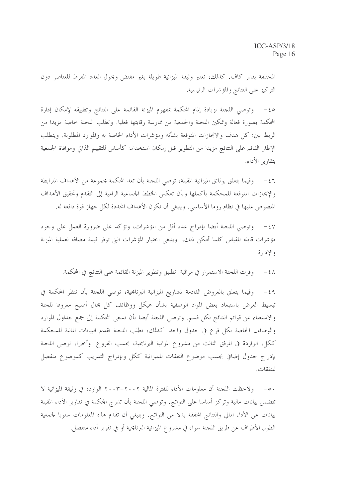المختلفة بقدر كاف. كذلك، تعتبر وثيقة الميزانية طويلة بغير مقتض ويحول العدد المفرط للعناصر دون التركيز على النتائج والمؤشرات الرئيسية.

6 ع – وتوصى اللجنة بزيادة إلمام المحكمة بمفهوم الميزنة القائمة على النتائج وتطبيقه لإمكان إدارة المحكمة بصورة فعالة وتمكين اللجنة والجمعية من ممارسة رقابتها فعليا. وتطلب اللجنة خاصة مزيدا من الربط بين: كل هدف والانجازات المتوقعة بشأنه ومؤشرات الأداء الخاصة به والموارد المطلوبة. ويتطلب الإطار القائم على النتائج مزيدا من التطوير قبل إمكان استخدامه كأساس للتقييم الذاتي وموافاة الجمعية بتقارير الأداء.

وفيما يتعلق بوثائق الميزانية المقبلة، توصى اللجنة بأن تعد المحكمة مجموعة من الأهداف المترابطة  $-57$ والإنجازات المتوقعة للمحكمة بأكملها وبأن تعكس الخطط الجماعية الرامية إلى التقدم وتحقيق الأهداف المنصوص عليها في نظام روما الأساسي. وينبغي أن تكون الأهداف المحددة لكل جهاز قوة دافعة له.

٤٧ - وتوصى اللجنة أيضا بإدراج عدد أقل من المؤشرات، وتؤكد على ضرورة العمل على وجود مؤشرات قابلة للقياس كلما أمكن ذلك، وينبغي اختيار المؤشرات التي توفر قيمة مضافة لعملية الميزنة والإدارة.

وقرت اللجنة الاستمرار في مراقبة ًتطبيق وتطوير الميزنة القائمة على النتائج في المحكمة.  $-\xi \wedge$ 

٤٩ - وفيما يتعلق بالعروض القادمة لمشاريع الميزانية البرنامجية، توصى اللحنة بأن تنظر المحكمة في تبسيط العرض باستبعاد بعض المواد الوصفية بشأن هيكل ووظائف كل مجال أصبح معروفا للجنة والاستغناء عن قوائم النتائج لكل قسم. وتوصى اللحنة أيضا بأن تسعى المحكمة إلى جمع حداول الموارد والوظائف الخاصة بكل فرع في جدول واحد. كذلك، تطلب اللحنة تقديم البيانات المالية للمحكمة ككل، الواردة في المرفق الثالث من مشروع المزانية البرنامجية، بحسب الفروع. وأخيرا، توصى اللحنة بإدراج حدول إضافي بجسب موضوع النفقات للميزانية ككل وبإدراج التدريب كموضوع منفصل للنفقات.

٥٠ – ولاحظت اللجنة أن معلومات الأداء للفترة المالية ٢٠٠٢-٢٠٠٣ الواردة في وثيقة الميزانية لا تتضمن بيانات مالية وتركز أساسا على النواتج. وتوصى اللحنة بأن تدرج المحكمة في تقارير الأداء المقبلة بيانات عن الأداء المالي والنتائج المحققة بدلا من النواتج. وينبغي أن تقدم هذه المعلومات سنويا لجمعية الطول الأطراف عن طريق اللجنة سواء في مشروع الميزانية البرنامجية أو في تقرير أداء منفصل.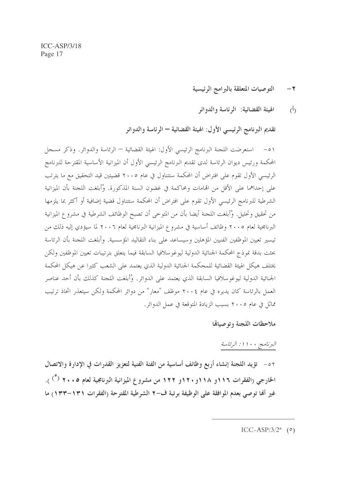- التوصيات المتعلقة بالبرامج الرئيسية  $-\tau$ 
	- الهيئة القضائية: الرئاسة والدوائر  $(\mathring{I})$

تقديم البرنامج الرئيسي الأول: الهيئة القضائية – الرئاسة والدوائر

٥١ – استعرضت اللجنة البرنامج الرئيسي الأول: الهيئة القضائية — الرئاسة والدوائر. وذكر مسحل المحكمة ورئيس ديوان الرئاسة لدى تقديم البرنامج الرئيسي الأول أن الميزانية الأساسية المقترحة للبرنامج الرئيسي الأول تقوم على افتراض أن المحكمة ستتناول في عام ٢٠٠٥ قضيتين قيد التحقيق مع ما يترتب على إحداهما على الأقل من الهامات ومحاكمة في غضون السنة المذكورة. وُأبلغت اللجنة بأن الميزانية الشرطية للبرنامج الرئيسي الأول تقوم على افتراض أن المحكمة ستتناول قضية إضافية أو أكثر بما يلزمها من تحقيق وتحليل. وُأبلغت اللحنة أيضا بأن من المتوحى أن تصبح الوظائف الشرطية في مشروع الميزانية البرنامجية لعام ٢٠٠٥ وظائف أساسية في مشروع الميزانية البرنامجية لعام ٢٠٠٦ لما سيؤدي إليه ذلك من تيسير تعيين الموظفين الفنيين المؤهلين وسيساعد على بناء التقاليد المؤسسية. وأبلغت اللجنة بأن الرئاسة بحثت بدقة نموذج المحكمة الجنائية الدولية ليوغوسلافيا السابقة فيما يتعلق بترتيبات تعيين الموظفين ولكن يختلف هيكل الهيئة القضائية للمحكمة الجنائية الدولية الذي يعتمد على الشعب كثيرا عن هيكل المحكمة الجنائية الدولية ليوغوسلافيا السابقة الذي يعتمد على الدوائر. وُأبلغت اللجنة كذلك بأن أحد عناصر العمل بالرئاسة كان يديره في عام ٢٠٠٤ موظف "معار" من دوائر المحكمة ولكن سيتعذر اتخاذ ترتيب مماثل في عام ٢٠٠٥ بسبب الزيادة المتوقعة في عمل الدوائر .

ملاحظات اللجنة وتوصياقما

#### البرنامج ۱۱۰۰ از الرئاسة

٥٢ -- تؤيد اللجنة إنشاء أربع وظائف أساسية من الفئة الفنية لتعزيز القدرات في الإدارة والاتصال الخارجي (الفقرات ١١٦و ١١٨و.١٢٠و ١٢٢ من مشروع الميزانية البرنامجية لعام ٢٠٠٥ <sup>(٥</sup>) <sub>)</sub>. غير أُهَا توصى بعدم الموافقة على الوظيفة برتبة ف-٢ الشرطية المقترحة (الفقرات ١٣١–١٣٣) ما

 $ICC-ASP/3/2^*$  ( $\circ$ )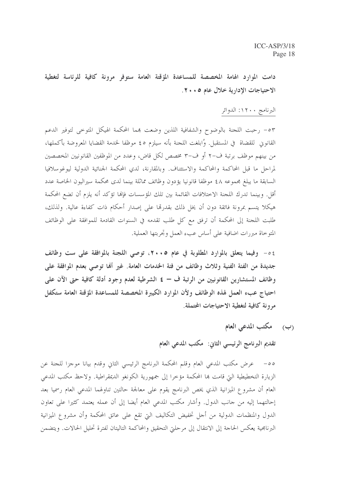دامت الموارد الهامة المخصصة للمساعدة المؤقتة العامة ستوفر مرونة كافية للرئاسة لتغطية الاحتياجات الإدارية خلال عام ١٠٠٥.

البرنامج ۱۲۰۰: الدوائر

٥٣ - رحبت اللجنة بالوضوح والشفافية اللذين وضعت بمما المحكمة الهيكل المتوحى لتوفير الدعم القانوين للقضاة ۖ في المستقبل. وُابلغت اللجنة بأنه سيلزم ٤٥ موظفًا لحدمة القضايا المعروضة بأكملها، من بينهم موظف برتبة ف-٢ أو ف-٣ مخصص لكل قاض، وعدد من الموظفين القانونيين المخصصين لمراحل ما قبل المحاكمة والمحاكمة والاستئناف. وبالمقارنة، لدي المحكمة الجنائية الدولية ليوغوسلافيا السابقة ما يبلغ مجموعه ٤٨ موظفا قانونيا يؤدون وظائف مماثلة بينما لدى محكمة سيراليون الخاصة عدد أقل. وبينما تدرك اللجنة الاختلافات القائمة بين تلك المؤسسات فإنها تؤكد أنه يلزم أن تضع المحكمة هيكلا يتسم بمرونة فائقة دون أن يخل ذلك بقدرها على إصدارٍ أحكام ذات كفاءة عالية. ولذلك، طلبت اللجنة إلى المحكمة أن ترفق مع كل طلب تقدمه في السنوات القادمة للموافقة على الوظائف المتوخاة مبررات اضافية على أساس عبء العمل وتحربتها العملية.

٥٤ - وفيما يتعلق بالموارد المطلوبة في عام ٢٠٠٥، توصى اللجنة بالموافقة على ست وظائف جديدة من الفئة الفنية وثلاث وظائف من فئة الخدمات العامة. غير أنما توصى بعدم الموافقة على وظائف المستشارين القانونيين من الرتبة ف – ٤ الشرطية لعدم وجود أدلة كافية حتى الآن على احتياج عبء العمل لهذه الوظائف ولأن الموارد الكيبرة المخصصة للمساعدة المؤقتة العامة ستكفل مرونة كافية لتغطية الاحتياجات المحتملة.

(ب) مكتب المدعى العام

تقديم البرنامج الرئيسي الثاني: ۚ مكتب المدعى العام

٥٥– عرض مكتب المدعى العام وقلم المحكمة البرنامج الرئيسي الثاني وقدم بيانا موجزا للجنة عن الزيارة التخطيطية التي قامت بما المحكمة مؤخرا إلى جمهورية الكونغو الديمقراطية. ولاحظ مكتب المدعى العام أن مشروع الميزانية الذي يخص البرنامج يقوم على معالجة حالتين تناولهما المدعى العام رسميا بعد إحالتهما إليه من حانب الدول. وأشار مكتب المدعى العام أيضا إلى أن عمله يعتمد كثيرا على تعاون الدول والمنظمات الدولية من أحل تخفيض التكاليف التي تقع على عاتق المحكمة وأن مشروع الميزانية البرنامجية يعكس الحاجة إلى الانتقال إلى مرحلتي التحقيق والمحاكمة التاليتان لفترة تحليل الحالات. ويتضمن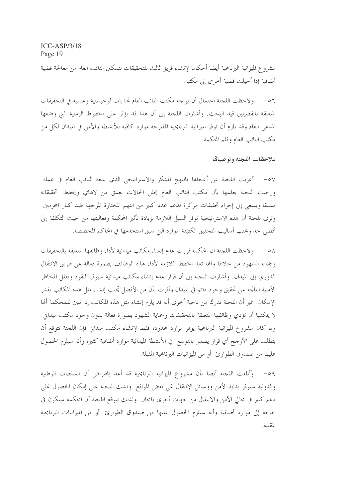مشروع الميزانية البرنامجية أيضا أحكاما لإتشاء فريق ثالث للتحقيقات لتمكين النائب العام من معالجة فضية أضافية إذا أحيلت فضية أخرى إلى مكتبه.

ولاحظت اللجنة احتمال أن يواجه مكتب النائب العام تحديات لوجيستية وعملية في التحقيقات  $-07$ المتعلقة بالقضيتين قيد البحث. وأشارت اللجنة إلى أن هذا قد بؤثر على الخطوط الزمنية التي وضعها المدعى العام وقد يلزم أن توفر الميزانية البرنامجية المقترحة موارد كافية للأنشطة والأمن في الميدان لكل من مكتب النائب العام وقلم المحكمة.

ملاحظات اللجنة وتوصيالها

٥٧ – أعربت اللجنة عن أعجاهما بالنهج المبتكر والاستراتيجي الذي يتبعه النائب العام في عمله. ورحبت اللجنة بعلمها بأن مكتب النائب العام يحلل الحالات بعمق من لاهاي ويخطط تحقيقاته مسبقًا ويسعى إلى إجراء تحقيقات مركزة لدعم عدد كبير من التهم المختارة المرجهة ضد كبار المحرمين. وترى للجنة أن هذه الاستراتيجية توفر السبل اللازمة لزيادة تأثير المحكمة وفعاليتها من حيث التكلفة إلى أقصى حد وتحنب أساليب التحقيق الكثيفة الموارد التي سبق استخدمها في المحاكم المخصصة.

٥٨ – ولاحظت اللجنة أن المحكمة قررت عدم إنشاء مكاتب ميدانية لأداء وظائفها المتعلقة بالتحقيقات وجماية الشهود من حلالها وألها تعد الخطط اللازمة لأداء هذه الوظائف يصورة فعالة عن طريق الانتقال الدوري إلى الميدان. وأشارت اللجنة إلى أن قرار عدم إنشاء مكاتب ميدانية سيوفر النقود ويقلل المخاطر الأمنية الناتجة عن تحقيق وجود دائم في الميدان وأقرت بأن من الأفضل تجنب إنشاء مثل هذه المكاتب بقدر الإمكان. غير أن اللجنة تدرك من ناحية أخرى أنه قد يلزم إنشاء مثل هذه المكاتب إذا تبين للمحكمة ألها لا يمكنها أن تؤدي وظائفها المتعلقة بالتحقيقات وحماية الشهود بصورة فعالة بدون وحود مكتب ميداين. ولما كان مشروع الميزانية البرنامجية يوفر مرارد محدودة فقط لإنشاء مكتب ميداين فإن اللجنة تتوقع أن يتطلب على الأرجح أي قرار يصدر بالتوسع في الأنشطة الميدانية موارد أضافية كثيرة وأنه سيلزم الحصول عليها من صندوق الطوارئ أو من الميزانيات البرنامجية المقبلة.

٥٩ – وُأبلغت اللحنة أيضا بأن مشروع الميزانية البرنامجية قد أعد بافتراض أن السلطات الوطنية والدولية ستوفر بداية الأمن ووسائل الإنتقال غي بعض المواقع. وتشك اللجنة على إمكان الحصول غلى دعم كبير في مجالي الأمن والانتفال من جهات أخرى يالمجان. ولذلك تتوقع اللجنة أن المحكمة ستكون في حاجة إلى موارد أضافية وأنه سيلزم الحصول عليها من صندوق الطوارئ أو من الميزانيات البرنامجية المقىلة.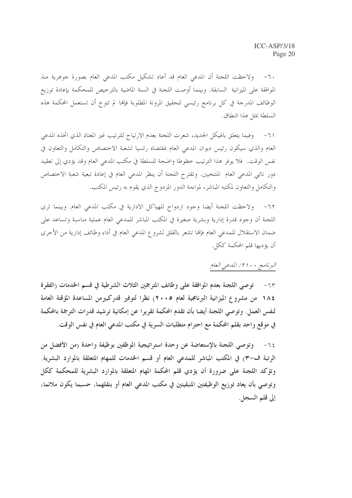٦٠– ولاحظت اللجنة أن المدعى العام قد أعاد تشكيل مكتب المدعي العام بصورة جوهرية منذ الموافقة على الميزانية السابقة. وبينما أوصت اللحنة في السنة الماضية بالترخيص للمحكمة بإعادة توزيع الوظائف المدرجة في كل برنامج رئيسي لتحقيق المرونة المطلوبة فإنها لم تتوخ أن تستعمل المحكمة هذه السلطة بمثل هذا النطاق.

٦١– وفيما يتعلق بالهيكل الجديد، شعرت اللجنة بعدم الارتياح للترتيب غير المعتاد الذي اتخذه المدعى العام والذي سيكون رئيس ديوان المدعى العام بمقتضاه رئسيا لشعبة الاختصاص والتكامل والتعاون في نفس الوقت. ۖ فلا يوفر هذا الترتيب خطوطًا واضحة للسلطة في مكتب المدعى العام وقد يؤدي إلى تعقيد دور نائبي المدعى العام المنتخبين. وتقترح اللحنة أن ينظر المدعى العام في إعادة تبعية شعبة الاختصاص والتكامل والتعاون لمكتبه المباشر، لمواءمة الدور المزدوج الذي يقوم به رئيس المكتب.

ولاحظت اللجنة أيضا وجود ازدواج للهياكل الادارية في مكتب المدعى العام. وبينما ترى  $-77$ اللجنة أن وجود قدرة إدارية وبشرية صغيرة في المكتب المباشر للمدعى العام عملية مناسبة وتساعد على ضمان الاستقلال للمدعي العام فإلها تشعر بالقلق لشروع المدعي العام في أداء وظائف إدارية من الأحرى أن يؤديها قلم المحكمة ككل.

#### البرنامج ١٠١٠: الماعي العام

٦٣ - توصى اللجنة بعدم الموافقة على وظائف المترجمين الثلاث الشرطية في قسم الخدمات (الفقرة ١٨٤ من مشروع الميزانية البرنامجية لعام ٢٠٠٥) نظرا لتوفير قدركبيرمن المساعدة المؤقتة العامة لنفس العمل. وتوصى اللجنة أيضا بأن تقدم المحكمة تقريرا عن إمكانية ترشيد قدرات الترجمة بالمحكمة في موقع واحد بقلم المحكمة مع احترام متطلبات السرية في مكتب المدعى العام في نفس الوقت.

٦٤- وتوصى اللجنة بالإستعاضة عن وحدة استراتيجية الموظفين بوظيفة واحدة (من الأفضل من الرتبة ف-٣) في المكتب المباشر للمدعى العام أو قسم الخدمات للمهام المتعلقة بالموارد البشرية. وتؤكد اللجنة على ضرورة أن يؤدي قلم المحكمة المهام المتعلقة بالموارد البشرية للمحكمة ككل وتوصى بأن يعاد توزيع الوظيفتين المتبقيتين في مكتب المدعى العام أو بنقلهما، حسبما يكون ملائما، إلى قلم السجل.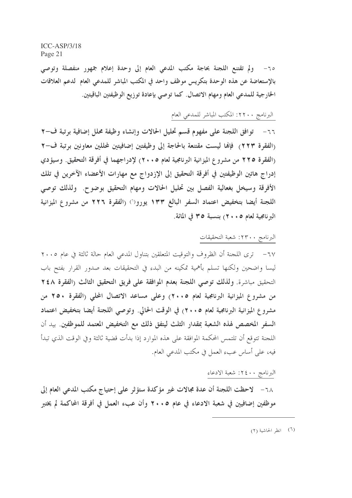٦٥- ولم تقتنع اللجنة بحاجة مكتب المدعى العام إلى وحدة إعلام جمهور منفصلة وتوصى بالإستعاضة عن هذه الوحدة بتكريس موظف واحد في المكتب المباشر للمدعى العام لدعم العلاقات الخارجية للمدعى العام ومهام الاتصال. كما توصى بإعادة توزيع الوظيفتين الباقيتين.

#### البرنامج ٢٢٠٠: المكتب المباشر للمدعى العام

٦٦- توافق اللجنة على مفهوم قسم تحليل الحالات وإنشاء وظيفة محلل إضافية برتبة ف-٢ (الفقرة ٢٢٣) فإنَّما ليست مقتنعة بالحاجة إلى وظيفتين إضافيتين لمحللين معاونين برتبة ف-٢ (الفقرة ٢٢٥ من مشروع الميزانية البرنامجية لعام ٢٠٠٥) لإدراجهما في أفرقة التحقيق. وسيؤدي إدراج هاتين الوظيفتين في أفرقة التحقيق إلى الإزدواج مع مهارات الأعضاء الآخرين في تلك الأفرقة وسيخل بغعالية الفصل بين تحليل الحالات ومهام التحقيق بوضوح. ولذلك توصى اللجنة أيضا بتخفيض اعتماد السفر البالغ ١٣٣ يورون (الفقرة ٢٢٦ من مشروع الميزانية البرنامجية لعام ٢٠٠٥) بنسبة ٣٥ في المائة.

#### البرنامج ٢٣٠٠: شعبة التحقيقات

٦٧− ترى اللجنة أن الظروف والتوقيت المتعلقين بتناول المدعى العام حالة ثالثة في عام ٢٠٠٥ ليسا واضحين ولكنها تسلم بأهمية تمكينه من البدء في التحقيقات بعد صدور القرار بفتح باب التحقيق مباشرة. ولذلك توصى اللجنة بعدم الموافقة على فريق التحقيق الثالث (الفقرة ٢٤٨ من مشروع الميزانية البرنامجية لعام ٢٠٠٥) وعلى مساعد الاتصال المحلي (الفقرة ٢٥٠ من مشروع الميزانية البرنامجية لعام ٢٠٠٥) في الوقت الحالي. وتوصى اللجنة أيضا بتخفيض اعتماد السفر المخصص لهذه الشعبة بمقدار الثلث ليتفق ذلك مع التخفيض المعتمد للموظفين. بيد أن اللجنة تتوقع أن تلتمس المحكمة الموافقة على هذه الموارد إذا بدأت قضية ثالثة وفي الوقت الذي تبدأ فيه، على أساس عبء العمل في مكتب المدعى العام.

#### البرنامج ٤٠٠: شعبة الادعاء

٦٨ - لاحظت اللجنة أن عدة مجالات غير مؤكدة ستؤثر على إحتياج مكتب المدعى العام إلى موظفين إضافيين في شعبة الادعاء في عام ٢٠٠٥ وأن عبء العمل في أفرقة المحاكمة لم يختبر

(٦) انظر الحاشية (٢)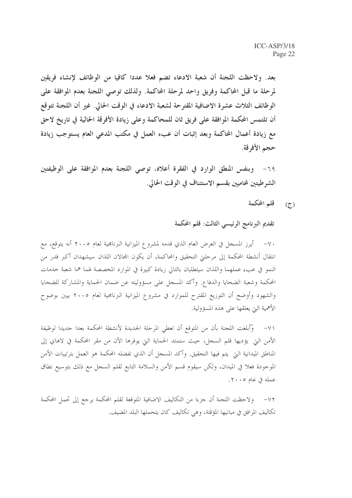بعد. ولاحظت اللجنة أن شعبة الادعاء تضم فعلا عددا كافيا من الوظائف لإنشاء فريقين لمرحلة ما قبل المحاكمة وفريق واحد لمرحلة المحاكمة. ولذلك توصى اللجنة بعدم الموافقة على الوظائف الثلاث عشرة الاضافية المقترحة لشعبة الادعاء في الوقت الحالي. غير أن اللجنة تتوقع أن تلتمس المحكمة الموافقة على فريق ثان للمحاكمة وعلى زيادة الأفرقة الحالية في تاريخ لاحق مع زيادة أعمال المحاكمة وبعد إثبات أن عبء العمل في مكتب المدعى العام يستوجب زيادة حجم الأفرقة.

وبنفس المنطق الوارد في الفقرة أعلاه، توصى اللجنة بعدم الموافقة على الوظيفتين  $-79$ الشرطيتين لمحاميين بقسم الاستئناف في الوقت الحالي.

> قلم المحكمة  $\mathcal{L}(\overline{\mathcal{L}})$

تقديم البرنامج الرئيسي الثالث: قلم المحكمة

٧٠– أيرز المسجل في العرض العام الذي قدمه لمشروع الميزانية البرنامجية لعام ٢٠٠٥ أنه يتوقع، مع انتقال أنشطة المحكمة إلى مرحلتي التحقيق والمحاكمة، أن يكون المحالان اللذان سيشهدان أكبر قدر من النمو في عبء عملهما واللذان سيتطلبان بالتالي زيادة كبيرة في الموارد المخصصة لهما هما شعبة حدمات المحكمة وشعبة الضحايا والدفاع. وأكد المسجل على مسؤوليته عن ضمان الحماية والمشاركة للضحايا والشهود وأوضح أن التوزيع المقترح للموارد في مشروع الميزانية البرنامجية لعام ٢٠٠٥ يبين بوضوح الأهمية التي يعلقها على هذه المسؤولية.

وُأبلغت اللجنة بأن من المتوقع أن تعطي المرحلة الجديدة لأنشطة المحكمة بعدا جديدا لوظيفة  $-\vee$ الأمن التي يؤديها قلم السجل، حيث ستمتد الحماية التي يوفرها الآن من مقر المحكمة في لاهاي إلى المناطق الميدانية التي يتم فيها التجقيق. وأكد المسجل أن الذي تفضله المحكمة هو العمل بترتيبات الأمن الموجودة فعلا في الميدان، ولكن سيقوم قسم الأمن والسلامة التابع لقلم السجل مع ذلك بتوسيع نطاق عمله في عام ٢٠٠٥.

٧٢– ولاحظت اللجنة أن جزءا من التكاليف الاضافية المتوقعة لقلم المحكمة يرجع إلى تحمل المحكمة تكاليف المرافق في مبانيها المؤقتة، وهي تكاليف كان يتحملها البلد المضيف.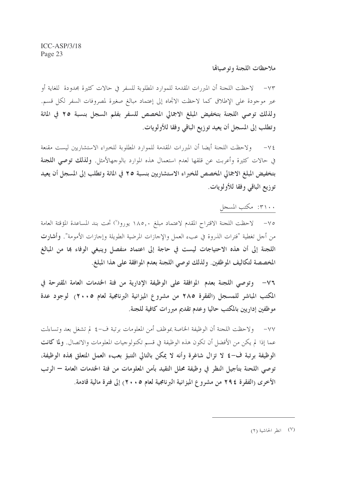ملاحظات اللجنة وتوصيالها

لاحظت اللجنة أن المبررات المقدمة للموارد المطلوبة للسفر في حالات كثيرة مجدودة للغاية أو  $-\vee\tau$ عير موجودة على الإطلاق كما لاحظت الاتجاه إلى إعتماد مبالغ صغيرة لمصروفات السفر لكل قسم. ولذلك توصى اللجنة بتخفيض المبلغ الاجمالي المخصص للسفر بفلم السجل بنسبة ٢٥ في المائة وتطلب إلى المسجل أن يعيد توزيع الباقي وفقا للأولويات.

ولاحظت اللجنة أيضا أن المبررات المقدمة للموارد المطلوبة للخبراء الاستشاريين ليست مقنعة  $-\vee \xi$ في حالات كثيرة وأعربت عن قلقها لعدم استعمال هذه الموارد بالوجهالأمثل. **ولذلك توصبي اللجنة** بتخفيض المبلغ الاجمالي المخصص للخبراء الاستشاريين بنسبة ٢٥ في المائة وتطلب إلى المسجل أن يعيد توزيع الباقي وفقا للأولويات.

#### ٣١٠٠: مكتب المسجل

٧٥– لاحظت اللجنة الاقتراح المقدم لاعتماد مبلغ ١٨٥٫٠ يورو(٧ تحت بند المساعدة المؤقتة العامة من أجل تغطية "فترات الذروة في عبء العمل والإجازات المرضية الطويلة وإجازات الأمومة". وأشارت اللجنة إلى أن هذه الاحتياجات ليست في حاجة إلى اعتماد منفصل وينبغي الوفاء هجا من المبالغ المخصصة لتكاليف الموظفين. ولذلك توصى اللجنة بعدم الموافقة على هذا المبلغ.

٧٦- وتوصى اللجنة بعدم الموافقة على الوظيفة الإدارية من فئة الخدمات العامة المقترحة في المكتب المباشر للمسجل (الفقرة ٢٨٥ من مشروع الميزانية البرنامجية لعام ٢٠٠٥) لوجود عدة موظفين إداريين بالمكتب حاليا وعدم تقديم مبررات كافية للجنة.

ولاحظت اللجنة أن الوظيفة الخاصة بموظف أمن المعلومات برتبة ف-٤ لم تشغل بعد وتساءلت  $-VV$ عما إذا لم يكن من الأفضل أن تكون هذه الوظيفة في قسم تكنولوجيات المعلومات والاتصال. **ولما كانت** الوظيفة برتبة ف–٤ لا تزال شاغرة وأنه لا يمكن بالتالي التنبؤ بعبء العمل المتعلق بمذه الوظيفة، توصى اللحنة بتأجيل النظر في وظيفة محلل التقيد بأمن المعلومات من فئة الخدمات العامة – الرتب الأخرى (الفقرة ٢٩٤ من مشروع الميزانية البرنامجية لعام ٢٠٠٥) إلى فترة مالية قادمة.

(٧) انظر الحاشية (٢)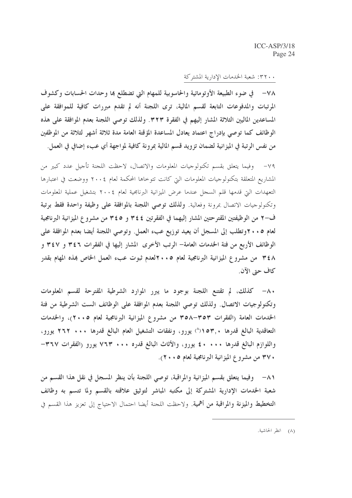٢٢٠٠: شعبة الحدمات الإدارية المشتركة

٧٨ - في ضوء الطبيعة الأوتوماتية والحاسوبية للمهام التي تضطلع بما وحدات الحسابات وكشوف المرتبات والمدفوعات التابعة لقسم المالية، ترى اللجنة أنه لم تقدم مبررات كافية للموافقة على المساعدين الماليين الثلاثة المشار إليهم في الفقرة ٣٢٣. ولذلك توصى اللجنة بعدم الموافقة على هذه الوظائف كما توصى بإدراج اعتماد يعادل المساعدة المؤقتة العامة مدة ثلاثة أشهر لثلاثة من الموظفين من نفس الرتبة في الميزانية لضمان تزويد قسم المالية بمرونة كافية لمواجهة أي عبء إضافي في العمل.

٧٩ – وفيما يتعلق بقسم تكنولوجيات المعلومات والاتصال، لاحظت اللجنة تأجيل عدد كبير من المشاريع المتعلقة بتكنولوجيات المعلومات التي كانت تتوحاها المحكمة لعام ٢٠٠٤ ووضعت في اعتبارها التعهدات التي قدمها قلم السجل عندما عرض الميزانية البرنامجية لعام ٢٠٠٤ بتشغيل عملية المعلومات وتكنولوجيات الاتصال بمرونة وفعالية. ولذلك توصى اللجنة بالموافقة على وظيفة واحدة فقط برتبة ف-٢ من الوظيفتين المقترحتين المشار إليهما في الفقرتين ٣٤٤ و ٣٤٥ من مشروع الميزانية البرنامجية لعام ٠٠٥برتطلب إلى المسجل أن يعيد توزيع عبء العمل. وتوصى اللجنة أيضا بعدم الموافقة على الوظائف الأربع من فئة الخدمات العامة– الرتب الأخرى المشار إليها في الفقرات ٣٤٦ و ٣٤٧ و ٣٤٨ من مشروع الميزانية البرنامجية لعام ٢٠٠٥لعدم ثبوت عبء العمل الخاص بمذه المهام بقدر كاف حتى الآن.

٨٠ - كذلك، لم تقتنع اللجنة بوجود ما يبرر الموارد الشرطية المقترحة لقسم المعلومات وتكنولوجيات الاتصال. ولذلك توصي اللجنة بعدم الموافقة على الوظائف الست الشرطية من فئة الخدمات العامة (الفقرات ٣٥٣–٣٥٨ من مشروع الميزانية البرنامجية لعام ٢٠٠٥)، والخدمات التعاقدية البالغ قدرها ٢,٠٥٣%) يورو، ونفقات التشغيل العام البالغ قدرها ٢٦٢ . ٢٦٢ يورو، واللوازم البالغ قدرها • • • • ٤ يورو، والأثاث البالغ قدره • • • ٧٦٣ يورو (الفقرات ٣٦٧– ٣٧٠ من مشروع الميزانية البرنامجية لعام ١٠٠٥).

٨١ --- وفيما يتعلق بقسم الميزانية والمراقبة، توصى اللجنة بأن ينظر المسجل في نقل هذا القسم من شعبة الخدمات الإدارية المشتركة إلى مكتبه المباشر لتوثيق علاقته بالقسم ولما تتسم به وظائف ا**لتخطيط والميزنة والمراقبة من أهمية**. ولاحظت اللحنة أيضا احتمال الاحتياج إلى تعزيز هذا القسم في

<sup>(</sup>٨) انظر الحاشية.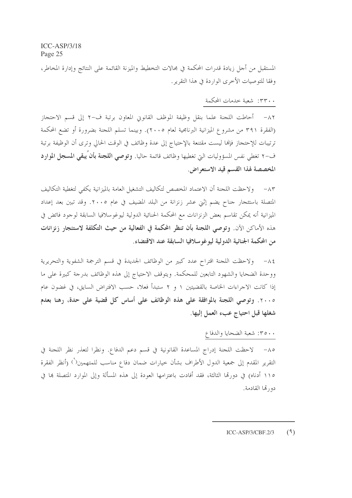المستقبل من أجل زيادة قدرات المحكمة في مجالات التخطيط والميزنة القائمة على النتائج وإدارة المخاطر، وفقا للتوصيات الأخرى الواردة في هذا التقرير.

#### ٣٣٠٠: شعبة خدمات المحكمة

٨٢ - أحاطت اللجنة علما بنقل وظيفة الموظف القانوين المعاون برتبة ف-٢ إلى قسم الاحتجاز (الفقرة ٣٩١ من مشروع الميزانية البرنامجية لعام ٢٠٠٥). وبينما تسلم اللجنة بضرورة أو تضع المحكمة ترتيبات للإحتجاز فإنما ليست مقتنعة بالإحتياج إلى عدة وظائف في الوقت الحالي وترى أن الوظيفة برتبة ف-٢ تغطي نفس المسؤوليات التي تغطيها وظائف قائمة حاليا. **وتوصي اللجنة بأن ُيبقى المسجل الم**وا**رد** المخصصة لهذا القسم قيد الاستعراض.

٨٣– ولاحظت اللحنة أن الاعتماد المخصص لتكاليف التشغيل العامة بالميزانية يكفى لتغطية التكاليف المتصلة باستئجار جناح يضم إثني عشر زنزانة من البلد المضيف في عام ٢٠٠٥. وقد تبين بعد إعداد الميزانية أنه يمكن تقاسم بعض الزنزانات مع المحكمة الحنائية الدولية ليوغوسلافيا السابقة لوجود فائض في هذه الأماكن الآن. وتوصى اللجنة بأن تنظر المحكمة في الفعالية من حيث التكلفة لاستئجار زنزانات من المحكمة الجنائية الدولية ليوغو سلافيا السابقة عند الاقتضاء.

ولاحظت اللجنة اقتراح عدد كبير من الوظائف الجديدة في قسم الترجمة الشفوية والتحريرية  $-\lambda$  { ووحدة الضحايا والشهود التابعين للمحكمة. ويتوقف الاحتياج إلى هذه الوظائف بدرجة كبيرة على ما إذا كانت الاجراءات الخاصة بالقضيتين ١ و ٢ ستبدأ فعلا، حسب الافتراض السايق، في غضون عام ٢٠٠٥. وتوصى اللجنة بالموافقة على هذه الوظائف على أساس كل قضية على حدة، رهنا بعدم شغلها قبل احتياج عبء العمل إليها.

#### . ٣٥٠٠: شعبة الضحايا والدفاع

٨٥ – لاحظت اللحنة إدراج المساعدة القانونية في قسم دعم الدفاع. ونظرا لتعذر نظر اللحنة في التقرير المقدم إلى جمعية الدول الأطراف بشأن حيارات ضمان دفاع مناسب للمتهمين(`) (أنظر الفقرة ١١٥ أدناه) في دورهّا الثالثة، فقد أفادت باعتزامها العودة إلى هذه المسألة وإلى الموارد المتصلة ها في دورتما القادمة.

> $ICC-ASP/3/CBF.2/3$  $(9)$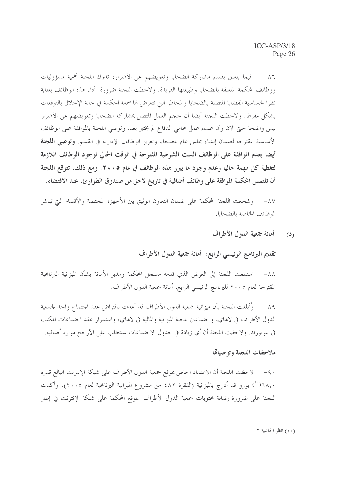٨٦ – فيما يتعلق بقسم مشاركة الضحايا وتعويضهم عن الأضرار، تدرك اللجنة أهمية مسؤوليات ووظائف المحكمة المتعلقة بالضحايا وطبيعتها الفريدة. ولاحظت اللجنة ضرورة أداء هذه الوظائف بعناية نظرا لحساسية القضايا المتصلة بالضحايا والمخاطر التي تتعرض لها سمعة المحكمة في حالة الإخلال بالتوقعات بشكل مفرط. ولاحظت اللجنة أيضا أن حجم العمل المتصل بمشاركة الضحايا وتعويضهم عن الأضرار ليس واضحا حتى الآن وأن عبء عمل محامي الدفاع لم يختبر بعد. وتوصى اللجنة بالموافقة على الوظائف الأساسية المقترحة لضمان إنشاء مجلس عام للضحايا وتعزيز الوظائف الإدارية في القسم. وتوصى ا**للجنة** أيضا بعدم الموافقة على الوظائف الست الشرطية المقنرحة في الوقت الحالي لوجود الوظائف اللازمة لتغطية كل مهمة حاليا وعدم وجود ما يبرر هذه الوظائف في عام ٢٠٠٥. ومع ذلك، تتوقع اللجنة أن تلتمس المحكمة الموافقة على وظائف أضافية في تاريخ لاحق من صندوق الطوارئ، عند الاقتضاء.

٨٧– و شجعت اللجنة المحكمة على ضمان التعاون الوثيق بين الأجهزة المختصة والأقسام التي تباشر الوظائف الخاصة بالضحايا.

> أمانة جمعية الدول الأطراف  $\mathcal{L}(\mathcal{L})$

تقديم البرنامج الرئيسي الرابع: أمانة جمعية الدول الأطراف

٨٨– استمعت اللجنة إلى العرض الذي قدمه مسجل المحكمة ومدير الأمانة بشأن الميزانية البرنامجية المقترحة لعام ٢٠٠٥ للبرنامج الرئيسي الرابع، أمانة جمعية الدول الأطراف.

٨٩ – وُأبلغت اللجنة بأن ميزانية جمعية الدول الأطراف قد أعدت بافتراض عقد اجتماع واحد لجمعية الدول الأطراف في لاهاي، واجتماعين للجنة الميزانية والمالية في لاهاي، واستمرار عقد اجتماعات المكتب في نيويورك. ولاحظت اللجنة أن أي زيادة في حدول الاحتماعات ستتطلب على الأرجح موارد أضافية.

#### ملاحظات اللجنة وتوصياقما

٩٠ – لاحظت اللجنة أن الاعتماد الخاص بموقع جمعية الدول الأطراف على شبكة الإنترنت البالغ قدره ٠,١٦٨, يورو قد أدرج بالميزانية (الفقرة ٤٨٢ من مشروع الميزانية البرنامجية لعام ٢٠٠٥). وأكدت اللجنة على ضرورة إضافة محتويات جمعية الدول الأطراف بموقع المحكمة على شبكة الإنترنت في إطار

(١٠) انظر الحاشية ٢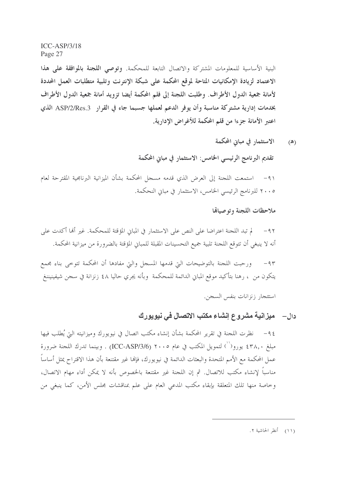البنية الأساسية للمعلومات المشتركة والاتصال التابعة للمحكمة. وتوصى **اللجنة بالموافقة على هذا** الاعتماد لزيادة الإمكانيات المتاحة لموقع المحكمة على شبكة الإنترنت وتلبية متطلبات العمل المحددة لأمانة جمعية الدول الأطراف. وطلبت اللجنة إلى فلم المحكمة أيضا تزويد أمانة جمعية الدول الأطراف بخدمات إدارية مشتركة مناسبة وأن يوفر الدعم لعملها جسبما جاء في القرار ASP/2/Res.3 الذي اعتبر الأمانة جزءا من قلم المحكمة للأغراض الإدارية.

> الاستثمار في مباني المحكمة  $(\lambda)$

تقديم البرنامج الرئيسي الخامس: الاستثمار في مباني المحكمة

٩١- استمعت اللجنة إلى العرض الذي قدمه مسجل المحكمة بشأن الميزانية البرنامجية المقترحة لعام ٢٠٠٥ للبرنامج الرئيسي الخامس، الاستثمار في مباني النحكمة.

ملاحظات اللجنة وتوصياقما

لم تبد اللحنة اعتراضا على النص على الاستثمار في المباني المؤقتة للمحكمة. غير ألها أكدت على  $-97$ أنه لا ينبغي أن تتوقع اللجنة تلبية جميع التحسينات المقبلة للمبايي المؤقتة بالضرورة من ميزانية المحكمة.

ورحبت اللجنة بالتوضيحات البت قدمها المسجل والبتي مفادها أن المحكمة تتوحى بناء مجمع  $-91$ يتكون من ، رهنا بتأكيد موقع المباني الدائمة للمحكمة ۖ وبأنه يجري حاليا ٤٨ زنزانة في سجن شيفينيننغ استئجار زنزانات بنفس السجن.

#### دال–۔ ميزانية مشروع إنشاء مكتب الاتصال في نيويورك

٩٤- نظرت اللحنة في تقرير المحكمة بشأن إنشاء مكتب اتصال في نيويورك وميزانيته التي يُطلب فيها مبلغ ٤٣٨٫٠ يورو(``) لتمويل المكتب في عام ٢٠٠٥ (ICC-ASP/3/6) . وبينما تدرك اللجنة ضرورة عمل المحكمة مع الأمم المتحدة والبعثات الدائمة في نيويورك، فإلها غير مقتنعة بأن هذا الاقتراح يمثل أساساً مناسباً لإنشاء مكتب للاتصال. ثم إن اللجنة غير مقتنعة بالخصوص بأنه لا يمكن أداء مهام الاتصال، وخاصة منها تلك المتعلقة بإبقاء مكتب المدعى العام على علم بمناقشات مجلس الأمن، كما ينبغي من

(١١) أنظر الحاشية ٢.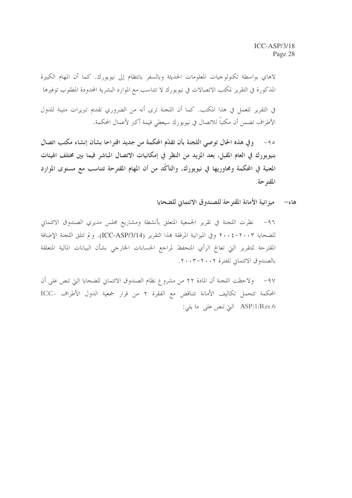لاهاي بواسطة تكنولوجيات المعلومات الحديثة وبالسفر بانتظام إلى نيويورك. كما أن المهام الكبيرة المذكورة في التقرير لمكتب الاتصالات في نيويورك لا تتناسب مع الموارد البشرية المحدودة المطلوب توفيرها

في التقرير للعمل في هذا المكتب. كما أن اللجنة ترى أنه من الضروري تقديم تبريرات متينة للدول الأطراف تضمن أن مكتباً للاتصال في نيويورك سيعطى قيمة أكبر لأعمال المحكمة.

و في هذه الحال توصى اللجنة بأن تقدَّم المحكمة من جديد اقتراحا بشأن إنشاء مكتب اتصال  $-90$ بنيويورك في العام المقبل، بعد المزيد من النظر في إمكانيات الاتصال المباشر فيما بين مختلف الهيئات المعنية في المحكمة ومحاوريها في نيويورك، والتأكُّد من أن المهام المقترحة تتناسب مع مستوى الموارد المقترحة.

هاء— ميزانية الأمانة المقترحة للصندوق الائتماني للضحايا

نظرت اللجنة في تقرير الجمعية المتعلق بأنشطة ومشاريع مجلس مديري الصندوق الائتماني  $-97$ للضحايا ٢٠٠٣–٢٠٠٤ وفي الميزانية المرفقة بمذا التقرير (ICC-ASP/3/14). ولم تتلق اللجنة الإضافة المقترحة للتقرير التي تعالج الرأي المتحفظ لمراجع الحسابات الخارجي بشأن البيانات المالية المتعلقة بالصندوق الائتماني للفترة ٢٠٠٢-٢٠٠٣.

٩٧ – ولاحظت اللجنة أن المادة ٢٢ من مشرو ع نظام الصندوق الائتماني للضحايا التي تنص على أن المحكمة تتحمل تكاليف الأمانة تتناقض مع الفقرة ٢ من قرار جمعية الدول الأطراف -ICC ASP/1/Res.6 التي تنص على ما يلي: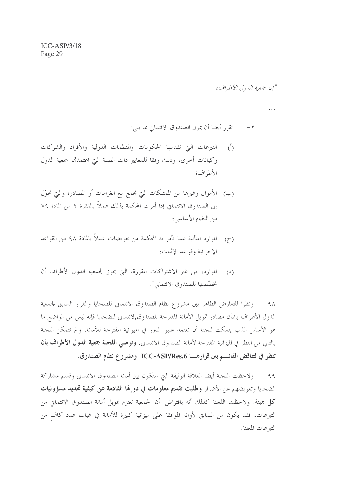"إن جمعية اللهول الأطراف،

تقرر أيضا أن يمول الصندوق الائتماني مما يلي:  $-\tau$ 

- التبرعات التي تقدمها الحكومات والمنظمات الدولية والأفراد والشركات  $\tilde{(\cdot)}$ وكيانات أخرى، وذلك وفقا للمعايير ذات الصلة التي اعتمدقما جمعية الدول الأطراف؛
- (ب) الأموال وغيرها من الممتلكات التي تجمع مع الغرامات أو المصادرة والتي تحوّل إلى الصندوق الائتماني إذا أمرت المحكمة بذلك عملاً بالفقرة ٢ من المادة ٧٩ من النظام الأساسي؛
- (ج) الموارد المتأتية عما تأمر به المحكمة من تعويضات عملاً بالمادة ٩٨ من القواعد الإجرائية وقواعد الإثبات؛
- الموارد، من غير الاشتراكات المقررة، التي يجوز لجمعية الدول الأطراف أن  $(2)$ تخصّصها للصندو ق الائتماني".

٩٨ - ونظرا للتعارض الظاهر بين مشروع نظام الصندوق الائتماني للضحايا والقرار السابق لجمعية الدول الأطراف بشأن مصادر تمويل الأمانة المقترحة للصندوق,لائتماني للضحايا فإنه ليس من الواضح ما هو الأساس الذب ينمكت للجنة أن تعتمد عليو للنزر في اميوانية المقترحة للأمانة. و لم تتمكن اللجنة بالتالي من النظر في الميزانية المقترحة لأمانة الصندوق الائتماني. وتوصى ا**للجنة جمعية الدول الأطراف بأن** تنظر في لتناقض القائــــم بين قرارهــــا ICC-ASP/Res.6 ومشروع نظام الصندوق.

٩٩– ولاحظت اللجنة أيضا العلاقة الوثيقة التي ستكون بين أمانة الصندوق الائتماني وقسم مشاركة الضحايا وتعويضهم عن الأضرار وطلبت تقديم معلومات في دورهّا القادمة عن كيفية تحديد مسؤوليات كل هيئة. ولاحظت اللجنة كذلك أنه بافتراض أن الجمعية تعتزم تمويل أمانة الصندوق الائتماني من التبرعات، فقد يكون من السابق لأوانه الموافقة على ميزانية كبيرة للأمانة في غياب عدد كاف من التبرعات المعلنة.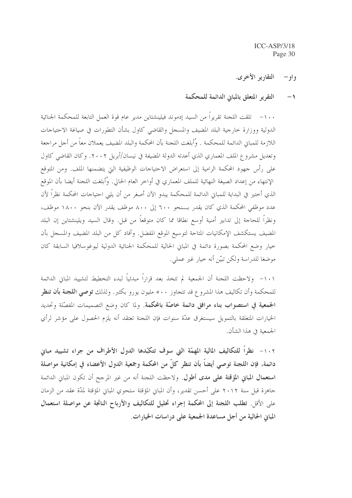#### التقارير الأخرى. و او —

#### التقرير المتعلق بالمباين الدائمة للمحكمة  $\rightarrow$

١٠٠ – تلقت اللجنة تقريراً من السيد إدموند فيلينشتاين مدير عام قوة العمل التابعة للمحكمة الجنائية الدولية ووزارة حارجية البلد المضيف والمسجل والقاضي كاول بشأن التطورات في صياغة الاحتياجات اللازمة للمباين الدائمة للمحكمة . وُأبلغت اللجنة بأن المحكمة والبلد المضيف يعملان معاً من أجل مراجعة وتعديل مشروع الملف المعماري الذي أعدته الدولة المضيفة في نيسان/أبريل ٢٠٠٢. وكان القاضي كاول على رأس جهود المحكمة الرامية إلى استعراض الاحتياحات الوظيفية التي يتضمنها الملف. ومن المتوقع الإنتهاء من إعداد الصيغة النهائية للملف المعماري في أواخر العام الحالي. وُأبلغت اللجنة أيضا بأن الموقع الذي أختير في البداية للمباني الدائمة للمحكمة يبدو الآن أصغر من أن يلبي احتياجات المحكمة نظراً لأن عدد موظفي المحكمة الذي كان يقدر بـــنحو ٦٠٠ إلى ٨٠٠ موظف يقدر الآن بنحو ١٨٠٠ موظف، ونظراً للحاجة إلى تدابير أمنية أوسع نطاقا مما كان متوقعاً من قبل. وقال السيد ويلينشتاين إن البلد المضيف يستكشف الإمكانيات المتاحة لتوسيع الموقع المفضل. وأفاد كل من البلد المضيف والمسجل بأن خيارٍ وضع المحكمة بصورة دائمة في المباين الحالية للمحكمة الجنائية الدولية ليوغوسلافيا السابقة كان موضغا للدراسة ولكن تبيّن أنه حيار غير عملي.

١٠١- ولاحظت اللجنة أن الجمعية لم تتخذ بعد قراراً مبدئياً لبدء التخطيط لتشييد المباني الدائمة للمحكمة وأن تكاليف هذا المشروع قد تتجاوز ٥٠٠ مليون يورو بكثير . ولذلك **توصي اللجنة بأن تنظر** الجمعية في استصواب بناء مرافق دائمة خاصّة بالمحكمة. ولما كان وضع التصميمات المفصّلة وتحديد الخيارات المتعلقة بالتمويل سيستغرق عدّة سنوات فإن اللجنة تعتقد أنه يلزم الحصول على مؤشر لرأي الجمعية في هذا الشأن.

١٠٢ - نظراً للتكاليف المالية المهمّة التي سوف تتكبّدها الدول الأطراف من جراء تشييد مباني دائمة، فإن اللجنة توصى أيضاً بأن تنظر كلِّ من المحكمة وجمعية الدول الأعضاء في إمكانية مواصلة ا**ستعمال المباني المؤقتة على مدى أطول**. ولاحظت اللجنة أنه من غير المرحح أن تكون المباني الدائمة جاهزة قبل سنة ٢٠١٢ على أحسن تقدير، وأن المباين المؤقتة ستحوي المبايي المؤقتة لمدّة عقد من الزمان على الأقل. تطلب اللجنة إلى المحكمة إجراء تحليل للتكاليف والأرباح الناتجة عن مواصلة استعمال المباني الحالية من أجل مساعدة الجمعية على دراسات الخيارات.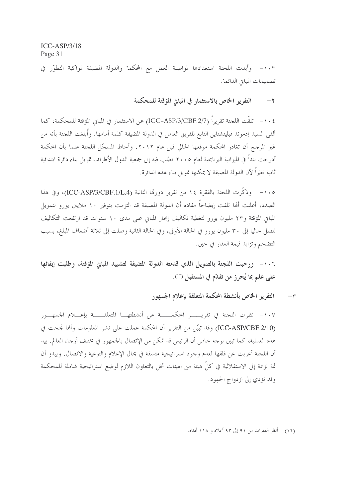١٠٣ - وأبدت اللجنة استعدادها لمواصلة العمل مع المحكمة والدولة المضيفة لمواكبة التطوَّر في تصميمات الميابي الدائمة.

> التقرير الخاص بالاستثمار في المباين المؤقتة للمحكمة  $-\tau$

t − ١٠٤ تلقّت اللجنة تقريراً (ICC–ASP/3/CBF.2/7) عن الاستثمار في المباني المؤقتة للمحكمة، كما ألقى السيد إدموند فيلينشتاين التابع للفريق العامل في الدولة المضيفة كلمة أمامها. وأُبلغت اللجنة بأنه من غير المرحح أن تغادر المحكمة موقعها الحالي قبل عام ٢٠١٢. وأحاط المسجّل اللجنة علما بأن المحكمة أدرجت بنداً في الميزانية البرنامجية لعام ٢٠٠٥ تطلب فيه إلى جمعية الدول الأطراف تمويل بناء دائرة ابتدائية ثانية نظراً لأن الدولة المضيفة لا يمكنها تمويل بناء هذه الدائرة.

١٠٥ – وذكَّرت اللجنة بالفقرة ١٤ من تقرير دورهّا الثانية (ICC-ASP/3/CBF.1/L.4)، وفي هذا الصدد، أعلنت أَهَا تلقت إيضاحاً مفاده أن الدولة المضيفة قد التزمت بتوفير ١٠ ملايين يورو لتمويل المباني المؤقتة و٢٣ مليون يورو لتغطية تكاليف إيجار المبايي على مدى ١٠ سنوات قد ارتفعت التكاليف لتصل حاليا إلى ٣٠ مليون يورو في الحالة الأولى، وفي الحالة الثانية وصلت إلى ثلاثة أضعاف المبلغ، بسبب التضخم وتزايد قيمة العقار في حين.

١٠٦- ورحبت اللجنة بالتمويل الذي قدمته الدولة المضيفة لتشييد المباني المؤقتة، وطلبت إبقائها على علم ما يُحرز من تقدَّم في المستقبل ('').

> التقرير الخاص بأنشطة المحكمة المتعلقة بإعلام الجمهور  $-\tau$

١٠٧- نظرت اللجنة في تقريــــــر المحكمـــــــة عن أنشطتهــــا المتعلقـــــــة بإعــــلام الجمهـــور (ICC-ASP/CBF.2/10) وقد تبيَّن من التقرير أن المحكمة عملت على نشر المعلومات وألها نجحت في هذه العملية، كما تبين بوحه خاص أن الرئيس قد تمكن من الإتصال بالجمهور في مختلف أرحاء العالم. بيد أن اللجنة أعربت عن قلقها لعدم وجود استراتيجية متسقة في مجال الإعلام والتوعية والاتصال. ويبدو أن ثمة نزعة إلى الاستقلالية في كلِّ هيئة من الهيئات تخل بالتعاون اللازم لوضع استراتيجية شاملة للمحكمة وقد تؤدي إلى از دواج الجهود.

<sup>(</sup>١٢) أنظر الفقرات من ٩١ إلى ٩٣ أعلاه و ١١٨ أدناه.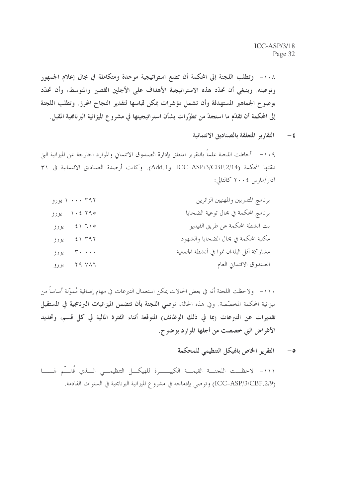١٠٨- وتطلب اللجنة إلى المحكمة أن تضع استراتيجية موحدة ومتكاملة في مجال إعلام الجمهور وتوعيته. وينبغي أن تحدَّد هذه الاستراتيجية الأهداف على الأجلين القصير والمتوسط، وأن تحدَّد بوضوح الجماهير المستهدفة وأن تشمل مؤشرات يمكن قياسها لتقدير النجاح المحرز. وتطلب اللجنة إلى المحكمة أن تقدَّم ما استجدَّ من تطوَّرات بشأن استراتيجيتها في مشروع الميزانية البرنامجية المقبل.

> التقارير المتعلقة بالصناديق الائتمانية  $-\epsilon$

١٠٩- أحاطت اللجنة علماً بالتقرير المتعلق بإدارة الصندوق الائتماني والموارد الخارجة عن الميزانية التي تلقتها المحكمة ICC-ASP/3/CBF.2/14) وAdd.1). وكانت أرصدة الصناديق الائتمانية في ٣١ آذار /مارس ٢٠٠٤ كالتالي:

| ۳۹۲ ۰۰۰ ۱ یورو |                                                          | برنامج المتدربين والمهنيين الزائرين      |
|----------------|----------------------------------------------------------|------------------------------------------|
| يورو           | 1.2790                                                   | برنامج المحكمة في مجال توعية الضحايا     |
| يورو           | $\hat{\xi} \setminus \tilde{\tau} \setminus o$           | بث انشطة المحكمة عن طريق الفيديو         |
| يورو           | $51$ $797$                                               | مكتبة المحكمة في مجال الضحايا والشهود    |
| يورو           | $\mathbf{Y} \leftarrow \mathbf{X} \leftarrow \mathbf{X}$ | مشاركة أقل البلدان نموا في أنشطة الجمعية |
| ٢٩ ٧٨٦ يورو    |                                                          | الصندوق الائتماني العام                  |

١١٠- ولاحظت اللجنة أنه في بعض الحالات يمكن استعمال التبرعات في مهام إضافية مُموّلة أساساً من ميزانية المحكمة المخصّصة. وفي هذه الحالة، تو**صي اللجنة بأن تتضمن الميزانيات البرنامجية في المستقبل** تقديرات عن التبرعات (بما في ذلك الوظائف) المتوقعة أثناء الفترة المالية في كل قسم، وتحديد الأغراض التي خصصت من أجلها الموارد بوضوح.

> التقرير الخاص بالهيكل التنظيمي للمحكمة  $-$ 0

١١١- لاحظــت اللجنــــة القيمـــة الكبيــــــرة للهيكـــل التنظيمـــي الـــذي قُلــــّم هــــــا (ICC-ASP/3/CBF.2/9) وتوصى بإدماجه في مشروع الميزانية البرنامجية في الستوات القادمة.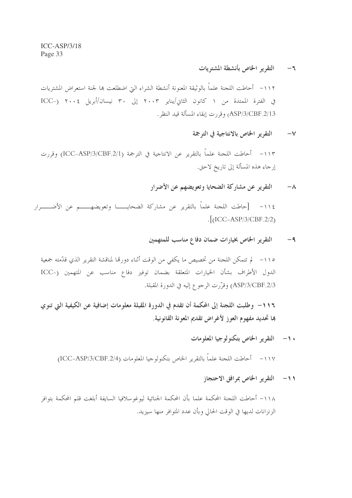التقرير الخاص بأنشطة المشتريات  $-7$ 

١١٢– أحاطت اللجنة علماً بالوثيقة المعنونة أنشطة الشراء التي اضطلعت بما لجنة استعراض المشتريات في الفترة الممتدة من ١ كانون الثاني/يناير ٢٠٠٣ إلى ٣٠ نيسان/أبريل ٢٠٠٤ (-ICC ASP/3/CBF.2/13 وقررت إبقاء المسألة قيد النظر .

> التقرير الخاص بالانتاجية في الترجمة  $-<sup>v</sup>$

١١٣– أحاطت اللجنة علماً بالتقرير عن الانتاجية في الترجمة (ICC-ASP/3/CBF.2/1) وقررت إرجاء هذه المسألة إلى تاريخ لاحق.

> التقرير عن مشاركة الضحايا وتعويضهم عن الأضرار  $-\wedge$

١١٤– [حاطت اللجنة علماً بالتقرير عن مشاركة الضحايــــــا وتعويضهــــــم عن الأضـــــــرار  $\sqrt{\text{[ICC-ASP/3/CBF}.2/2}}$ 

> التقرير الخاص بخيارات ضمان دفاع مناسب للمتهمين  $-9$

١١٥ – لم تتمكن اللجنة من تخصيص ما يكفي من الوقت أثناء دورقما لمناقشة التقرير الذي قدّمته جمعية الدول الأطراف بشأن الخيارات المتعلقة بضمان توفير دفاع مناسب عن المتهمين (-ICC ASP/3/CBF.2/3) وقرَّرت الرحوع إليه في الدورة المقبلة.

١١٦- وطلبت اللجنة إلى المحكمة أن تقدم في الدورة المقبلة معلومات إضافية عن الكيفية التي تنوي ها تحديد مفهوم العوز لأغراض تقديم المعونة القانونية.

١٠- التقرير الخاص بتكنولوجيا المعلومات

١١٧- أحاطت اللجنة علماً بالتقرير الخاص بتكنولوجيا المعلومات (ICC-ASP/3/CBF.2/4)

11- التقرير الخاص عرافق الاحتجاز

١١٨- أحاطت اللجنة المحكمة علما بأن المحكمة الجنائية ليوغوسلافيا السايفة أبلغت قلم المحكمة بتوافر الزنز انات لديها في الوقت الحالي وبأن عدد المتوافر منها سيزيد.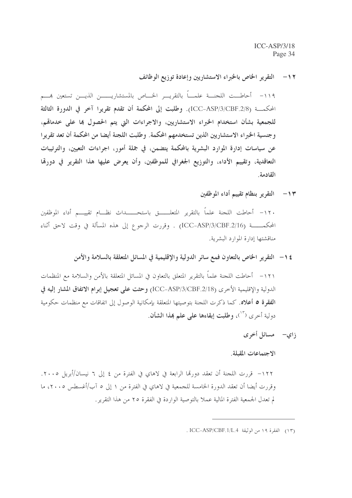١٢ – التقرير الخاص بالخبراء الاستشاريين وإعادة توزيع الوظائف

١١٩- أحاطــت اللجنـــة علمـــاً بالتقريـــر الخـــاص بالمستشاريـــــــن الذيـــن تستعين هِــــم المحكمــة (ICC-ASP/3/CBF.2/8). وطلبت إلى المحكمة أن تقدم تقريرا آخر في الدورة الثالثة للجمعية بشأن استخدام الخبراء الاستشاريين، والاجراءات التي يتم الحصول بما على خدمالهم، وجنسية الخبراء الاستشاريين الذين تستخدمهم المحكمة. وطلبت اللجنة أيضا من المحكمة أن تعد تقريرا عن سياسات إدارة الموارد البشرية بالمحكمة يتضمن، في جملة أمور، اجراءات التعيين، والترتيبات التعاقدية، وتقييم الأداء، والتوزيع الجغرافي للموظفين، وأن يعرض عليها هذا التقرير في دورهّا القادمة.

١٣ – التقرير بنظام تقييم أداء الموظفين

١٢٠- أحاطت اللجنة علماً بالتقرير المتعلـــــــق باستحـــــــداث نظــــام تقييــــم أداء الموظفين المحكمــــــة (ICC-ASP/3/CBF.2/16) . وقررت الرجوع إلى هذه المسألة في وقت لاحق أثناء مناقشتها إدارة الموارد البشرية.

١٤ - التقرير الخاص بالتعاون فمع سائر الدولية والإقليمية في المسائل المتعلقة بالسلامة والأمن

١٢١– أحاطت اللجنة علماً بالتقرير المتعلق بالتعاون في المسائل المتعلقة بالأمن والسلامة مع المنظمات الدولية والإقليمية الأخرى (ICC-ASP/3/CBF.2/18) وحثت على تعجيل إبرام الاتفاق المشار إليه في **الفقرة ٥ أعلاه**. كما ذكرت اللجنة بتوصيتها المتعلقة بإمكانية الوصول إلى اتفاقات مع منظمات حكومية دولية أحرى ( ٌ ``)، وطلبت إبقاءها على علم هذا الشأن.

زای- مسائل أخری

الاحتماعات المقبلة.

١٢٢– قررت اللجنة أن تعقد دورمًا الرابعة في لاهاي في الفترة من ٤ إلى ٦ نيسان/أبريل ٢٠٠٥. وقررت أيضا أن تعقد الدورة الخامسة للجمعية في لاهاي في الفترة من ١ إلى ٥ آب/أغسطس ٢٠٠٥، ما لم تعدل الجمعية الفترة المالية عملاً بالتوصية الواردة في الفقرة ٢٥ من هذا التقرير .

<sup>.</sup> ICC-ASP/CBF.1/L.4 من الوثيقة 4/ . ICC-ASP/CBF.1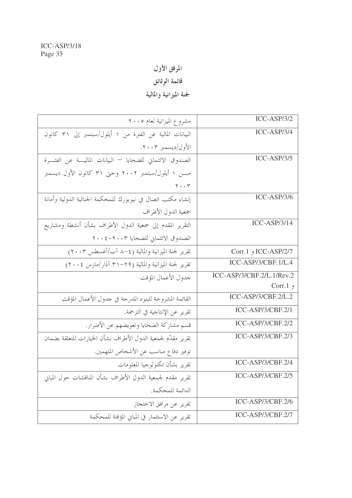# المرفق الأول

قائمة الوثائق

لجنة الميزانية والمالية

| مشروع الميزانية لعام ٢٠٠٥                                     | $ICC-ASP/3/2$             |
|---------------------------------------------------------------|---------------------------|
| البيانات المالية عن الفترة من ١ أيلول/سبتمبر إلى ٣١ كانون     | $ICC-ASP/3/4$             |
| الأول/ديسمبر ٢٠٠٣.                                            |                           |
| الصندوق الائتماني للضحايا – البيانات المالية عن الفترة        | $ICC-ASP/3/5$             |
| مــــن ١ أيلول/سبتمبر ٢٠٠٢ وحتى ٣١ كانون الأول ديسمبر         |                           |
| $Y \cdot Y$                                                   |                           |
| إنشاء مكتب اتصال في نيويورك للمحكمة الجنائية الدولية وأمانة   | $ICC-ASP/3/6$             |
| جمعية الدول الأطراف                                           |                           |
| التقرير المقدم إلى جمعية الدول الأطراف بشأن أنشطة ومشاريع     | $ICC-ASP/3/14$            |
| الصندوق الائتماني للضحايا ٢٠٠٣-٢٠٠٤                           |                           |
| تقرير لجنة الميزانية والمالية (٤–٨ آب/أغسطس ٢٠٠٣)             | Corr.1, ICC-ASP/2/7       |
| تقرير لجنة الميزانية والمالية (٢٩–٣١ آذار/مارس ٢٠٠٤)          | ICC-ASP/3/CBF.1/L.4       |
|                                                               |                           |
| جدول الأعمال المؤقت                                           | ICC-ASP/3/CBF.2/L.1/Rev.2 |
|                                                               | Corr.1 $,$                |
| القائمة المشروحة للبنود المدرجة في جدول الأعمال المؤقت        | ICC-ASP/3/CBF.2/L.2       |
| تقرير عن الإنتاجية في الترجمة.                                | ICC-ASP/3/CBF.2/1         |
| قسم مشاركة الضحايا وتعويضهم عن الأضرار.                       | $ICC-ASP/3/CBF.2/2$       |
| تقرير مقلّع لجمعية الدول الأطراف بشأن الخيارات المتعلقة بضمان | ICC-ASP/3/CBF.2/3         |
| توفير دفاع مناسب عن الأشخاص المتهمين.                         |                           |
| تقرير بشأن تكنولوجيا المعلومات                                | ICC-ASP/3/CBF.2/4         |
| تقرير مقدم لجمعية الدول الأطراف بشأن المناقشات حول المبابى    | $ICC-ASP/3/CBF.2/5$       |
| الدائمة للمحكمة.                                              |                           |
| تقرير عن مرافق الاحتجاز                                       | ICC-ASP/3/CBF.2/6         |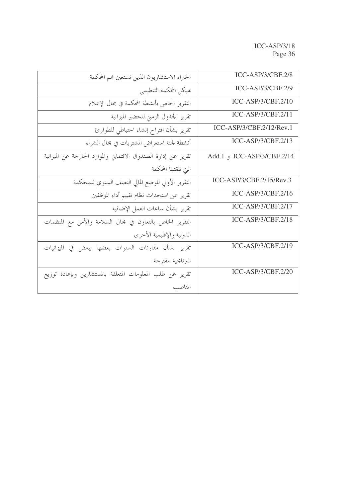| الخبراء الاستشاريون الذين تستعين بمم المحكمة                   | ICC-ASP/3/CBF.2/8          |
|----------------------------------------------------------------|----------------------------|
| هيكل المحكمة التنظيمي                                          | ICC-ASP/3/CBF.2/9          |
| التقرير الخاص بأنشطة المحكمة في مجال الإعلام                   | ICC-ASP/3/CBF.2/10         |
| تقرير الجدول الزمني لتحضير الميزانية                           | $ICC-ASP/3/CBF.2/11$       |
| تقرير بشأن اقتراح إنشاء احتياطي للطوارئ                        | ICC-ASP/3/CBF.2/12/Rev.1   |
| أنشطة لجنة استعراض المشتريات في مجال الشراء                    | ICC-ASP/3/CBF.2/13         |
| تقرير عن إدارة الصندوق الائتماني والموارد الخارجة عن الميزانية | ICC-ASP/3/CBF.2/14 و Add.1 |
| التي تلقتها المحكمة                                            |                            |
| التقرير الأولي للوضع المالي النصف السنوي للمحكمة               | $ICC-ASP/3/CBF.2/15/Rev.3$ |
| تقرير عن استحداث نظام تقييم أداء الموظفين                      | ICC-ASP/3/CBF.2/16         |
| تقرير بشأن ساعات العمل الإضافية                                | ICC-ASP/3/CBF.2/17         |
| التقرير الخاص بالتعاون في مجال السلامة والأمن مع المنظمات      | ICC-ASP/3/CBF.2/18         |
| الدولية والإقليمية الأخرى                                      |                            |
| تقرير بشأن مقارنات السنوات بعضها ببعض في الميزانيات            | ICC-ASP/3/CBF.2/19         |
| البرنامجية المقترحة                                            |                            |
| تقرير عن طلب المعلومات المتعلقة بالمستشارين وبإعادة توزيع      | ICC-ASP/3/CBF.2/20         |
| المناصب                                                        |                            |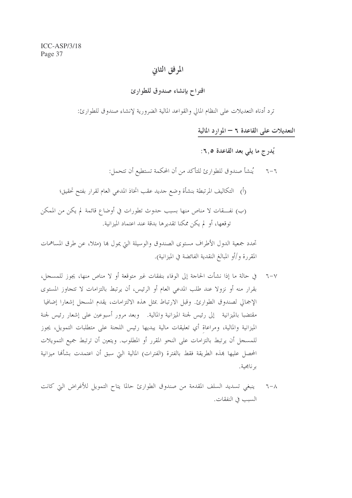#### المرفق الثاني

#### اقتواح بإنشاء صندوق للطوارئ

ترد أدناه التعديلات على النظام المالي والقواعد المالية الضرورية لإنشاء صندوق للطوارئ:

التعديلات على القاعدة ٦ – الموارد المالية

- يُدرج ما يلي بعد القاعدة ٦,٥:
- ٦–٦ يُنشأ صندوق للطوارئ للتأكد من أن المحكمة تستطيع أن تتحمل:
- (أ) التكاليف المرتبطة بنشأة وضع جديد عقب اتخاذ المدعى العام لقرار بفتح تحقيق؛

(ب) نفسقات لا مناص منها بسبب حدوث تطورات في أوضاع قائمة لم يكن من الممكن توقعها، أو لم يكن ممكنا تقديرها بدقة عند اعتماد الميزانية.

تحدد جمعية الدول الأطراف مستوى الصندوق والوسيلة التي يمول بما (مثلا، عن طرق المساهمات المقررة و/أو المبالغ النقدية الفائضة في الميزانية).

- في حالة ما إذا نشأت الحاجة إلى الوفاء بنفقات غير متوقعة أو لا مناص منها، يجوز للمسجل،  $7 - Y$ بقرار منه أو نزولا عند طلب المدعى العام أو الرئيس، أن يرتبط بالتزامات لا تتجاوز المستوى الإجمالي لصندوق الطوارئ. وقبل الارتباط بمثل هذه الالتزامات، يقدم المسجل إشعارا إضافيا مقتضبا بالميزانية \_ إلى رئيس لجنة الميزانية والمالية. \_ وبعد مرور أسبوعين على إشعار رئيس لجنة الميزانية والمالية، ومراعاة أي تعليقات مالية يبديها رئيس اللجنة على متطلبات التمويل، يجوز للمسجل أن يرتبط بالتزامات على النحو المقرر أو المطلوب. ويتعين أن ترتبط جميع التمويلات المحصل عليها هذه الطريقة فقط بالفترة (الفترات) المالية التي سبق أن اعتمدت بشأها ميزانية بر نامجية.
- ٦–٦ ينبغي تسديد السلف المقدمة من صندوق الطوارئ حالما يتاح التمويل للأغراض التي كانت السبب في النفقات.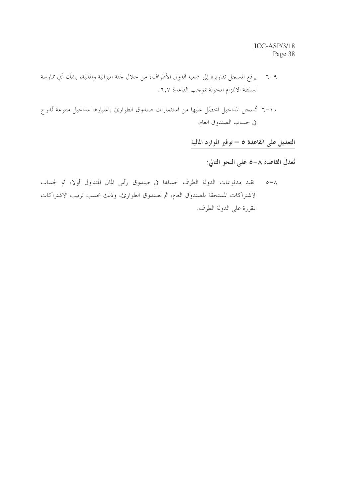- ٦–٩ يرفع المسحل تقاريره إلى جمعية الدول الأطراف، من حلال لجنة الميزانية والمالية، بشأن أي ممارسة لسلطة الالتزام المخولة بموجب القاعدة ٦,٧.
- ٦-١٠ تُسجل المداحيل المحصّل عليها من استثمارات صندوق الطوارئ باعتبارها مداحيل متنوعة تُدرج في حساب الصندوق العام.

التعديل على القاعدة ٥ – توفير الموارد المالية

تُعدل القاعدة ٨−٥ على النحو التالي:

٨–٥٪ تقيد مدفوعات الدولة الطرف لحساها في صندوق رأس المال المتداول أولا، ثم لحساب الاشتراكات المستحقة للصندوق العام، ثم لصندوق الطوارئ، وذلك بحسب ترتيب الاشتراكات المقررة على الدولة الطرف.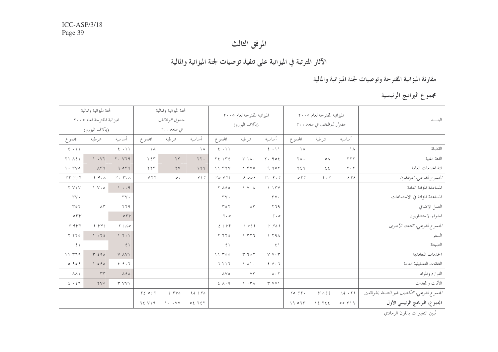# المرفق الثالث

# الآثار المترتبة في الميزانية على تنفيذ توصيات لجنة الميزانية والمالية

# مقارنة الميزانية المقترحة وتوصيات لجنة الميزانية والمالية

مجموع البرامج الرئيسية

|                              | لجنة الميزانية والمالية<br>الميزانية المقترحة لعام ٢٠٠٥<br>(بآلاف اليورو) |                                           |                     | لجنة الميزانية والمالية<br>جدول الوظائف<br>يي عام٥ ٢٠٠ |                    |                          | الميزانية المقترحة لعام ٢٠٠٥<br>(بألاف اليورو)                            |                                                               |                                | الميزانية المقترحة لعام ٢٠٠٥<br>جدول الوظائف في عام٥ ٢٠٠ |                                 | البنسد                                         |
|------------------------------|---------------------------------------------------------------------------|-------------------------------------------|---------------------|--------------------------------------------------------|--------------------|--------------------------|---------------------------------------------------------------------------|---------------------------------------------------------------|--------------------------------|----------------------------------------------------------|---------------------------------|------------------------------------------------|
| المحموع                      | شرطية                                                                     | أساسية                                    | المحموع             | شرطية                                                  | أساسية             | المحموع                  | شرطية                                                                     | أساسية                                                        | المحموع                        | شرطية                                                    | أساسية                          |                                                |
| $2 \cdot 11$                 |                                                                           | $2 \cdot 11$                              | $\lambda$           |                                                        | $\setminus \wedge$ | 5.11                     |                                                                           | $2 \cdot 11$                                                  | $\lambda$                      |                                                          | $\Lambda$                       | القضاة                                         |
| $Y \setminus \Lambda \Sigma$ | $\ensuremath{\mathsf{y}}\xspace$ . $\ensuremath{\mathsf{y}}\xspace$       | Y. Y79                                    | $\gamma \xi \gamma$ | $\mathbf{Y} \mathbf{Y}$                                | $\gamma \gamma$ .  | $Y \xi \quad Y \xi$      | $\uparrow \uparrow \uparrow \uparrow \uparrow \uparrow \uparrow \uparrow$ | $Y - 902$                                                     | $\mathbf{Y} \wedge \mathbf{Y}$ | $\circ \wedge$                                           | 777                             | الفئة الفنية                                   |
| $\cdot$ $\tau \vee \circ$    | $\wedge$ $\uparrow$ $\uparrow$                                            | 9.049                                     | YYY                 | $\gamma \gamma$                                        | 197                | 11777                    | YY0                                                                       | 9.907                                                         | $Y \xi$                        | ٤٤                                                       | 7.7                             | فئة الخدمات العامة                             |
| $rr$ $r1$ $\tau$             | 19.1                                                                      | $r \cdot r \cdot \lambda$                 | $\xi$ 77            | $\mathcal{O}$ .                                        | $\mathcal E$ ) 7   | $r \circ \xi$ 71         | 2002                                                                      | $r \cdot 9 \cdot 7$                                           | $\mathcal{O}$ $\mathcal{V}$ 7  | $1 + 1$                                                  | 255                             | الجموع الفرعي، الموظفون                        |
| Y Y Y Y                      | $\setminus \vee \cdot \wedge$                                             | $1 + 9$                                   |                     |                                                        |                    | $Y \wedge \xi$           | $\lambda$ $\lambda$                                                       | 1.15V                                                         |                                |                                                          |                                 | المساعدة المؤقتة العامة                        |
| $\tau\vee\cdot$              |                                                                           | $\mathbf{r} \vee \cdot$                   |                     |                                                        |                    | $\tau\vee\cdot$          |                                                                           | $\tau\vee\cdot$                                               |                                |                                                          |                                 | المساعدة المؤقتة في الاجتماعات                 |
| $Y \circ Y$                  | $\wedge\tau$                                                              | 579                                       |                     |                                                        |                    | T O V                    | $\wedge\tau$                                                              | $Y \Upsilon$ q                                                |                                |                                                          |                                 | العمل الإضافي                                  |
| $\mathcal{O} \nvDash V$      |                                                                           | $\circ r v$                               |                     |                                                        |                    | $7 \cdot 0$              |                                                                           | $7 \cdot \circ$                                               |                                |                                                          |                                 | الخبراء الاستشاريون                            |
| $r$ 9 $v$ 7                  | 1 V91                                                                     | $\Gamma$ 110                              |                     |                                                        |                    | 2.117                    | 1 V91                                                                     | $\Gamma$ $\Gamma$ $\Lambda$ $1$                               |                                |                                                          |                                 | الجموع الفرعي، الفئات الأحرى                   |
| Y Y Y o                      | 1.72                                                                      | $\setminus \ \ \ \gamma \ \ \ \backslash$ |                     |                                                        |                    | $Y T Y E$                | $\gamma$ $\tau \tau \tau$                                                 | 1.79A                                                         |                                |                                                          |                                 | السفر                                          |
| $\xi \setminus$              |                                                                           | 51                                        |                     |                                                        |                    | $\mathcal{E}$ /          |                                                                           | $\mathbf{\hat{z}}$ /                                          |                                |                                                          |                                 | الضيافة                                        |
| 11779                        | $T \xi q \Lambda$                                                         | V AVI                                     |                     |                                                        |                    | $11$ $00$                | $T$ $707$                                                                 | $\lor~\lor$ $\cdot$<br>$\tau$                                 |                                |                                                          |                                 | الخدمات التعاقدية                              |
| 0.902                        | 105A                                                                      | 2.5.7                                     |                     |                                                        |                    | 7.717                    | $\lambda$ $\lambda$ $\lambda$                                             | $\boldsymbol{\xi}$ , $\boldsymbol{\xi}$ , $\boldsymbol{\eta}$ |                                |                                                          |                                 | النفقات التشغيلية العامة                       |
| <b>AA1</b>                   | $\tau\tau$                                                                | $\lambda \xi \lambda$                     |                     |                                                        |                    | $\Lambda$ $\vee$ $\circ$ | VT                                                                        | $\wedge \cdot \curlyvee$                                      |                                |                                                          |                                 | اللوازم والمواد                                |
| 2.51                         | $\gamma \gamma o$                                                         | ۳ ۷۷۱                                     |                     |                                                        |                    | $2 \lambda \cdot 9$      | $\eta \cdot r \wedge$                                                     | T VVI                                                         |                                |                                                          |                                 | الأثاث والمعدات                                |
|                              |                                                                           |                                           | 52017               | $7.7\gamma\lambda$                                     | $11.1 \text{ } r$  |                          |                                                                           |                                                               | $\Gamma$ $0$ $9$ $\Gamma$ .    | $V \wedge q q$                                           | $1\lambda$ $\cdot$ $\Gamma$ $1$ | المحموع الفرعي، التكاليف غير المتصلة بالموظفين |
|                              |                                                                           |                                           | 72 VI9              | $\eta \cdot \gamma$                                    | 0275               |                          |                                                                           |                                                               | 7907                           | 12755                                                    | $00 \text{ F19}$                | المجموع، البرنامج الرئيسي الأول                |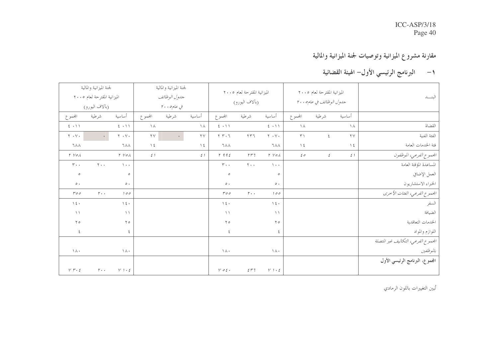# مقارنة مشروع الميزانية وتوصيات لجنة الميزانية والمالية

# ١— البرنامج الرئيسي الأول– الهيئة القضائية

|                         | لجنة الميزانية والمالية                        |                                               |                        | لجنة الميزانية والمالية     |                              |                                     | الميزانية المقترحة لعام ٢٠٠٥               |                                 | الميزانية المقترحة لعام ٢٠٠٥ |                    |               |                                    |
|-------------------------|------------------------------------------------|-----------------------------------------------|------------------------|-----------------------------|------------------------------|-------------------------------------|--------------------------------------------|---------------------------------|------------------------------|--------------------|---------------|------------------------------------|
|                         | الميزانية المقترحة لعام ٢٠٠٥<br>(بألاف اليورو) |                                               |                        | جدول الوظائف<br>في عام ٢٠٠٥ |                              |                                     | (بألاف اليورو)<br>جدول الوظائف في عام ٢٠٠٥ |                                 |                              |                    |               | البنسد                             |
| المحموع                 | شرطية                                          | أساسية                                        | المحموع                | شرطية                       | أساسية                       | المحموع                             | شرطية                                      | أساسية                          | المحموع                      | شرطية              | أساسية        |                                    |
| $2 \cdot 11$            |                                                | $\mathbf{\hat{z}}\rightarrow\mathbf{\hat{y}}$ | $\lambda$              |                             | $\Lambda$                    | $\mathbf{f} \rightarrow \mathbf{f}$ |                                            | $\xi \rightarrow \gamma \gamma$ | $\setminus \wedge$           |                    | $\Lambda$     | القضاة                             |
| $Y \cdot V \cdot$       | $\mathbf{v}$                                   | $Y \cdot V$                                   | $\mathbf{Y}\mathbf{V}$ | $\mathbf{A}$                | $\mathbf{y}$                 | $Y Y \cdot 7$                       | $\Upsilon \Upsilon \Upsilon$               | $Y \cdot Y \cdot$               | $\uparrow\uparrow$           | $\boldsymbol{\xi}$ | $\mathbf{y}$  | الفئة الفنية                       |
| ገለለ                     |                                                | <b>٦٨٨</b>                                    | $\setminus$ 2          |                             | $\left\langle \right\rangle$ | ገለለ                                 |                                            | ገለለ                             | $\setminus$ 2                |                    | $\setminus$ 2 | فثة الخدمات العامة                 |
| $Y$ $Y \circ A$         |                                                | $Y$ $Y \circ A$                               | $\xi$ )                |                             | 51                           | $r$ 99 $\xi$                        | rr7                                        | $Y$ $Y$ o $A$                   | $\epsilon$                   | $\boldsymbol{\xi}$ | $\xi$ )       | الجموع الفرعي، الموظفون            |
| $\tau \cdot \cdot$      | $\mathbf{y}$                                   | $\Delta$                                      |                        |                             |                              | $\tau \cdot \cdot$                  | $Y \cdot \cdot$                            | $\Delta$ + +                    |                              |                    |               | المساعدة المؤقتة العامة            |
| $\circ$                 |                                                | $\circ$                                       |                        |                             |                              | $\circ$                             |                                            | $\circ$                         |                              |                    |               | العمل الإضافي                      |
| $\circ\cdot$            |                                                | $\circ\cdot$                                  |                        |                             |                              | $\circ \cdot$                       |                                            | $\circ \cdot$                   |                              |                    |               | الخبراء الاستشاريون                |
| $r \circ \circ$         | $r \cdot \cdot$                                | 100                                           |                        |                             |                              | $r \circ \circ$                     | $r \cdot \cdot$                            | 100                             |                              |                    |               | الجموع الفرعي، الفئات الأخرى       |
| $\backslash$ { $\cdot$  |                                                | $\setminus$ { $\cdot$                         |                        |                             |                              | $\wedge$ { $\cdot$                  |                                            | $\backslash$ { $\cdot$          |                              |                    |               | السفر                              |
| $\setminus$             |                                                | $\setminus$                                   |                        |                             |                              | $\setminus$                         |                                            | $\setminus$                     |                              |                    |               | الضيافة                            |
| $Y \circ$               |                                                | $Y \circ$                                     |                        |                             |                              | $\Upsilon$                          |                                            | $\Upsilon$                      |                              |                    |               | الخدمات التعاقدية                  |
| $\boldsymbol{\xi}$      |                                                | $\xi$                                         |                        |                             |                              | $\epsilon$                          |                                            | $\boldsymbol{\xi}$              |                              |                    |               | اللوازم والمواد                    |
|                         |                                                |                                               |                        |                             |                              |                                     |                                            |                                 |                              |                    |               | الجموع الفرعي، التكاليف غير التصلة |
| $\backslash\wedge\cdot$ |                                                | $\lambda \wedge \cdot$                        |                        |                             |                              | $\lambda \wedge \cdot$              |                                            | $\setminus \wedge \cdot$        |                              |                    |               | بالموظفين                          |
|                         |                                                |                                               |                        |                             |                              |                                     |                                            |                                 |                              |                    |               | المجموع، البرنامج الرئيسي الأول    |
| $V F \cdot \xi$         | $r \cdot \cdot$                                | $V$ ) $\cdot$ $\xi$                           |                        |                             |                              | $V$ of.                             | $\mathcal{E} \hspace{0.5mm} \mathcal{F}$ 7 | $V$ ) $\cdot$ $\xi$             |                              |                    |               |                                    |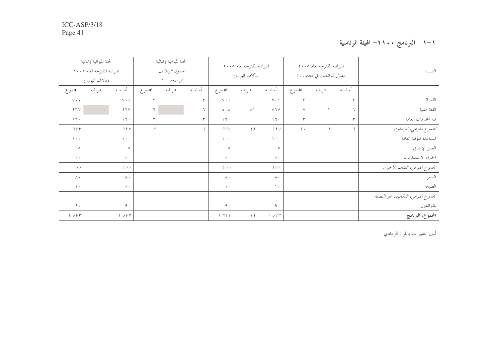# ١–١ البرنامج ١١٠٠– الهيئة الرئاسية

|                 | لجنة الميزانية والمالية<br>الميزانية المقترحة لعام ٢٠٠٥<br>(بألاف اليورو) |                     |               | لجنة الميزانية والمالية<br>جدول الوظائف<br>في عام ٢٠٠٥ |                 |                    | الميزانية المقترحة لعام ٢٠٠٥<br>(بألاف اليورو) |                        |                 | الميزانية المقترحة لعام ٢٠٠٥<br>جدول الوظائف في عام ٢٠٠٥ |              | البنسد                              |
|-----------------|---------------------------------------------------------------------------|---------------------|---------------|--------------------------------------------------------|-----------------|--------------------|------------------------------------------------|------------------------|-----------------|----------------------------------------------------------|--------------|-------------------------------------|
| المحموع         | شرطية                                                                     | أساسية              | المحموع       | شرطية                                                  | أساسية          | المحموع            | شرطية                                          | أساسية                 | المحموع         | شرطية                                                    | أساسية       |                                     |
| $Y \cdot Y$     |                                                                           | $\vee \cdot \wedge$ | $\mathbf{r}$  |                                                        | $\mathbf r$     | $V \cdot \Lambda$  |                                                | $V \cdot \Lambda$      | $\mathbf{r}$    |                                                          | $\mathbf{r}$ | القضاة                              |
| $\xi$ 7 $\lor$  | $\mathbf{v}$                                                              | $\xi$ ٦٧            | ٦             | $\bullet$                                              | ٦               | $\circ\cdot\wedge$ | $\mathcal{L}$ \                                | $\xi$ ٦٧               | $\vee$          |                                                          |              | الفئة الفنية                        |
| $\lambda$       |                                                                           | $\setminus \top$ .  | $\mathbf{r}$  |                                                        | $\mathbf{\tau}$ | $\setminus \top$ . |                                                | $\setminus \top$ .     | $\mathbf{\tau}$ |                                                          | ٣            | فئة الخدمات العامة                  |
| 77 <sub>V</sub> |                                                                           | 77V                 | $\mathcal{A}$ |                                                        | $\mathcal{A}$   | $7.7\,\mathcal{A}$ | $\xi$ )                                        | $7\, \gamma \, \gamma$ | $\mathbf{1}$ .  |                                                          | q            | الجموع الفرعي، الموظفون             |
| $\lambda$ .     |                                                                           | $\lambda$ + +       |               |                                                        |                 | $\lambda$ .        |                                                | $\lambda$ .            |                 |                                                          |              | المساعدة المؤقتة العامة             |
| $\circ$         |                                                                           | $\circ$             |               |                                                        |                 | $\circ$            |                                                | $\circ$                |                 |                                                          |              | العمل الإضافي                       |
| $\circ \cdot$   |                                                                           | $\circ \cdot$       |               |                                                        |                 | $\circ \cdot$      |                                                | $\circ\cdot$           |                 |                                                          |              | الخبراء الاستشاريون                 |
| 100             |                                                                           | 100                 |               |                                                        |                 | 100                |                                                | 100                    |                 |                                                          |              | الجموع الفرعي، الفئات الأخرى        |
| $\wedge \cdot$  |                                                                           | $\wedge \cdot$      |               |                                                        |                 | $\wedge \cdot$     |                                                | $\wedge \cdot$         |                 |                                                          |              | السفر                               |
| $\lambda$       |                                                                           | $\lambda$           |               |                                                        |                 | $\lambda$          |                                                | $\lambda$              |                 |                                                          |              | الضيافة                             |
|                 |                                                                           |                     |               |                                                        |                 |                    |                                                |                        |                 |                                                          |              | الجمموع الفرعي، التكاليف غير التصلة |
| 9.1             |                                                                           | 9.1                 |               |                                                        |                 | 9.1                |                                                | 9.1                    |                 |                                                          |              | بالموظفين                           |
| 10Vr            |                                                                           | 10Yr                |               |                                                        |                 | 1715               | $\xi$ )                                        | 1 oyr                  |                 |                                                          |              | المجموع، البرنامج                   |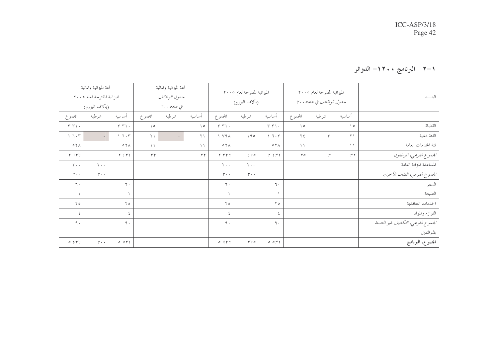### ۲–۲ البرنامج ۱۲۰۰– الدوائر

|                                             | لجنة الميزانية والمالية<br>الميزانية المقترحة لعام ٢٠٠٥<br>(بألاف اليورو) |                                      |                      | لجنة الميزانية والمالية<br>جدول الوظائف<br>في عام٥ ٢٠٠ |                     |                                      | الميزانية المقترحة لعام ٢٠٠٥<br>(بألاف اليورو) |                                             |                      | الميزانية المقترحة لعام ٢٠٠٥<br>جدول الوظائف في عام ٢٠٠٥ |                     | البنسد                             |
|---------------------------------------------|---------------------------------------------------------------------------|--------------------------------------|----------------------|--------------------------------------------------------|---------------------|--------------------------------------|------------------------------------------------|---------------------------------------------|----------------------|----------------------------------------------------------|---------------------|------------------------------------|
| المحموع                                     | شرطية                                                                     | أساسية                               | المحموع              | شرطية                                                  | أساسية              | المحموع                              | شرطية                                          | أساسية                                      | المحموع              | شرطية                                                    | أساسية              |                                    |
| $\uparrow\uparrow\uparrow\uparrow$ .        |                                                                           | $\uparrow\uparrow\uparrow\uparrow$ . | $\backslash$ $\circ$ |                                                        | $\setminus \circ$   | $\uparrow\uparrow\uparrow\uparrow$ . |                                                | $\uparrow\uparrow\uparrow\uparrow$ .        | $\backslash$ $\circ$ |                                                          | $\setminus \circ$   | القضاة                             |
| $\gamma$ 7 $\cdot$ $\tau$                   | $\mathbf{A}^{\text{max}}$                                                 | $\gamma$ 7 $\cdot$ $\tau$            | $\Upsilon \setminus$ | $\bullet$                                              | $\uparrow \uparrow$ | $\wedge$ $\vee$ $\wedge$             | 190                                            | $\setminus \top \cdot \top$                 | $Y \xi$              | $\mathbf r$                                              | $\uparrow \uparrow$ | الفئة الفنية                       |
| $\circ$ $\uparrow$ $\wedge$                 |                                                                           | $\circ$ $\uparrow \wedge$            | $\setminus$          |                                                        | $\setminus$         | $\circ$ $\uparrow$ $\wedge$          |                                                | $\circ$ $\uparrow$ $\wedge$                 | $\setminus$          |                                                          | $\setminus$         | فئة الخدمات العامة                 |
| $\uparrow$ $\uparrow$ $\uparrow$ $\uparrow$ |                                                                           | $r \rightarrow r \rightarrow$        | $\boldsymbol{r}$     |                                                        | $\tau^{\star}\tau$  | $\gamma$ $\gamma\gamma\gamma$        | 190                                            | $\uparrow$ $\uparrow$ $\uparrow$ $\uparrow$ | $r \circ$            | r                                                        | r r                 | الجموع الفرعي، الموظفون            |
| $\mathbf{Y} \leftrightarrow$                | $Y + 1$                                                                   |                                      |                      |                                                        |                     | $\mathbf{Y}$                         | $\mathbf{Y}$                                   |                                             |                      |                                                          |                     | المساعدة المؤقتة العامة            |
| $r \cdot \cdot$                             | $r \cdot \cdot$                                                           |                                      |                      |                                                        |                     | $r \cdot \cdot$                      | $r \cdot \cdot$                                |                                             |                      |                                                          |                     | الجموع الفرعي، الفئات الأحرى       |
| $\mathcal{L}$                               |                                                                           | $\mathcal{T}$                        |                      |                                                        |                     | ٦.                                   |                                                | ٦.                                          |                      |                                                          |                     | السفر                              |
| $\lambda$                                   |                                                                           |                                      |                      |                                                        |                     | $\lambda$                            |                                                | $\sqrt{2}$                                  |                      |                                                          |                     | الضيافة                            |
| $\Upsilon$                                  |                                                                           | $\Upsilon$                           |                      |                                                        |                     | $\Upsilon$                           |                                                | $\Upsilon$                                  |                      |                                                          |                     | الخدمات التعاقدية                  |
| $\epsilon$                                  |                                                                           | ٤                                    |                      |                                                        |                     | $\mathsf{\acute{z}}$                 |                                                | $\epsilon$                                  |                      |                                                          |                     | اللوازم والمواد                    |
| $\mathcal{A}$ .                             |                                                                           | $\mathcal{A}$ .                      |                      |                                                        |                     | 9.1                                  |                                                | 9.1                                         |                      |                                                          |                     | الجموع الفرعي، التكاليف غير التصلة |
|                                             |                                                                           |                                      |                      |                                                        |                     |                                      |                                                |                                             |                      |                                                          |                     | بالموظفين                          |
| O(YF)                                       | $r \cdot \cdot$                                                           | $0$ $0$ $0$ $)$                      |                      |                                                        |                     | 0.917                                | r q o                                          | 0.01                                        |                      |                                                          |                     | المجموع، البرنامج                  |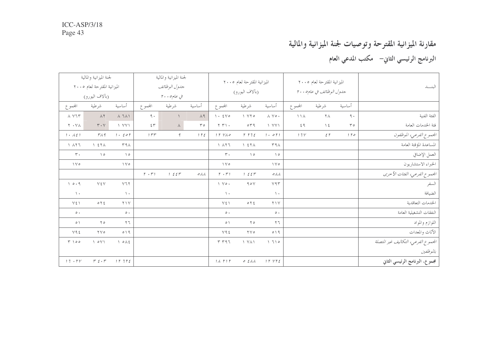# مقارنة الميزانية المقترحة وتوصيات لجنة الميزانية والمالية

البرنامج الرئيسي الثاني– مكتب المدعي العام

|                                                                           | لجنة الميزانية والمالية<br>الميزانية المقترحة لعام ٢٠٠٥<br>(بآلاف اليورو) |                               |                  | لجنة الميزانية والمالية<br>جدول الوظائف<br>في عام ٢٠٠٥ |                       |                                     | الميزانية المقترحة لعام ٢٠٠٥<br>(بألاف اليورو) |                               |                                   | الميزانية المقترحة لعام ٢٠٠٥<br>جدول الوظائف في عام٥ ٢٠٠ |           | البنسد                             |
|---------------------------------------------------------------------------|---------------------------------------------------------------------------|-------------------------------|------------------|--------------------------------------------------------|-----------------------|-------------------------------------|------------------------------------------------|-------------------------------|-----------------------------------|----------------------------------------------------------|-----------|------------------------------------|
| المحموع                                                                   | شرطية                                                                     | أساسية                        | المحموع          | شرطية                                                  | أساسية                | المحموع                             | شرطية                                          | أساسية                        | المحموع                           | شرطية                                                    | أساسية    |                                    |
| $\wedge$ $\vee\uparrow\uparrow$                                           | $\wedge\,\Upsilon$                                                        | $\wedge$ $7\wedge$            | $\lhd$ .         |                                                        | $\wedge$ 9            | $\lambda$ + $2\sqrt{0}$             | YY0                                            | $\wedge$ $\vee \circ$ .       | $\backslash$ $\backslash$ $\land$ | $\uparrow \wedge$                                        | 9.1       | الفئة الفنية                       |
| $Y \cdot Y \wedge$                                                        | $\mathbf{r}\cdot\mathbf{v}$                                               | Y Y Y                         | $\xi$ $\uparrow$ | $\wedge$                                               | $r \circ$             | $Y Y \cdot$                         | $\circ$ $\uparrow$ 9                           | I VVI                         | $\xi$ ٩                           | $\setminus$ 2                                            | $r \circ$ | فثة الخدمات العامة                 |
| $\vert \cdot \vert \wedge \xi \vert$                                      | $r_A$ q                                                                   | 1.50                          | $1 + r$          | $\mathcal{I}$                                          | $1 \Gamma$            | 11140                               | $r$ $r$ $z$                                    | 1.01                          | 17 <sup>V</sup>                   | 5r                                                       | 1 r o     | الجموع الفرعي، الموظفون            |
| $\Lambda$ $\Lambda$ $\tau$ $\tau$                                         | 157A                                                                      | $\Gamma$ 98                   |                  |                                                        |                       | $\Lambda$ $\Lambda$ $\tau$ $\tau$   | $\lambda$ 2 $\lambda$                          | ۳۹۸                           |                                   |                                                          |           | المساعدة المؤقتة العامة            |
| $\mathbf{r}$ .                                                            | $\setminus \circ$                                                         | $\setminus \circ$             |                  |                                                        |                       | $\mathbf{r}$ .                      | $\setminus \circ$                              | $\setminus \circ$             |                                   |                                                          |           | العمل الإضافي                      |
| $\vee$                                                                    |                                                                           | $\vee$                        |                  |                                                        |                       | $\vee \vee \circ$                   |                                                | $\vee \vee \circ$             |                                   |                                                          |           | الخبراء الاستشاريون                |
|                                                                           |                                                                           |                               | $r \cdot r$      | $1 \leq \epsilon r$                                    | $\circ \wedge \wedge$ | $\mathfrak{r}\,$ . $\mathfrak{r}$ ) | 155r                                           | $\mathcal{O} \Lambda \Lambda$ |                                   |                                                          |           | الجموع الفرعي، الفئات الأخرى       |
| 10.9                                                                      | $V \Sigma V$                                                              | V77                           |                  |                                                        |                       | $\setminus \vee \circ \cdot$        | 90V                                            | Y95                           |                                   |                                                          |           | السفر                              |
| $\rightarrow$                                                             |                                                                           | $\Delta$                      |                  |                                                        |                       | $\lambda$ .                         |                                                | $\lambda$                     |                                   |                                                          |           | الضيافة                            |
| $Y \xi$                                                                   | $0 \vee 2$                                                                | $\Upsilon \setminus \vee$     |                  |                                                        |                       | $V\S$                               | $\circ$ $\uparrow$ $\uparrow$                  | $Y \wedge V$                  |                                   |                                                          |           | الخدمات التعاقدية                  |
| $\circ\cdot$                                                              |                                                                           | $\circ \cdot$                 |                  |                                                        |                       | $\circ\cdot$                        |                                                | $\circ \cdot$                 |                                   |                                                          |           | النفقات التشغيلية العامة           |
| $\circ$ \                                                                 | $\Upsilon$                                                                | $\mathbf{y}$ $\mathbf{y}$     |                  |                                                        |                       | $\circ \wedge$                      | $\Upsilon$                                     | $\mathbf{y}$                  |                                   |                                                          |           | اللوازم والمواد                    |
| Y92                                                                       | $\gamma \vee \circ$                                                       | 019                           |                  |                                                        |                       | Y92                                 | $\gamma \vee \circ$                            | 019                           |                                   |                                                          |           | الأثاث والمعدات                    |
| $T \cap 00$                                                               | $\vee$ $\circ$ $\vee$ $\vee$                                              | $\lambda$ $\circ$ $\lambda$ 2 |                  |                                                        |                       | T T 97                              | $\lambda$ $\forall \lambda \lambda$            | 1710                          |                                   |                                                          |           | الجموع الفرعي، التكاليف غير التصلة |
|                                                                           |                                                                           |                               |                  |                                                        |                       |                                     |                                                |                               |                                   |                                                          |           | بالموظفين                          |
| $\ensuremath{\mathcal{V}}\xspace$ 7 - $\ensuremath{\mathcal{V}}\xspace V$ | $r\hspace{0.1cm}\varepsilon\cdot r$                                       | $1 r 7 r \epsilon$            |                  |                                                        |                       | $111717$                            | OZAA                                           | 15 V15                        |                                   |                                                          |           | مجموع، البرنامج الرئيسي الثاني     |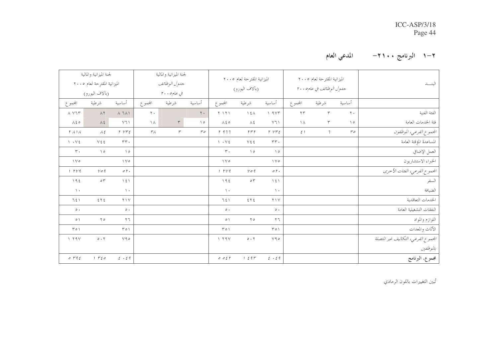# ٢–١ البرنامج ٢١٠٠– المدعي العام

| البنسد                             |                | الميزانية المقترحة لعام ٢٠٠٥<br>جدول الوظائف في عام ٢٠٠٥ |                         |                                         | الميزانية المقترحة لعام ٢٠٠٥<br>(بألاف اليورو)           |                                                         |                | لجنة الميزانية والمالية<br>جدول الوظائف<br>في عام٥ ٢٠٠ |                |                                         | لجنة الميزانية والمالية<br>الميزانية المقترحة لعام ٢٠٠٥<br>(بألاف اليورو) |                                       |
|------------------------------------|----------------|----------------------------------------------------------|-------------------------|-----------------------------------------|----------------------------------------------------------|---------------------------------------------------------|----------------|--------------------------------------------------------|----------------|-----------------------------------------|---------------------------------------------------------------------------|---------------------------------------|
|                                    | أساسية         | شرطية                                                    | المحموع                 | أساسية                                  | شرطية                                                    | المحموع                                                 | أساسية         | شرطية                                                  | المحموع        | أساسية                                  | شرطية                                                                     | المحموع                               |
| الفئة الفنية                       | $\mathbf{r}$ . | $\mathbf{\tau}$                                          | $\mathbf{Y} \mathbf{Y}$ | 1.9Yr                                   | $\backslash$ $\xi$ $\land$                               | $\Upsilon \quad \Upsilon \quad \Upsilon \quad \Upsilon$ | $\mathbf{Y}$ . |                                                        | $\mathbf{Y}$ . | $\wedge$ 7 $\wedge$ $\wedge$            | $\wedge\,\Upsilon$                                                        | $\wedge$ $\vee\uparrow\uparrow$       |
| فئة الخدمات العامة                 | $\setminus$ 0  | $\mathsf{r}$                                             | $\Lambda$               | $\lor \uparrow \, \backslash$           | $\lambda$ ź                                              | $\lambda \xi$ o                                         | $\setminus$    | $\mathbf{r}$                                           | $\lambda$      | $\vee \top$ \                           | $\lambda$ 2                                                               | $\wedge$ 2 0                          |
| الجموع الفرعي، الموظفون            | $r \circ$      | $7\,$                                                    | $\xi$ )                 | $r$ $vr$ $\varepsilon$                  | $\gamma \gamma \gamma$                                   | $r$ 977                                                 | $r \circ$      | $\mathfrak{r}$                                         | $r_A$          | $\Gamma$ $V\Gamma\xi$                   | $\lambda$ ź                                                               | $\Gamma$ $\Lambda$ $\Gamma$ $\Lambda$ |
| المساعدة المؤقتة العامة            |                |                                                          |                         | $\tau\tau$ .                            | $V \xi \xi$                                              | $\mathcal{N}$ + $\mathcal{N}$ 2                         |                |                                                        |                | $\tau\tau$ .                            | $Y \xi \xi$                                                               | $\mathcal{N} \cdot \mathcal{N}$       |
| العمل الإضافي                      |                |                                                          |                         | $\setminus$ 0                           | $\setminus \circ$                                        | $\mathbf{r}$ .                                          |                |                                                        |                | $\setminus \circ$                       | $\setminus$ 0                                                             | $\tau$ .                              |
| الخبراء الاستشاريون                |                |                                                          |                         | $\vee \vee \circ$                       |                                                          | $\vee \vee \circ$                                       |                |                                                        |                | $\vee \vee \circ$                       |                                                                           | $\vee$                                |
| الجموع الفرعي، الفئات الأخرى       |                |                                                          |                         | $\circ r$ .                             | y o q                                                    | 1.719                                                   |                |                                                        |                | $\circ r$ .                             | $y_{0}q$                                                                  | 1.714                                 |
| السفر                              |                |                                                          |                         | $\backslash$ { $\backslash$             | $\circ$<br>$\uparrow$                                    | 195                                                     |                |                                                        |                | $\backslash$ { $\backslash$             | $\circ$<br>$\uparrow$                                                     | 195                                   |
| الضيافة                            |                |                                                          |                         | $\lambda$                               |                                                          | $\lambda$                                               |                |                                                        |                | $\lambda$                               |                                                                           | $\rightarrow$                         |
| الخدمات التعاقدية                  |                |                                                          |                         | $Y \wedge Y$                            | $\mathbf{\hat{z}}$ $\mathbf{\hat{y}}$ $\mathbf{\hat{z}}$ | 751                                                     |                |                                                        |                | $Y \setminus V$                         | $\mathbf{\hat{z}}$ $\mathbf{\hat{y}}$ $\mathbf{\hat{z}}$                  | 751                                   |
| النفقات التشغيلية العامة           |                |                                                          |                         | $\circ\cdot$                            |                                                          | $\circ \cdot$                                           |                |                                                        |                | $\circ \cdot$                           |                                                                           | $\circ\cdot$                          |
| اللوازم والمواد                    |                |                                                          |                         | $\mathbf{y}$ $\mathbf{y}$               | $\Upsilon$                                               | $\circ \wedge$                                          |                |                                                        |                | $\mathbf{y}$ $\mathbf{y}$               | $\Upsilon$                                                                | $\circ \wedge$                        |
| الأثاث والمعدات                    |                |                                                          |                         | $\Gamma$ o $\lambda$                    |                                                          | $\Gamma$ $\circ$ $\wedge$                               |                |                                                        |                | T O V                                   |                                                                           | $\Gamma$ $\circ$ $\wedge$             |
| الجموع الفرعي، التكاليف غير التصلة |                |                                                          |                         | Y90                                     | $\circ\cdot\,\mathrm{Y}$                                 | 179Y                                                    |                |                                                        |                | Y90                                     | $\circ\cdot\,\mathrm{y}$                                                  | 179Y                                  |
| بالموظفين                          |                |                                                          |                         |                                         |                                                          |                                                         |                |                                                        |                |                                         |                                                                           |                                       |
| مجموع، البرنامج                    |                |                                                          |                         | $\mathcal{E} \rightarrow \mathcal{E}$ q | $1 \leq 9 \ r$                                           | $\mathcal O$ $\mathcal O$ $\mathcal E$ $\mathcal V$     |                |                                                        |                | $\mathcal{E} \rightarrow \mathcal{E}$ q | $1 r \leq 0$                                                              | 0.792                                 |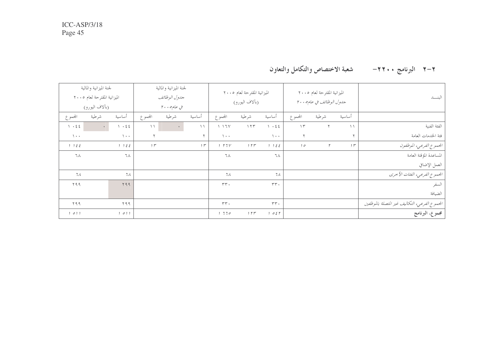# ٢-٢ البرنامج ٢٢٠٠- شعبة الاختصاص والتكامل والتعاون

| البنسد                                        |             | الميزانية المقترحة لعام ٢٠٠٥<br>جدول الوظائف في عام0 ٢٠٠ |          |                   | الميزانية المقترحة لعام ٢٠٠٥<br>(بألاف اليورو) |            |                | لجنة الميزانية والمالية<br>جدول الوظائف<br>في عام ٢٠٠٥ |              |             | لجنة الميزانية والمالية<br>الميزانية المقترحة لعام ٢٠٠٥<br>(بألاف اليورو) |                  |
|-----------------------------------------------|-------------|----------------------------------------------------------|----------|-------------------|------------------------------------------------|------------|----------------|--------------------------------------------------------|--------------|-------------|---------------------------------------------------------------------------|------------------|
|                                               | أساسية      | شرطية                                                    | المجموع  | أساسية            | شرطية                                          | المجموع    | أساسية         | شرطية                                                  | المجموع      | أساسية      | شرطية                                                                     | المجموع          |
| الفئة الفنية                                  | $\setminus$ | $\mathbf{r}$                                             | $\gamma$ | $\rightarrow$ 3 4 | 155                                            | 117        | $\setminus$    | $\bullet$                                              | $\setminus$  | $\cdot$ 2 2 | $\sim$ $\bullet$ $\sim$                                                   | $\rightarrow$ 22 |
| فئة الخدمات العامة                            | ۲           |                                                          | ٢        | $\lambda$ .       |                                                | $\lambda$  | ۲              |                                                        | $\mathbf{r}$ | $\lambda$   |                                                                           | $\rightarrow$    |
| الجموع الفرعي، الموظفون                       | $1\mu$      | ۲                                                        | 10       | 1155              | 1.55                                           | 1.77V      | 1 <sup>r</sup> |                                                        | , r          | 1155        |                                                                           | 1155             |
| المساعدة المؤقتة العامة                       |             |                                                          |          | ٦٨                |                                                | ٦٨         |                |                                                        |              | ٦A          |                                                                           | ٦A               |
| العمل الإضافي                                 |             |                                                          |          |                   |                                                |            |                |                                                        |              |             |                                                                           |                  |
| الجموع الفرعي، الفئات الأخرى                  |             |                                                          |          | $7\lambda$        |                                                | $7\lambda$ |                |                                                        |              | $7\lambda$  |                                                                           | $7\lambda$       |
| السفر                                         |             |                                                          |          | $rr \cdot$        |                                                | rr.        |                |                                                        |              | 599         |                                                                           | ۲۹۹              |
| الضيافة                                       |             |                                                          |          |                   |                                                |            |                |                                                        |              |             |                                                                           |                  |
| الجموع الفرعي، التكاليف غير المتصلة بالموظفين |             |                                                          |          | $\tau\tau$ .      |                                                | rr.        |                |                                                        |              | ۲۹۹         |                                                                           | ۲۹۹              |
| مجموع، البرنامج                               |             |                                                          |          | 1057              | 1.55                                           | 1770       |                |                                                        |              | 011         |                                                                           | O(1)             |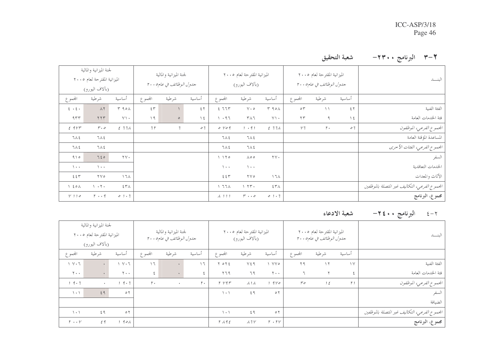# ٣–٣ البرنامج ٢٣٠٠ – شعبة التحقيق

|                                               |               | الميزانية المقترحة لعام ٢٠٠٥ |                     |                     | الميزانية المقترحة لعام ٢٠٠٥ |                                   |                  | لجنة الميزانية والمالية  |                              |                     | لجنة الميزانية والمالية                        |                             |
|-----------------------------------------------|---------------|------------------------------|---------------------|---------------------|------------------------------|-----------------------------------|------------------|--------------------------|------------------------------|---------------------|------------------------------------------------|-----------------------------|
| البنسد                                        |               | جدول الوظائف في عام ٢٠٠٥     |                     |                     | (بألاف اليورو)               |                                   |                  | جدول الوظائف في عام٥ ٢٠٠ |                              |                     | الميزانية المقترحة لعام ٢٠٠٥<br>(بألاف اليورو) |                             |
|                                               | أساسية        | شرطية                        | المجموع             | أساسية              | شرطية                        | المجموع                           | أساسية           | شرطية                    | المجموع                      | أساسية              | شرطية                                          | المجموع                     |
| الفئة الفنية                                  | 55            | $\setminus$                  | $\circ \tau$        | $Y$ 90 $\Lambda$    | $\vee\cdot\circ$             | 277                               | $\xi$ $\uparrow$ |                          | $\xi \, \overline{\uparrow}$ | $T90\Lambda$        | $\wedge$ $\vee$                                | $2 \cdot 2 \cdot$           |
| فثة الخدمات العامة                            | $\setminus$ 2 | ٩                            | $\Upsilon \Upsilon$ | $Y \setminus \cdot$ | $\Upsilon \wedge \Upsilon$   | 1.97                              | $\setminus$ 2    | $\circ$                  | $\eta$                       | $Y \setminus \cdot$ | YYY                                            | 955                         |
| الجموع الفرعي، الموظفون                       | 07            | $r \cdot$                    | V7                  | 2771                | 1.91                         | $0 \text{ } \nu 09$               | 07               | $\overline{7}$           | 7r                           | 277                 | $r \cdot \circ$                                | 2.9Vr                       |
| المساعدة المؤقتة العامة                       |               |                              |                     |                     | <b>JAE</b>                   | <b>JAE</b>                        |                  |                          |                              |                     | ٦Λ٤                                            | てんそ                         |
| الجموع الفرعي، الفئات الأخرى                  |               |                              |                     |                     | ٦Λ٤                          | <b>JAE</b>                        |                  |                          |                              |                     | ٦Λ٤                                            | ٦Λ٤                         |
| السفر                                         |               |                              |                     | $\gamma \vee \cdot$ | $\wedge \circ \circ$         | 1170                              |                  |                          |                              | $\gamma \vee \cdot$ | 750                                            | 910                         |
| الحدمات التعاقدية                             |               |                              |                     |                     | $\lambda$                    | $\lambda$                         |                  |                          |                              |                     | $\lambda$ + +                                  | $\lambda$                   |
| الأثاث والمعدات                               |               |                              |                     | $\wedge$ $\wedge$   | $\gamma \vee \circ$          | 255                               |                  |                          |                              | $\wedge$ $\wedge$   | $\gamma \gamma$                                | 257                         |
| الجموع الفرعي، التكاليف غير المتصلة بالموظفين |               |                              |                     | $57\lambda$         | $\gamma$ $\gamma \gamma$ .   | $\wedge$ 77 $\wedge$              |                  |                          |                              | $57\%$              | $\mathbf{1}$ $\mathbf{1}$ $\mathbf{1}$         | $\lambda$ 20 $\lambda$      |
| مجموع، البرنامج                               |               |                              |                     | 01.7                | $r \cdot \cdot \circ$        | $\lambda$ $\vert$ $\vert$ $\vert$ |                  |                          |                              | 01.7                | $r \cdot q$                                    | $V$ $\vert$ $\vert$ $\circ$ |

# ٢ –٤ البرنامج • • ٤ ٢ – شعبة الادعاء

| البنسد                                        |                       | الميزانية المقترحة لعام ٢٠٠٥<br>جدول الوظائف في عام ٢٠٠٥ |           |                    | الميزانية المقترحة لعام ٢٠٠٥<br>(بألاف اليورو) |                         |           | لجنة الميزانية والمالية<br>جدول الوظائف في عام0 ٢٠٠ |                    |                      | لجنة الميزانية والمالية<br>الميزانية المقترحة لعام ٢٠٠٥<br>(بألاف اليورو) |                             |
|-----------------------------------------------|-----------------------|----------------------------------------------------------|-----------|--------------------|------------------------------------------------|-------------------------|-----------|-----------------------------------------------------|--------------------|----------------------|---------------------------------------------------------------------------|-----------------------------|
|                                               | أساسية                | شرطية<br>المجموع<br>۲۹<br>$\gamma$                       |           | أساسية             | شرطية                                          | المجموع                 | أساسية    | شرطية                                               | المجموع            | أساسية               | شرطية                                                                     | المجموع                     |
| الفئة الفنية                                  | $\vee$                |                                                          |           | <b>YY o</b>        | $V \xi$ 9                                      | Y OY E                  | $\eta$    |                                                     | $\mathcal{L}$      | $\gamma \vee \gamma$ |                                                                           | $\gamma \cdot 7$            |
| فئة الخدمات العامة                            |                       | ٢                                                        | ٦         | $\mathbf{y}$ .     | ٦٩                                             | ۲٦۹                     | ٤         |                                                     | $\boldsymbol{\xi}$ | $Y \cdot \cdot$      |                                                                           | $Y \cdot \cdot$             |
| الجموع الفرعي، الموظفون                       | $\uparrow$ $\uparrow$ | 15                                                       | $r \circ$ | 9V0                | $\lambda$ ) $\lambda$                          | $r$ $v$ $q$ $r$         | $r \cdot$ | $\bullet$                                           | $r \cdot$          | 19.7                 | $\ddot{\phantom{1}}$                                                      | 19.7                        |
| السفر                                         |                       |                                                          |           | $\circ$ $\uparrow$ | 29                                             | $\lambda$ + $\lambda$   |           |                                                     |                    | $\circ$ $\uparrow$   | 59                                                                        | $\lambda$ + $\lambda$       |
| الضيافة                                       |                       |                                                          |           |                    |                                                |                         |           |                                                     |                    |                      |                                                                           |                             |
| الجموع الفرعي، التكاليف غير المتصلة بالموظفين |                       |                                                          |           | $\circ$ $\uparrow$ | ६ १                                            | $\langle \cdot \rangle$ |           |                                                     |                    | $\circ$ $\uparrow$   | ६ १                                                                       | $\setminus \cdot \setminus$ |
| مجموع، البرنامج                               |                       |                                                          |           | $r \cdot r$        | $\lambda$ 7 $\gamma$                           | $Y \wedge 92$           |           |                                                     |                    | 901                  | 59                                                                        | $r \cdot \cdot r$           |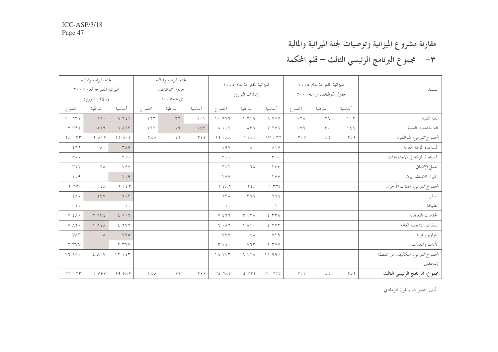# مقارنة مشروع الميزانية وتوصيات لجنة الميزانية والمالية

٣– مجموع البرنامج الرئيسي الثالث – قلم المحكمة

| البنسد                             |                       | الميزانية المقترحة لعام ٢٠٠٥<br>جدول الوظائف في عام ٢٠٠٥ |                      |                                   | الميزانية المقترحة لعام ٢٠٠٥<br>(بألاف اليورو) |                                     |                                  | لجنة الميزانية والمالية<br>جدول الوظائف<br>في عام٥ ٢٠٠ |                                |                               | لجنة الميزانية والمالية<br>الميزانية المقترحة لعام ٢٠٠٥<br>(بألاف اليورو) |                                               |
|------------------------------------|-----------------------|----------------------------------------------------------|----------------------|-----------------------------------|------------------------------------------------|-------------------------------------|----------------------------------|--------------------------------------------------------|--------------------------------|-------------------------------|---------------------------------------------------------------------------|-----------------------------------------------|
|                                    | أساسية                | شرطية                                                    | المحموع              | أساسية                            | شرطية                                          | المحموع                             | أساسية                           | شرطية                                                  | المحموع                        | أساسية                        | شرطية                                                                     | المحموع                                       |
| الفئة الفنية                       | $\lambda$ . $\lambda$ | $\mathbf{y}$ $\mathbf{y}$                                | $\lambda$ $\tau$     | $9 \vee o \vee$                   | 1.719                                          | $\eta$ . $947$                      | $\langle \cdot \rangle$          | $\Upsilon$                                             | 177                            | 9751                          | 99.                                                                       | $\lambda$ . $75\lambda$                       |
| فئة الخدمات العامة                 | 159                   | $\mathbf{r}$ .                                           | $\gamma \vee \gamma$ | $Y$ $YY$                          | $\wedge$ $\uparrow$ $\uparrow$                 | $\wedge$ $\wedge$ $\wedge$ $\wedge$ | $\backslash$ $\xi$<br>$\Upsilon$ | 19                                                     | 177                            | $7 \wedge 77$                 | 049                                                                       | $Y$ $T97$                                     |
| الجموع الفرعي، الموظفون            | 501                   | $\circ$ 7                                                | $r\cdot v$           | $\gamma \gamma$ . $\gamma \gamma$ | $r \cdot \circ \circ$                          | 19.11                               | $r \epsilon$                     | $\xi$ )                                                | $\Gamma \wedge \circ$          | 170.5                         | 1019                                                                      | 11.17                                         |
| المساعدة المؤقتة العامة            |                       |                                                          |                      | $0 \vee$                          | $\wedge\cdot$                                  | 09V                                 |                                  |                                                        |                                | $Y \wedge q$                  | $\wedge\cdot$                                                             | 579                                           |
| المساعدة المؤقتة في الاحتماعات     |                       |                                                          |                      | $r \cdot \cdot$                   |                                                | $r \cdot \cdot$                     |                                  |                                                        |                                | $r \cdot \cdot$               |                                                                           | $\mathbf{r} \cdot \cdot$                      |
| العمل الإضافي                      |                       |                                                          |                      | <b>722</b>                        | ٦٨                                             | $T \setminus Y$                     |                                  |                                                        |                                | $Y \xi \xi$                   | ٦٨                                                                        | $T \setminus T$                               |
| الخبراء الاستشاريون                |                       |                                                          |                      | <b>YYY</b>                        |                                                | <b>TVV</b>                          |                                  |                                                        |                                | $\mathbf{y} \cdot \mathbf{q}$ |                                                                           | $\mathbf{y} \cdot \mathbf{q}$                 |
| الجموع الفرعي، الفئات الأحرى       |                       |                                                          |                      | 1.777                             | $1 \xi \lambda$                                | 1517                                |                                  |                                                        |                                | 1157                          | 151                                                                       | 1.79.                                         |
| السفر                              |                       |                                                          |                      | $Y \Upsilon$ q                    | r79                                            | $77\%$                              |                                  |                                                        |                                | $\mathbf{Y} \cdot \mathbf{Y}$ | <b>YYY</b>                                                                | $\xi\,\Lambda$ .                              |
| الضيافة                            |                       |                                                          |                      | $\rightarrow$                     |                                                | $\rightarrow$                       |                                  |                                                        |                                | $\lambda$                     |                                                                           | $\rightarrow$                                 |
| الخدمات التعاقدية                  |                       |                                                          |                      | 5.77A                             | $Y \cap Y \wedge$                              | $V \xi$ $T$                         |                                  |                                                        |                                | 20.7                          | $Y$ 9 $Y$ 2                                                               | $\lor$ $\;$ $\! \xi \!$ $\! \land$ $\! \cdot$ |
| النفقات التشغيلية العامة           |                       |                                                          |                      | 5 YY                              | $\Lambda \Lambda$                              | 7.1                                 |                                  |                                                        |                                | 5 YY                          | $\wedge$ 0 2 $\wedge$                                                     | $0$ $\wedge$ $\wedge$                         |
| اللوازم والمواد                    |                       |                                                          |                      | YY9                               | $\xi$ $\wedge$                                 | <b>YYY</b>                          |                                  |                                                        |                                | VVQ                           | $\Lambda$                                                                 | $Y \wedge Y$                                  |
| الأثاث والمعدات                    |                       |                                                          |                      | Y TYY                             | $\vee \tau \curlyvee$                          | $T \rightarrow 2$                   |                                  |                                                        |                                | Y TVV                         | $\mathcal{L}^{\pm}$                                                       | Y TVV                                         |
| الجموع الفرعي، التكاليف غير التصلة |                       |                                                          |                      | 11990                             | 7 1 1 A                                        | 1117                                |                                  |                                                        |                                | 17.15                         | $\xi \wedge \cdot \vee$                                                   | 1790.                                         |
| بالموظفين                          |                       |                                                          |                      |                                   |                                                |                                     |                                  |                                                        |                                |                               |                                                                           |                                               |
| مجموع، البرنامج الرئيسي الثالث     | 501                   | $\mathcal O$ 7                                           | $r\cdot v$           | $r \cdot r 77$                    | $\lambda$ $\Gamma$ $\Gamma$ $\Gamma$           | $r_A$ $\tau_A$ $\gamma$             | $r \epsilon$                     | $\xi$ )                                                | $\mathcal{V}\wedge\mathcal{O}$ | $14 \text{ V14}$              | 7.5V                                                                      | $r_{7}$ $r_{7}r$                              |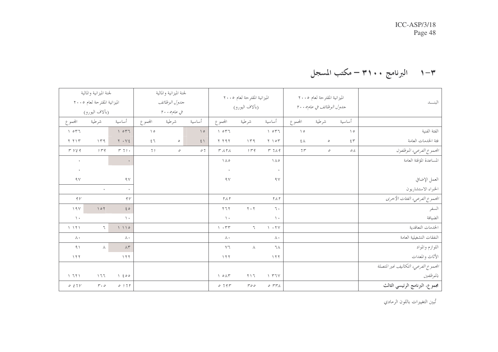# ۳–۱ البرنامج ۳۱۰۰ – مکتب المسجل

| البنسد                               |                            | الميزانية المقترحة لعام ٢٠٠٥<br>جدول الوظائف في عام٥ ٢٠٠ |                   |                                     | الميزانية المقترحة لعام ٢٠٠٥<br>(بألاف اليورو) |                                                |                   | لجنة الميزانية والمالية<br>جدول الوظائف<br>في عام٥ ٢٠٠ |                   |                                                   | لجنة الميزانية والمالية<br>الميزانية المقترحة لعام ٢٠٠٥<br>(بألاف اليورو) |                                                         |
|--------------------------------------|----------------------------|----------------------------------------------------------|-------------------|-------------------------------------|------------------------------------------------|------------------------------------------------|-------------------|--------------------------------------------------------|-------------------|---------------------------------------------------|---------------------------------------------------------------------------|---------------------------------------------------------|
|                                      | أساسية                     | شرطية                                                    | المحموع           | أساسية                              | شرطية                                          | المحموع                                        | أساسية            | شرطية                                                  | المحموع           | أساسية                                            | شرطية                                                                     | المحموع                                                 |
| الفئة الفنية                         | $\setminus \circ$          |                                                          | $\setminus \circ$ | 1077                                |                                                | 1077                                           | $\setminus \circ$ |                                                        | $\setminus \circ$ | 1077                                              |                                                                           | 1077                                                    |
| فئة الخدمات العامة                   | $\xi$ $\tau$               | $\circ$                                                  | $\xi$ $\wedge$    | $\Upsilon \setminus \circ \Upsilon$ | 149                                            | Y Y 9 Y                                        | $\xi$ )           | $\circ$                                                | $\xi$ 7           | $\mathbf{Y} \rightarrow \mathbf{V} \, \mathbf{E}$ | 149                                                                       | $Y Y Y F$                                               |
| المحموع الفرعي، الموظفون             | $\mathcal{O}(\mathcal{A})$ | $\cal O$                                                 | 7r                | r719                                | $1 - 9$                                        | $r$ $\curlywedge$ $r$ $\curlywedge$            | $\circ$ 7         | $\cal O$                                               | 71                | $r \tau$ :                                        | $1 - 9$                                                                   | $r$ $v$ $s$ $q$                                         |
| المساعدة المؤقتة العامة              |                            |                                                          |                   | $\backslash\wedge\circ$             |                                                | $\Lambda \wedge \circ$                         |                   |                                                        |                   |                                                   |                                                                           | $\bullet$                                               |
|                                      |                            |                                                          |                   |                                     |                                                | $\sim$                                         |                   |                                                        |                   |                                                   |                                                                           | $\bullet$                                               |
| العمل الإضافي                        |                            |                                                          |                   | ٩٧                                  |                                                | ٩٧                                             |                   |                                                        |                   | ٩٧                                                |                                                                           | ٩٧                                                      |
| الخبراء الاستشاريون                  |                            |                                                          |                   |                                     |                                                |                                                |                   |                                                        |                   | $\bullet$                                         | $\mathbf{A}$                                                              |                                                         |
| الجموع الفرعي، الفئات الأخرى         |                            |                                                          |                   | $\Gamma$ $\Lambda$ $\Gamma$         |                                                | $\Gamma \wedge \Gamma$                         |                   |                                                        |                   | 9 <sub>V</sub>                                    |                                                                           | 9 <sub>V</sub>                                          |
| السفر                                |                            |                                                          |                   | $\mathbb{I}$ .                      | $Y \cdot Y$                                    | Y Y                                            |                   |                                                        |                   | 60                                                | 107                                                                       | 19V                                                     |
| الضيافة                              |                            |                                                          |                   | $\rightarrow$                       |                                                | $\rightarrow$                                  |                   |                                                        |                   | $\Delta$                                          |                                                                           | $\rightarrow$                                           |
| الخدمات التعاقدية                    |                            |                                                          |                   | $\gamma \cdot \gamma \gamma$        | $\mathbb T$                                    | $\mathcal{N}\rightarrow\mathcal{K}\mathcal{K}$ |                   |                                                        |                   | 1110                                              | $\mathcal{L}$                                                             | $\begin{array}{c} \backslash \\ \backslash \end{array}$ |
| النفقات التشغيلية العامة             |                            |                                                          |                   | $\wedge \cdot$                      |                                                | $\wedge\cdot$                                  |                   |                                                        |                   | $\wedge \cdot$                                    |                                                                           | $\wedge\cdot$                                           |
| اللوازم والمواد                      |                            |                                                          |                   | ٦٨                                  | $\wedge$                                       | $\vee$                                         |                   |                                                        |                   | $\wedge\tau$                                      | $\wedge$                                                                  | $9 \setminus$                                           |
| الأثاث والمعدات                      |                            |                                                          |                   | $\gamma$                            |                                                | 177                                            |                   |                                                        |                   | 177                                               |                                                                           | $\gamma$                                                |
| الجمموع الفرعي، التكاليف غير المتصلة |                            |                                                          |                   |                                     |                                                |                                                |                   |                                                        |                   |                                                   |                                                                           |                                                         |
| بالموظفين                            |                            |                                                          |                   | $Y$ $Y$ $Y$                         | $T \wedge T$                                   | $\wedge$ $\circ \wedge \tau$                   |                   |                                                        |                   | 1200                                              | 177                                                                       | 1771                                                    |
| مجموع، البرنامج الرئيسي الثالث       |                            |                                                          |                   | $\phi$ rr $\lambda$                 | $r \circ \circ$                                | 0.791                                          |                   |                                                        |                   | $0$ ) $7$ $\Gamma$                                | $r \cdot \mathit{o}$                                                      | 0.57V                                                   |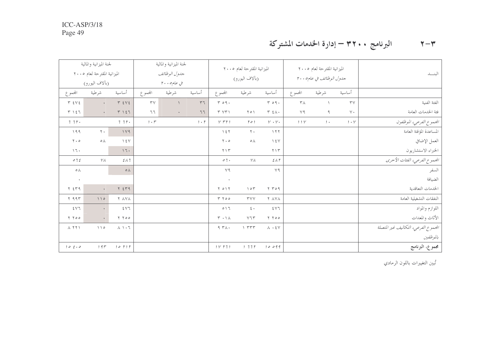#### البرنامج • • ٢٢ – إدارة الخدمات المشتركة  $\tau-\tau$

|                                            | لجنة الميزانية والمالية<br>الميزانية المقترحة لعام ٢٠٠٥<br>(بألاف اليورو) |                              |            | لجنة الميزانية والمالية<br>جدول الوظائف<br>في عام٥ ٢٠٠ |         |                               | الميزانية المقترحة لعام ٢٠٠٥<br>(بألاف اليورو) |                            |                     | الميزانية المقترحة لعام ٢٠٠٥<br>جدول الوظائف في عام ٢٠٠٥ |                        | البنسد                              |
|--------------------------------------------|---------------------------------------------------------------------------|------------------------------|------------|--------------------------------------------------------|---------|-------------------------------|------------------------------------------------|----------------------------|---------------------|----------------------------------------------------------|------------------------|-------------------------------------|
| المحموع                                    | شرطية                                                                     | أساسية                       | المحموع    | شرطية                                                  | أساسية  | المحموع                       | شرطية                                          | أساسية                     | المحموع             | شرطية                                                    | أساسية                 |                                     |
| $T \Sigma V \Sigma$                        | $\mathbf{v}$                                                              | $T \leq V \leq$              | $\tau\vee$ | $\sqrt{ }$                                             | r7      | $r \circ q$ .                 |                                                | $r \circ q$ .              | $\mathsf{r}_\wedge$ | $\sqrt{2}$                                               | $\mathsf{r}\mathsf{v}$ | الفئة الفنية                        |
| $T \searrow 27$                            | $\epsilon$                                                                | $T \cap \Sigma$              | 77         | $\bullet$                                              | $7.7\,$ | Y Y Y                         | $Y \circ Y$                                    | $r \in \wedge$             | $V$ ٩               | ٩                                                        | $\vee$ .               | فئة الخدمات العامة                  |
| 7.7r.                                      |                                                                           | 7.7r.                        | $1 + r$    |                                                        | $1 + 5$ | $Y$ $T$ $Y$                   | 501                                            | $V \cdot V \cdot$          | 11 <sup>V</sup>     | $1 +$                                                    | $1 \cdot Y$            | الجموع الفرعي، الموظفون             |
| 199                                        | $\mathbf{r}$ .                                                            | 119                          |            |                                                        |         | 157                           | $\mathbf{y}$ .                                 | $\gamma$                   |                     |                                                          |                        | المساعدة المؤقتة العامة             |
| $\mathbf{y} \cdot \mathbf{0}$              | $\circ \wedge$                                                            | $\gamma$ { $\gamma$          |            |                                                        |         | $Y \cdot o$                   | $\circ \wedge$                                 | $\gamma$ { $\gamma$        |                     |                                                          |                        | العمل الإضافي                       |
| $\lambda$                                  |                                                                           | 17.                          |            |                                                        |         | $Y \wedge Y$                  |                                                | $Y \setminus Y$            |                     |                                                          |                        | الخبراء الاستشاريون                 |
| $07\xi$                                    | $V\!A$                                                                    | 217                          |            |                                                        |         | $\mathcal{O}$ 7.              | ${\it VA}$                                     | 211                        |                     |                                                          |                        | الجموع الفرعي، الفئات الأخرى        |
| $\circ \wedge$                             |                                                                           | $\circ \wedge$               |            |                                                        |         | $\vee$ 9                      |                                                | $\vee$ ٩                   |                     |                                                          |                        | السفر                               |
| $\bullet$                                  |                                                                           |                              |            |                                                        |         | $\bullet$                     |                                                |                            |                     |                                                          |                        | الضيافة                             |
| $Y \Sigma Y9$                              | $\epsilon$                                                                | $Y \leq Y$ 9                 |            |                                                        |         | Y O Y                         | 107                                            | YY09                       |                     |                                                          |                        | الخدمات التعاقدية                   |
| $Y$ 99 $Y$                                 | $\bigwedge$                                                               | Y AVA                        |            |                                                        |         | $T$ $Y$ $0$ $0$               | <b>TVV</b>                                     | Y AVA                      |                     |                                                          |                        | النفقات التشغيلية العامة            |
| 557                                        | $\bullet$                                                                 | 5.1                          |            |                                                        |         | $0 \mid 7$                    | $\epsilon$ .                                   | 5.11                       |                     |                                                          |                        | اللوازم والمواد                     |
| $Y$ $Y$ $0$ $0$                            | $\epsilon$                                                                | Y Y 0 0                      |            |                                                        |         | $\mathsf{r} \cdot \mathsf{1}$ | $\vee\,\tau\,\tau$                             | Y Y 0 0                    |                     |                                                          |                        | الأثاث والمعدات                     |
| $\Lambda$ $\Upsilon$ $\Upsilon$ $\Upsilon$ | $\bigwedge$ $\circ$                                                       | $\wedge \wedge \cdot \wedge$ |            |                                                        |         | 9.71.                         | $Y$ $YY$                                       | $\Lambda \cdot \xi$ $\vee$ |                     |                                                          |                        | الجموع الفرعي، التكاليف غير المتصلة |
|                                            |                                                                           |                              |            |                                                        |         |                               |                                                |                            |                     |                                                          |                        | بالموظفين                           |
| 10800                                      | 19r                                                                       | 10 F1 F                      |            |                                                        |         | 1 V 771                       | 1777                                           | 10099                      |                     |                                                          |                        | مجموع، البرنامج                     |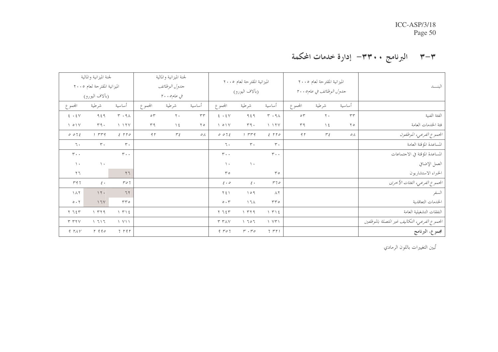# ۳–۳ البرنامج ۳۳۰۰– إدارة خدمات المحكمة

| البنسد                                        |                            | الميزانية المقترحة لعام ٢٠٠٥<br>جدول الوظائف في عام ٢٠٠٥ |                    |                                   | الميزانية المقترحة لعام ٢٠٠٥<br>(بألاف اليورو) |                                  |                            | لجنة الميزانية والمالية<br>جدول الوظائف<br>ي عام ٢٠٠٥ |                |                                                 | لجنة الميزانية والمالية<br>الميزانية المقترحة لعام ٢٠٠٥<br>(بألاف اليورو) |                                                            |
|-----------------------------------------------|----------------------------|----------------------------------------------------------|--------------------|-----------------------------------|------------------------------------------------|----------------------------------|----------------------------|-------------------------------------------------------|----------------|-------------------------------------------------|---------------------------------------------------------------------------|------------------------------------------------------------|
|                                               | أساسية                     | شرطية                                                    | المجموع            | أساسية                            | شرطية                                          | المحموع                          | أساسية                     | شرطية                                                 | المحموع        | أساسية                                          | شرطية                                                                     | المجموع                                                    |
| الفئة الفنية                                  | $\tau\tau$                 | $\mathbf{r}$ .                                           | $\circ$ $\uparrow$ | $\mathbf{r}\cdot\mathbf{q}\wedge$ | 959                                            | $\xi \rightarrow \xi \, \forall$ | $\tau\tau$                 | $\mathbf{r}$ .                                        | $\circ \tau$   | $\mathbf{r}\cdot\mathbf{q}\wedge$               | 959                                                                       | $\mathbf{\hat{z}}\rightarrow \mathbf{\hat{z}}\,\mathbf{V}$ |
| فئة الخدمات العامة                            | $\Upsilon$                 | $\setminus$ 2                                            | $r$ ۹              | 1174                              | $r q$ .                                        | $\wedge$ 0 $\wedge$ $\vee$       | $\Upsilon$                 | $\setminus$ 2                                         | r q            | $\setminus \ \setminus \ \setminus \ \setminus$ | $r q$ .                                                                   | $\setminus \circ \setminus \vee$                           |
| الجموع الفرعي، الموظفون                       | $\mathcal{O}(\mathcal{A})$ | $r\epsilon$                                              | 9 <sub>r</sub>     | 2.770                             | $1$ $rrq$                                      | 0.072                            | $\mathcal{O}(\mathcal{A})$ | $r\epsilon$                                           | 9 <sub>r</sub> | 2.770                                           | $1$ $rrq$                                                                 | 0.072                                                      |
| المساعدة المؤقتة العامة                       |                            |                                                          |                    | $\mathbf{r}$ .                    | $\mathbf{r}$ .                                 | ٦.                               |                            |                                                       |                | $\tau$ .                                        | $\mathbf{r}$ .                                                            | ٦.                                                         |
| المساعدة المؤقتة في الاجتماعات                |                            |                                                          |                    | $\tau \cdot \cdot$                |                                                | $\tau$                           |                            |                                                       |                | $r \cdot \cdot$                                 |                                                                           | $r \cdot \cdot$                                            |
| العمل الإضافي                                 |                            |                                                          |                    |                                   | $\rightarrow$                                  | $\rightarrow$                    |                            |                                                       |                |                                                 | $\lambda$                                                                 | $\rightarrow$                                              |
| الخبراء الاستشاريون                           |                            |                                                          |                    | $r \circ$                         |                                                | $r \circ$                        |                            |                                                       |                | 57                                              |                                                                           | $\Upsilon$                                                 |
| الجموع الفرعي، الفئات الأخرى                  |                            |                                                          |                    | r70                               | $\xi$ .                                        | $\xi$ . $\phi$                   |                            |                                                       |                | $r \circ 7$                                     | $\xi$ .                                                                   |                                                            |
| السفر                                         |                            |                                                          |                    | $\wedge$ $\vee$                   | 109                                            | $\Upsilon$ $\lesssim$ $\Upsilon$ |                            |                                                       |                | 77                                              | $\mathcal{N}$                                                             | $\lambda \wedge \tau$                                      |
| الخدمات التعاقدية                             |                            |                                                          |                    | $\tau\tau\circ$                   | $\wedge$ $\wedge$                              | $\circ\cdot\tau$                 |                            |                                                       |                | $rr \circ$                                      | 17 <sup>V</sup>                                                           | $\circ \cdot \tau$                                         |
| النفقات التشغيلية العامة                      |                            |                                                          |                    | $\gamma$ $\tau \gamma$ 2          | Y Y 9                                          | Y 757                            |                            |                                                       |                | $\gamma$ $\tau \gamma$ 2                        | $Y$ $Y$ $Y$ $Q$                                                           | Y 757                                                      |
| الجموع الفرعي، التكاليف غير المتصلة بالموظفين |                            |                                                          |                    | $YY^{\dagger}$                    | 1707                                           | $r r \wedge v$                   |                            |                                                       |                | $\gamma$ $\gamma$ $\gamma$                      | 1717                                                                      | T T Y                                                      |
| مجموع، البرنامج                               |                            |                                                          |                    | $7$ $\mu$ )                       | $r\cdot r\circ$                                | 9707                             |                            |                                                       |                | 7.797                                           | $r$ 990                                                                   | $9.7 \lambda V$                                            |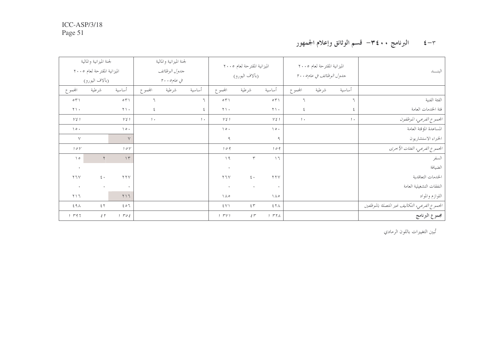# ٣–٤ البرنامج ٣٤٠٠ = قسم الوثائق وإعلام الجمهور

| البنسد                                        |        | الميزانية المقترحة لعام ٢٠٠٥<br>جدول الوظائف في عام ٢٠٠٥ |            |                        | الميزانية المقترحة لعام ٢٠٠٥<br>(بألاف اليورو) |                              |                    | لجنة الميزانية والمالية<br>جدول الوظائف<br>في عام ٢٠٠٥ |                    |                                | لجنة الميزانية والمالية<br>الميزانية المقترحة لعام ٢٠٠٥<br>(بألاف اليورو) |                              |
|-----------------------------------------------|--------|----------------------------------------------------------|------------|------------------------|------------------------------------------------|------------------------------|--------------------|--------------------------------------------------------|--------------------|--------------------------------|---------------------------------------------------------------------------|------------------------------|
|                                               | أساسية | شرطية                                                    | المحموع    | أساسية                 | شرطية                                          | المحموع                      | أساسية             | شرطية                                                  | المحموع            | أساسية                         | شرطية                                                                     | المحموع                      |
| الفئة الفنية                                  | ٦      |                                                          | ٦          | $\circ$ r $\uparrow$   |                                                | $\circ$ r $\uparrow$         | $\mathcal{L}$      |                                                        | $\mathbb{I}$       | $\circ \tau \setminus$         |                                                                           | $\circ$ r $\uparrow$         |
| فئة الخدمات العامة                            | ٤      |                                                          | $\epsilon$ | $\gamma \wedge \cdot$  |                                                | $\gamma \wedge$              | $\boldsymbol{\xi}$ |                                                        | $\boldsymbol{\xi}$ | $\Upsilon \setminus \cdot$     |                                                                           | $\gamma \wedge$              |
| الجموع الفرعي، الموظفون                       | 1.1    |                                                          | $, \cdot$  | $V\mathcal{E}$ )       |                                                | $V\mathcal{E}$ )             | $1 +$              |                                                        | $, \cdot$          | $V\xi$ )                       |                                                                           | $V\mathcal{E}$ )             |
| المساعدة المؤقتة العامة                       |        |                                                          |            | $\setminus \circ$ .    |                                                | $\setminus \circ$ .          |                    |                                                        |                    | $\setminus \circ$ .            |                                                                           | $\setminus \circ$ .          |
| الخبراء الاستشاريون                           |        |                                                          |            | ٩                      |                                                | ٩                            |                    |                                                        |                    | $\vee$                         |                                                                           | $\lor$                       |
| الجمموع الفرعي، الفئات الأخرى                 |        |                                                          |            | 109                    |                                                | 109                          |                    |                                                        |                    | 10V                            |                                                                           | 10V                          |
| السفر                                         |        |                                                          |            | $\bigwedge$            | $\mathbf{r}$                                   | $\setminus$ 9                |                    |                                                        |                    | $\gamma$                       | $\mathsf{r}$                                                              | $\setminus$                  |
| الضيافة                                       |        |                                                          |            |                        |                                                | $\bullet$                    |                    |                                                        |                    |                                |                                                                           | $\bullet$                    |
| الخدمات التعاقدية                             |        |                                                          |            | $\gamma \gamma \gamma$ | $\epsilon$ .                                   | $\gamma \, \gamma \, \gamma$ |                    |                                                        |                    | Y Y V                          | $\xi$ .                                                                   | $\gamma \, \gamma \, \gamma$ |
| النفقات التشغيلية العامة                      |        |                                                          |            | $\bullet$              | $\bullet$                                      | $\bullet$                    |                    |                                                        |                    | $\bullet$                      | $\bullet$                                                                 | $\bullet$                    |
| اللوازم والمواد                               |        |                                                          |            | $\wedge \wedge \circ$  |                                                | $\Lambda$                    |                    |                                                        |                    | $\mathbf{y} \wedge \mathbf{y}$ |                                                                           | $T \wedge T$                 |
| الجموع الفرعي، التكاليف غير المتصلة بالموظفين |        |                                                          |            | ٤٢Λ                    | $\xi$ $\uparrow$                               | 5V                           |                    |                                                        |                    | 207                            | $\xi$ $\uparrow$                                                          | $29\lambda$                  |
| مجموع البرنامج                                |        |                                                          |            | 1.777                  | $\xi$ $\tau$                                   | $1 - \Gamma V$               |                    |                                                        |                    | $1$ $r \circ t$                | 5r                                                                        | $1 + 747$                    |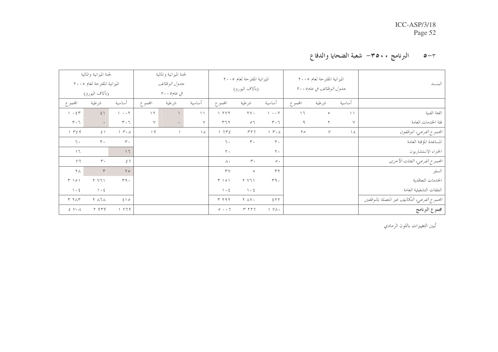# ٣-٥ البرنامج ٣٥٠٠ – شعبة الضحايا والدفاع

| البنسد                                        |               | الميزانية المقترحة لعام ٢٠٠٥<br>جدول الوظائف في عام٥ ٢٠٠ |                         |                                 | الميزانية المقترحة لعام ٢٠٠٥<br>(بألاف اليورو) |                        |               | لجنة الميزانية والمالية<br>جدول الوظائف |          |                             | لجنة الميزانية والمالية<br>الميزانية المقترحة لعام ٢٠٠٥ |                                               |
|-----------------------------------------------|---------------|----------------------------------------------------------|-------------------------|---------------------------------|------------------------------------------------|------------------------|---------------|-----------------------------------------|----------|-----------------------------|---------------------------------------------------------|-----------------------------------------------|
|                                               |               |                                                          |                         |                                 |                                                |                        |               | في عام ٢٠٠٥                             |          |                             | (بألاف اليورو)                                          |                                               |
|                                               | أساسية        | شرطية                                                    | المجموع                 | أساسية                          | شرطية                                          | المحموع                | أساسية        | شرطية                                   | المحموع  | أساسية                      | شرطية                                                   | المحموع                                       |
| الفئة الفنية                                  | $\setminus$   | $\circ$                                                  | $\bigwedge$ $\bigwedge$ | $\mathcal{L}$ + + $\mathcal{L}$ | $\mathbf{Y} \mathbf{V}$                        | Y Y Y                  | $\setminus$   |                                         | $\gamma$ | $1 + 57$                    | $\xi$ )                                                 | 1.57                                          |
| فئة الخدمات العامة                            | $\lor$        | ٢                                                        | ٩                       | $r \cdot \tau$                  | $\circ$ 7                                      | T77                    | $\vee$        | $\bullet$                               | $\lor$   | $\mathbf{r}\cdot\mathbf{r}$ |                                                         | $r \cdot 7$                                   |
| الجموع الفرعي، الموظفون                       | $\mathcal{A}$ | $\mathcal V$                                             | 50                      | $1 \cdot r \cdot \lambda$       | rr7                                            | $1.7r\epsilon$         | $\mathcal{U}$ |                                         | , q      | $1 r \cdot \lambda$         | $\xi$ )                                                 | $1 r \leq 9$                                  |
| المساعدة المؤقتة العامة                       |               |                                                          |                         | $\mathbf{r}$ .                  | $\tau$ .                                       | ٦.                     |               |                                         |          | $\mathbf{r}$ .              | $\mathbf{r}$ .                                          | ٦.                                            |
| الخبراء الاستشاريون                           |               |                                                          |                         | $\mathbf{y}$ .                  |                                                | $\mathsf{r}$ .         |               |                                         |          | $\eta$                      |                                                         | $\bigwedge$                                   |
| الجموع الفرعي، الفئات الأخرى                  |               |                                                          |                         | $\circ \cdot$                   | $r\cdot$                                       | $\lambda$ .            |               |                                         |          | 57                          | $r\cdot$                                                | V7                                            |
| السفر                                         |               |                                                          |                         | $\tau \tau$                     | $\circ$                                        | $\mathsf{r}\mathsf{v}$ |               |                                         |          | YO                          | $\mathbf{r}$                                            | ۲ ۸                                           |
| الخدمات التعاقدية                             |               |                                                          |                         | $r q$ .                         | Y Y 1                                          | $\uparrow$ 101         |               |                                         |          | $r q$ .                     | Y Y 1                                                   | $\uparrow$ 101                                |
| النفقات التشغيلية العامة                      |               |                                                          |                         |                                 | $\lambda$ + 2                                  | $\lambda$ + 2          |               |                                         |          |                             | $\lambda$ . 2                                           | $\lambda$ + 2                                 |
| الجموع الفرعي، التكاليف غير المتصلة بالموظفين |               |                                                          |                         | 577                             | <b>Y AV .</b>                                  | T T 97                 |               |                                         |          | 500                         | $\wedge$ 7 $\wedge$                                     | $\Upsilon$ $\Upsilon\wedge\Upsilon$           |
| مجموع البرنامج                                |               |                                                          |                         | $1 Y \lambda$                   | $r$ $r$ $r$                                    | 0.1.7                  |               |                                         |          | 1 V79                       | r q r q                                                 | $\mathcal{E}$ $\mathcal{V} \cdot \mathcal{A}$ |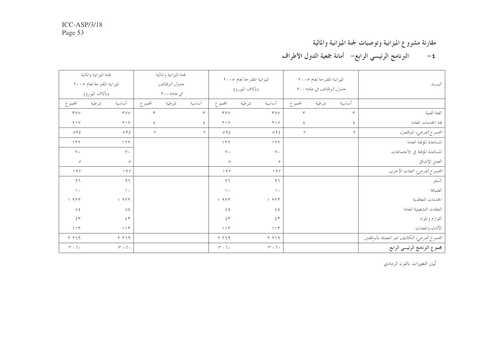مقارنة مشروع الميزانية وتوصيات لجنة الميزانية والمالية

# ٤- البرنامج الرئيسي الرابع- أمانة جمعية الدول الأطراف

|                  | لجنة الميزانية والمالية<br>الميزانية المقترحة لعام ٢٠٠٥<br>(بألاف اليورو) |                    | لجنة الميزانية والمالية<br>جدول الوظائف<br>ي عام ٢٠٠٥ |                    |                                  | الميزانية المقترحة لعام ٢٠٠٥<br>(بألاف اليورو) |                    |                    | الميزانية المقترحة لعام ٢٠٠٥<br>جدول الوظائف في عام٥ ٢٠٠ | البنسد                                       |
|------------------|---------------------------------------------------------------------------|--------------------|-------------------------------------------------------|--------------------|----------------------------------|------------------------------------------------|--------------------|--------------------|----------------------------------------------------------|----------------------------------------------|
| المحموع          | أساسية<br>شرطية                                                           | المحموع            | شرطية                                                 | أساسية             | المحموع                          | شرطية                                          | أساسية             | المحموع            | أساسية<br>شرطية                                          |                                              |
| $\tau$ y y       | <b>TYY</b>                                                                | $\mathbf{\tau}$    |                                                       | $\mathbf{\tau}$    | $\mathsf{r}\mathsf{v}\mathsf{v}$ |                                                | $\tau\vee\vee$     | $\mathbf r$        |                                                          | الفئة الفنية<br>٣                            |
| $Y \vee Y$       | $Y \wedge Y$                                                              | $\boldsymbol{\xi}$ |                                                       | $\boldsymbol{\xi}$ | $Y \vee Y$                       |                                                | $Y \wedge V$       | $\boldsymbol{\xi}$ |                                                          | فئة الخدمات العامة<br>٤                      |
| 092              | 092                                                                       | $\mathcal V$       |                                                       | $\mathcal V$       | 092                              |                                                | 092                | $\mathcal V$       |                                                          | الجموع الفرعي، الموظفون<br>$\mathcal V$      |
| $\gamma$         | 177                                                                       |                    |                                                       |                    | 177                              |                                                | $\gamma$           |                    |                                                          | المساعدة المؤقتة العامة                      |
| $\vee$ .         | $\vee$ .                                                                  |                    |                                                       |                    | $\vee$ .                         |                                                | $V \cdot$          |                    |                                                          | المساعدة المؤقتة في الاحتماعات               |
| $\cal O$         | $\cal O$                                                                  |                    |                                                       |                    | $\cal O$                         |                                                | $\mathcal{O}$      |                    |                                                          | العمل الإضافي                                |
| 19V              | 19V                                                                       |                    |                                                       |                    | 19V                              |                                                | 19V                |                    |                                                          | الجموع الفرعي، الفئات الأحرى                 |
| 97               | 97                                                                        |                    |                                                       |                    | 97                               |                                                | $\eta$ $\eta$      |                    |                                                          | السفر                                        |
| $\lambda$        | $\lambda$                                                                 |                    |                                                       |                    | $\lambda$                        |                                                | $\lambda$          |                    |                                                          | الضيافة                                      |
| 1.977            | 1977                                                                      |                    |                                                       |                    | 1.955                            |                                                | 1977               |                    |                                                          | الخدمات التعاقدية                            |
| $\wedge$ ٤       | $\lambda$ 2                                                               |                    |                                                       |                    | $\lambda$ 2                      |                                                | $\lambda$ 2        |                    |                                                          | النفقات التشغيلية العامة                     |
| $\xi$ $\uparrow$ | 55                                                                        |                    |                                                       |                    | $\xi$ $\uparrow$                 |                                                | 55                 |                    |                                                          | اللوازم والمواد                              |
| $\bigwedge$      | $\bigwedge$                                                               |                    |                                                       |                    | $\bigwedge$                      |                                                | $\bigwedge$        |                    |                                                          | الأثاث والمعدات                              |
| Y Y 79           | Y Y 79                                                                    |                    |                                                       |                    | Y Y 79                           |                                                | Y Y 79             |                    |                                                          | الجموع الفرعي، التكاليف غير التصلة بالموظفين |
| $r \cdot 7$ .    | $r \cdot 7 \cdot$                                                         |                    |                                                       |                    | $r \cdot 7$ .                    |                                                | $r \rightarrow 7+$ |                    |                                                          | مجموع البرنامج الرئيسي الرابع                |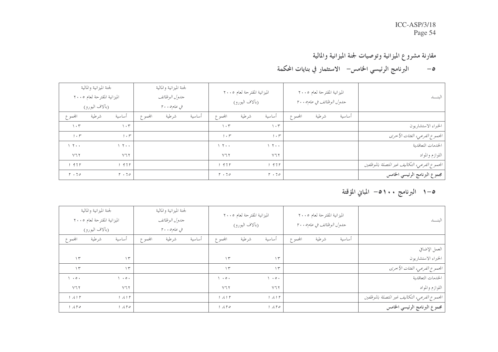#### مقارنة مشروع الميزانية وتوصيات لجنة الميزانية والمالية

#### 0— البرنامج الرئيسي الخامس– الاستثمار في بنايات المحكمة

| البنسد                                        | الميزانية المقترحة لعام ٢٠٠٥<br>جلول الوظائف في عام ٢٠٠٥ |  |  | الميزانية المقترحة لعام ٢٠٠٥<br>(بألاف اليورو) |       |                                 | لجنة الميزانية والمالية<br>جدول الوظائف<br>ي عام٥ ٢٠٠ |       |         | لجنة الميزانية والمالية<br>الميزانية المقترحة لعام ٢٠٠٥<br>(بآلاف اليورو) |       |                   |
|-----------------------------------------------|----------------------------------------------------------|--|--|------------------------------------------------|-------|---------------------------------|-------------------------------------------------------|-------|---------|---------------------------------------------------------------------------|-------|-------------------|
|                                               | أساسية<br>شرطية<br>المحموع                               |  |  | أساسية                                         | شرطية | المجموع                         | أساسية                                                | شرطية | المحموع | أساسية                                                                    | شرطية | المجموع           |
| الخبراء الاستشاريون                           |                                                          |  |  | $\cdot$ ٣                                      |       | $\mathcal{L} \cdot \mathcal{L}$ |                                                       |       |         | $\cdot$ ٣                                                                 |       | $\eta \cdot \tau$ |
| الجموع الفرعي، الفئات الأحرى                  |                                                          |  |  | 1.5                                            |       | 1.7                             |                                                       |       |         | 1.5                                                                       |       | $1 + r$           |
| الخدمات التعاقدية                             |                                                          |  |  | $\gamma$ $\gamma$ $\ldots$                     |       | $\gamma$ $\gamma$               |                                                       |       |         | $\gamma$ $\gamma$                                                         |       | $\gamma$ $\gamma$ |
| اللوازم والمواد                               |                                                          |  |  | V77                                            |       | V77                             |                                                       |       |         | V77                                                                       |       | Y77               |
| الجموع الفرعي، التكاليف غير المتصلة بالموظفين |                                                          |  |  | 1977                                           |       | 1977                            |                                                       |       |         | 977                                                                       |       | 1977              |
| مجموع البرنامج الرئيسي الخامس                 |                                                          |  |  | $r \cdot 70$                                   |       | $r \cdot 70$                    |                                                       |       |         | $r \cdot 70$                                                              |       | $r \cdot 70$      |

# 0–1 البرنامج ١٠٠ه– المباني المؤقتة

| البنسد                                         | الميزانية المقترحة لعام ٢٠٠٥<br>جدول الوظائف في عام ٢٠٠٥ |  |       | الميزانية المقترحة لعام ٢٠٠٥<br>(بألاف اليورو) |                     |       | لجنة الميزانية والمالية<br>جدول الوظائف<br>في عام٥ ٢٠٠ |        |       | لجنة الميزانية والمالية<br>الميزانية المقترحة لعام ٢٠٠٥<br>(بألاف اليورو) |                     |       |                                 |
|------------------------------------------------|----------------------------------------------------------|--|-------|------------------------------------------------|---------------------|-------|--------------------------------------------------------|--------|-------|---------------------------------------------------------------------------|---------------------|-------|---------------------------------|
|                                                | أساسية                                                   |  | شرطية | المجموع                                        | أساسية              | شرطية | المجموع                                                | أساسية | شرطية | المحموع                                                                   | أساسية              | شرطية | المجموع                         |
| العمل الإضافي                                  |                                                          |  |       |                                                |                     |       |                                                        |        |       |                                                                           |                     |       |                                 |
| الخبراء الاستشاريون                            |                                                          |  |       |                                                | $\gamma$            |       | $\gamma$                                               |        |       |                                                                           | $\gamma$            |       | $\gamma$                        |
| الجموع الفرعي، الفئات الأحرى                   |                                                          |  |       |                                                | $\gamma$            |       | $\gamma$                                               |        |       |                                                                           | $\gamma$            |       | $\gamma$                        |
| الخدمات التعاقدية                              |                                                          |  |       |                                                | $\cdot \circ \cdot$ |       | $\cdot \circ \cdot$                                    |        |       |                                                                           | $\cdot \circ \cdot$ |       | $\mathcal{L} \cdot \mathcal{O}$ |
| اللوازم والمواد                                |                                                          |  |       |                                                | V77                 |       | V77                                                    |        |       |                                                                           | V77                 |       | Y77                             |
| المحموع الفرعي، التكاليف غير المتصلة بالموظفين |                                                          |  |       |                                                | $1$ $1$ $1$ $1$     |       | $1$ $1$ $1$ $1$                                        |        |       |                                                                           | $1$ $1$ $1$ $1$     |       | $1$ $1$ $1$ $1$                 |
| مجموع البرنامج الرئيسي الخامس                  |                                                          |  |       |                                                | 1.170               |       | 1 A F0                                                 |        |       |                                                                           | 1.170               |       | 1110                            |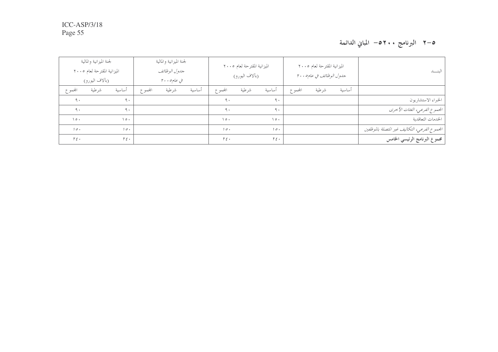# 0–٢ البرنامج ٢٠٠ه– المباني الدائمة

| البنسد                                         | الميزانية المقترحة لعام ٢٠٠٥<br>جدول الوظائف في عام ٢٠٠٥ |       |         | الميزانية المقترحة لعام ٢٠٠٥<br>(بألاف اليورو) |       |                | لجنة الميزانية والمالية<br>جدول الوظائف<br>في عام٥ ٢٠٠ |       |         | لجنة الميزانية والمالية<br>الميزانية المقترحة لعام ٢٠٠٥<br>(بآلاف اليورو) |       |                 |
|------------------------------------------------|----------------------------------------------------------|-------|---------|------------------------------------------------|-------|----------------|--------------------------------------------------------|-------|---------|---------------------------------------------------------------------------|-------|-----------------|
|                                                | أساسية                                                   | شرطية | المجموع | أساسية                                         | شرطية | المحموع        | أساسية                                                 | شرطية | المحموع | أساسية                                                                    | شرطية | المجموع         |
| الخبراء الاستشاريون                            |                                                          |       |         | 9.1                                            |       | 9.1            |                                                        |       |         | ٩.                                                                        |       | 9.1             |
| الجموع الفرعي، الفئات الأحرى                   |                                                          |       |         | 9.1                                            |       | 9.             |                                                        |       |         | 9.1                                                                       |       | 9.1             |
| الخدمات التعاقدية                              |                                                          |       |         | $\sqrt{0}$                                     |       | $\sqrt{0}$     |                                                        |       |         | $\setminus \circ$ .                                                       |       | $\backslash$ 0. |
| المحموع الفرعي، التكاليف غير المتصلة بالموظفين |                                                          |       |         | 10.1                                           |       | 10.            |                                                        |       |         | 10.1                                                                      |       | 10.             |
| مجموع البرنامج الرئيسي الخامس                  |                                                          |       |         | $\Gamma \xi$ .                                 |       | $r \epsilon$ . |                                                        |       |         | $r \epsilon$ .                                                            |       | $r \xi$ .       |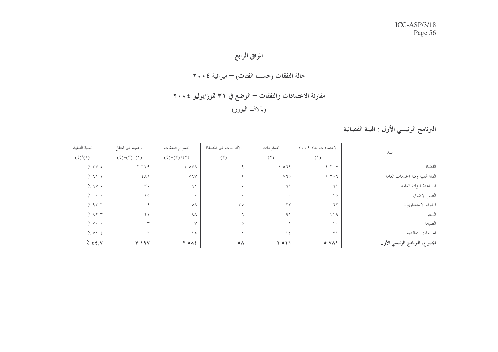### المرفق الرابع

#### حالة النفقات (حسب الفئات) – ميزانية ٢٠٠٤

# مقارنة الاعتمادات والنفقات – الوضع في ٣١ تموز/يوليو ٢٠٠٤

#### (بألاف اليورو)

# البرنامج الرئيسي الأول : الهيئة القضائية

| نسبة التنفيذ                       | الرصيد غير المثقل   | مجموع النفقات                                                                      | الالتزامات غير المصفاة | المدفوعات                    | الاعتمادات لعام ٢٠٠٤ | البند                            |
|------------------------------------|---------------------|------------------------------------------------------------------------------------|------------------------|------------------------------|----------------------|----------------------------------|
| (5)(1)                             | $(2)^{n-1}$         | $(\mathfrak{k})\text{=}\left(\mathfrak{k}\right)\text{+}\left(\mathfrak{k}\right)$ | (5)                    | (1)                          | (1)                  |                                  |
| $\gamma$ $\tau v$ ,                | $Y$ $779$           | $\circ$ Y A                                                                        |                        | 079                          | $2 Y \cdot V$        | القضاة                           |
| 7.71,1                             | 511                 | $Y$ ٦ $Y$                                                                          | ٠                      | $V \mathbb{I} \circ$         | 101                  | الفئة الفنية وفئة الخدمات العامة |
| ٦٧,٠٪                              | $\tau$ .            | $7 \wedge$                                                                         |                        | $7 \wedge$                   | ۹١                   | المساعدة المؤقتة العامة          |
| $\frac{1}{2}$                      | $\setminus$         | $\ddot{\phantom{1}}$                                                               | $\bullet$              | ٠                            | $\setminus \circ$    | العمل الإضافي                    |
| 7.97,7                             |                     | $\circ \wedge$                                                                     | $r \circ$              | $\Upsilon$                   | 77                   | الخبراء الاستشاريون              |
| 7.777                              | $\uparrow \uparrow$ | ۹۸                                                                                 | ٦                      | ۹٢                           | 119                  | السفر                            |
| 7.44                               |                     | $\sqrt{ }$                                                                         | $\circ$                |                              | $\mathcal{N}$        | الضيافة                          |
| $7. y_1, \epsilon$                 |                     | $\setminus$                                                                        |                        | $\left\langle \right\rangle$ | $\Upsilon \setminus$ | الخدمات التعاقدية                |
| $\frac{1}{2}$ $\leq \leq$ , $\vee$ | T 19V               | Y ONE                                                                              | $\circ \wedge$         | $Y$ $0Y$ $T$                 | 0 V <sub>1</sub>     | المجموع، البرنامج الرئيسي الأول  |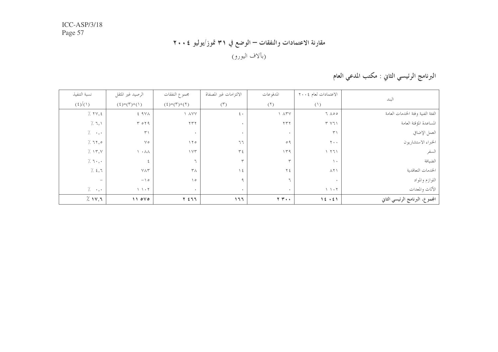# مقارنة الاعتمادات والنفقات – الوضع في ٣١ تموز/يوليو ٢٠٠٤ (بألاف اليورو)

# البرنامج الرئيسي الثاني : مكتب المدعي العام

| نسبة التنفيذ             | الرصيد غير المثقل               | مجموع النفقات        | الالتزامات غير المصفاة | المدفوعات                                      | الاعتمادات لعام ٢٠٠٤                  | البند                            |
|--------------------------|---------------------------------|----------------------|------------------------|------------------------------------------------|---------------------------------------|----------------------------------|
| (5)/(1)                  | $(2) = (\uparrow) + (\uparrow)$ | $(5) = (5) + (5)$    | (1)                    | (1)                                            | (1)                                   |                                  |
| 7.79,5                   | 5.9V                            | Y AVY                | $\xi$ .                | $\Lambda$ $\Lambda$ r $V$                      | $7 \wedge \circ \circ$                | الفئة الفنية وفئة الخدمات العامة |
| 7.7,1                    | Y O Y Q                         | $\tau \tau \tau$     | $\bullet$              | YYY                                            | Y Y1                                  | المساعدة المؤقتة العامة          |
| $\frac{1}{2}$            | $\uparrow$                      | $\ddot{\phantom{1}}$ | $\bullet$              | $\ddot{\phantom{1}}$                           | $\uparrow$                            | العمل الإضافي                    |
| 7.77,0                   | $\vee$ $\circ$                  | $\Delta$             | 77                     | $\circ$ ٩                                      | $\mathbf{y}$                          | الخبراء الاستشاريون              |
| 7.15, 7                  | $\cdot \wedge \wedge$           | $\gamma \vee \tau$   | $r \epsilon$           | 149                                            | 1771                                  | لسفر                             |
| 7.7.                     |                                 |                      | ٣                      | $\mathbf{r}$                                   | $\lambda$                             | الضيافة                          |
| 7.57                     | $\vee \wedge \curlyvee$         | $\mathbf{r} \wedge$  | $\setminus$ 2          | ۲٤                                             | $\wedge$ $\vee$                       | الخدمات التعاقدية                |
| $\overline{\phantom{m}}$ | $-\iota$                        | $\setminus \circ$    | ٩                      |                                                |                                       | اللوازم والمواد                  |
| $\frac{1}{2}$            | 1.1.7                           | ٠                    | $\bullet$              | $\bullet$                                      | $\bigwedge$ $\bigwedge$ + $\bigwedge$ | الأثاث والمعدات                  |
| $\frac{7}{2}$ 17,7       | 11000                           | $Y \nleq 77$         | 177                    | $\mathbf{Y} \cdot \mathbf{Y} \cdot \mathbf{Y}$ | 15.51                                 | المجموع، البرنامج الرئيسي الثاني |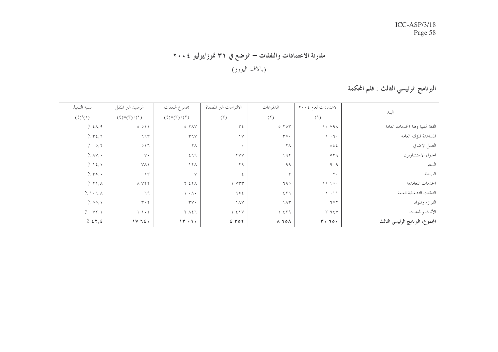# مقارنة الاعتمادات والنفقات – الوضع في ٣١ تموز/يوليو ٢٠٠٤

(بألاف اليورو)

# البرنامج الرئيسي الثالث : قلم المحكمة

| البند                            | الاعتمادات لعام ٢٠٠٤                                        | المدفوعات                | الالتزامات غير المصفاة | مجموع النفقات             | الرصيد غير المثقل                 | نسبة التنفيذ                                                                                                                                                                                                                                                                                              |
|----------------------------------|-------------------------------------------------------------|--------------------------|------------------------|---------------------------|-----------------------------------|-----------------------------------------------------------------------------------------------------------------------------------------------------------------------------------------------------------------------------------------------------------------------------------------------------------|
|                                  | (1)                                                         | (1)                      | (5)                    | $(2)^{-(\Upsilon)+(1)}$   | $(2)^{-(\n\pi)^+ (\n)}$           | (5)/(1)                                                                                                                                                                                                                                                                                                   |
| الفئة الفنية وفئة الخدمات العامة | $\mathcal{N} \leftarrow \mathcal{N} \leftarrow \mathcal{N}$ | $0 \text{ for } t$       | $r \epsilon$           | $O Y \wedge V$            | 0 0 1 1                           | 7.54,9                                                                                                                                                                                                                                                                                                    |
| المساعدة المؤقتة العامة          | $\rightarrow$ 7 $\leftarrow$                                | $\mathbf{r} \circ \cdot$ | $\vee$                 | $\mathbf{r}$              | 795                               | 7.72,7                                                                                                                                                                                                                                                                                                    |
| العمل الإضافي                    | 055                                                         | $\uparrow \wedge$        | $\ddot{\phantom{1}}$   | ٢٨                        | 017                               | $\frac{1}{2}$ 0, $\frac{1}{2}$                                                                                                                                                                                                                                                                            |
| الخبراء الاستشاريون              | $\circ$ $\uparrow$ 9                                        | 197                      | <b>YYY</b>             | 579                       | $\vee$ .                          | 7.7.44                                                                                                                                                                                                                                                                                                    |
| السفر                            | $\gamma$ , $\gamma$                                         | 99                       | $Y$ ٩                  | $\wedge$ $\wedge$         | $Y \wedge Y$                      | 7.15,1                                                                                                                                                                                                                                                                                                    |
| الضيافة                          | $\mathbf{y}$ .                                              | ٣                        | $\mathcal{E}$          | $\vee$                    | $\gamma$                          | $\gamma$ . $\mathbf{r} \circ \mathbf{v}$ .                                                                                                                                                                                                                                                                |
| الحدمات التعاقدية                | 1110.                                                       | 790                      | YYY                    | <b>Y 2 Y A</b>            | $\wedge$ $\vee$ $\wedge$ $\wedge$ | $7.71, \lambda$                                                                                                                                                                                                                                                                                           |
| النفقات التشغيلية العامة         | $\backslash \cdot \backslash \backslash$                    | 577                      | 705                    | $\lambda \cdot \lambda +$ | $-79$                             | 7.1.7.1                                                                                                                                                                                                                                                                                                   |
| اللوازم والمواد                  | 7 Y 7                                                       | $\Lambda \tau$           | $\lambda$              | $\mathbf{r} \mathbf{v}$ . | $\mathbf{r} \cdot \mathbf{r}$     | $\frac{1}{2}$ 00, 1                                                                                                                                                                                                                                                                                       |
| الأثاث والمعدات                  | T95V                                                        | 1579                     | 151V                   | ヤ 人そて                     | $\gamma \rightarrow + \gamma$     | $\frac{1}{2}$ $\gamma$ $\gamma$ , $\gamma$                                                                                                                                                                                                                                                                |
| المجموع، البرنامج الرئيسي الثالث | $Y \cdot 70.$                                               | $\wedge$ ٦٥ $\wedge$     | $5 - 70$               | $11 + 1 +$                | $1V$ $75.$                        | $\frac{1}{2}$ { $\frac{1}{2}$ { $\frac{1}{2}$ { $\frac{1}{2}$ { $\frac{1}{2}$ { $\frac{1}{2}$ { $\frac{1}{2}$ { $\frac{1}{2}$ { $\frac{1}{2}$ { $\frac{1}{2}$ { $\frac{1}{2}$ { $\frac{1}{2}$ { $\frac{1}{2}$ { $\frac{1}{2}$ { $\frac{1}{2}$ { $\frac{1}{2}$ { $\frac{1}{2}$ { $\frac{1}{2}$ { $\frac{1$ |